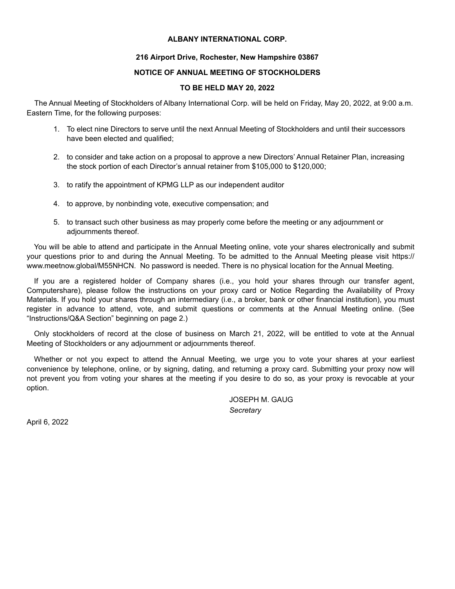## **ALBANY INTERNATIONAL CORP.**

# **216 Airport Drive, Rochester, New Hampshire 03867**

# **NOTICE OF ANNUAL MEETING OF STOCKHOLDERS**

## **TO BE HELD MAY 20, 2022**

The Annual Meeting of Stockholders of Albany International Corp. will be held on Friday, May 20, 2022, at 9:00 a.m. Eastern Time, for the following purposes:

- 1. To elect nine Directors to serve until the next Annual Meeting of Stockholders and until their successors have been elected and qualified:
- 2. to consider and take action on a proposal to approve a new Directors' Annual Retainer Plan, increasing the stock portion of each Director's annual retainer from \$105,000 to \$120,000;
- 3. to ratify the appointment of KPMG LLP as our independent auditor
- 4. to approve, by nonbinding vote, executive compensation; and
- 5. to transact such other business as may properly come before the meeting or any adjournment or adjournments thereof.

You will be able to attend and participate in the Annual Meeting online, vote your shares electronically and submit your questions prior to and during the Annual Meeting. To be admitted to the Annual Meeting please visit https:// www.meetnow.global/M55NHCN. No password is needed. There is no physical location for the Annual Meeting.

If you are a registered holder of Company shares (i.e., you hold your shares through our transfer agent, Computershare), please follow the instructions on your proxy card or Notice Regarding the Availability of Proxy Materials. If you hold your shares through an intermediary (i.e., a broker, bank or other financial institution), you must register in advance to attend, vote, and submit questions or comments at the Annual Meeting online. (See "Instructions/Q&A Section" beginning on page 2.)

Only stockholders of record at the close of business on March 21, 2022, will be entitled to vote at the Annual Meeting of Stockholders or any adjournment or adjournments thereof.

Whether or not you expect to attend the Annual Meeting, we urge you to vote your shares at your earliest convenience by telephone, online, or by signing, dating, and returning a proxy card. Submitting your proxy now will not prevent you from voting your shares at the meeting if you desire to do so, as your proxy is revocable at your option.

> JOSEPH M. GAUG *Secretary*

April 6, 2022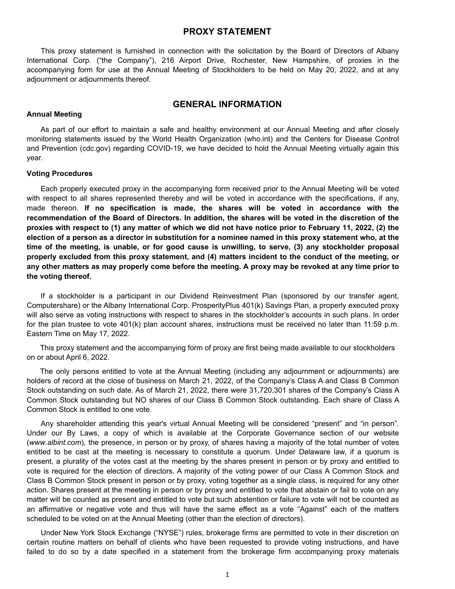# **PROXY STATEMENT**

This proxy statement is furnished in connection with the solicitation by the Board of Directors of Albany International Corp. ("the Company"), 216 Airport Drive, Rochester, New Hampshire, of proxies in the accompanying form for use at the Annual Meeting of Stockholders to be held on May 20, 2022, and at any adjournment or adjournments thereof.

# **GENERAL INFORMATION**

### **Annual Meeting**

As part of our effort to maintain a safe and healthy environment at our Annual Meeting and after closely monitoring statements issued by the World Health Organization (who.int) and the Centers for Disease Control and Prevention (cdc.gov) regarding COVID-19, we have decided to hold the Annual Meeting virtually again this year.

#### **Voting Procedures**

Each properly executed proxy in the accompanying form received prior to the Annual Meeting will be voted with respect to all shares represented thereby and will be voted in accordance with the specifications, if any, made thereon. **If no specification is made, the shares will be voted in accordance with the recommendation of the Board of Directors. In addition, the shares will be voted in the discretion of the proxies with respect to (1) any matter of which we did not have notice prior to February 11, 2022, (2) the election of a person as a director in substitution for a nominee named in this proxy statement who, at the time of the meeting, is unable, or for good cause is unwilling, to serve, (3) any stockholder proposal properly excluded from this proxy statement, and (4) matters incident to the conduct of the meeting, or any other matters as may properly come before the meeting. A proxy may be revoked at any time prior to the voting thereof.**

If a stockholder is a participant in our Dividend Reinvestment Plan (sponsored by our transfer agent, Computershare) or the Albany International Corp. ProsperityPlus 401(k) Savings Plan, a properly executed proxy will also serve as voting instructions with respect to shares in the stockholder's accounts in such plans. In order for the plan trustee to vote 401(k) plan account shares, instructions must be received no later than 11:59 p.m. Eastern Time on May 17, 2022.

This proxy statement and the accompanying form of proxy are first being made available to our stockholders on or about April 6, 2022.

The only persons entitled to vote at the Annual Meeting (including any adjournment or adjournments) are holders of record at the close of business on March 21, 2022, of the Company's Class A and Class B Common Stock outstanding on such date. As of March 21, 2022, there were 31,720,301 shares of the Company's Class A Common Stock outstanding but NO shares of our Class B Common Stock outstanding. Each share of Class A Common Stock is entitled to one vote.

Any shareholder attending this year's virtual Annual Meeting will be considered "present" and "in person". Under our By Laws, a copy of which is available at the Corporate Governance section of our website (*www.albint.com*), the presence, in person or by proxy, of shares having a majority of the total number of votes entitled to be cast at the meeting is necessary to constitute a quorum. Under Delaware law, if a quorum is present, a plurality of the votes cast at the meeting by the shares present in person or by proxy and entitled to vote is required for the election of directors. A majority of the voting power of our Class A Common Stock and Class B Common Stock present in person or by proxy, voting together as a single class, is required for any other action. Shares present at the meeting in person or by proxy and entitled to vote that abstain or fail to vote on any matter will be counted as present and entitled to vote but such abstention or failure to vote will not be counted as an affirmative or negative vote and thus will have the same effect as a vote "Against" each of the matters scheduled to be voted on at the Annual Meeting (other than the election of directors).

Under New York Stock Exchange ("NYSE") rules, brokerage firms are permitted to vote in their discretion on certain routine matters on behalf of clients who have been requested to provide voting instructions, and have failed to do so by a date specified in a statement from the brokerage firm accompanying proxy materials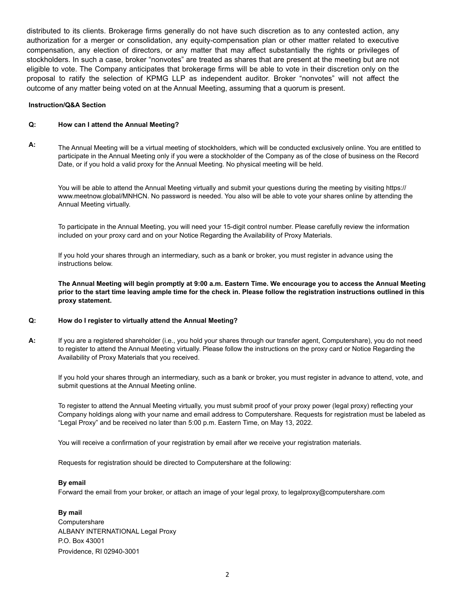distributed to its clients. Brokerage firms generally do not have such discretion as to any contested action, any authorization for a merger or consolidation, any equity-compensation plan or other matter related to executive compensation, any election of directors, or any matter that may affect substantially the rights or privileges of stockholders. In such a case, broker "nonvotes" are treated as shares that are present at the meeting but are not eligible to vote. The Company anticipates that brokerage firms will be able to vote in their discretion only on the proposal to ratify the selection of KPMG LLP as independent auditor. Broker "nonvotes" will not affect the outcome of any matter being voted on at the Annual Meeting, assuming that a quorum is present.

#### **Instruction/Q&A Section**

#### **Q: How can I attend the Annual Meeting?**

**A:** The Annual Meeting will be a virtual meeting of stockholders, which will be conducted exclusively online. You are entitled to participate in the Annual Meeting only if you were a stockholder of the Company as of the close of business on the Record Date, or if you hold a valid proxy for the Annual Meeting. No physical meeting will be held.

You will be able to attend the Annual Meeting virtually and submit your questions during the meeting by visiting https:// www.meetnow.global/MNHCN. No password is needed. You also will be able to vote your shares online by attending the Annual Meeting virtually.

To participate in the Annual Meeting, you will need your 15-digit control number. Please carefully review the information included on your proxy card and on your Notice Regarding the Availability of Proxy Materials.

If you hold your shares through an intermediary, such as a bank or broker, you must register in advance using the instructions below.

**The Annual Meeting will begin promptly at 9:00 a.m. Eastern Time. We encourage you to access the Annual Meeting prior to the start time leaving ample time for the check in. Please follow the registration instructions outlined in this proxy statement.**

#### **Q: How do I register to virtually attend the Annual Meeting?**

**A:** If you are a registered shareholder (i.e., you hold your shares through our transfer agent, Computershare), you do not need to register to attend the Annual Meeting virtually. Please follow the instructions on the proxy card or Notice Regarding the Availability of Proxy Materials that you received.

If you hold your shares through an intermediary, such as a bank or broker, you must register in advance to attend, vote, and submit questions at the Annual Meeting online.

To register to attend the Annual Meeting virtually, you must submit proof of your proxy power (legal proxy) reflecting your Company holdings along with your name and email address to Computershare. Requests for registration must be labeled as "Legal Proxy" and be received no later than 5:00 p.m. Eastern Time, on May 13, 2022.

You will receive a confirmation of your registration by email after we receive your registration materials.

Requests for registration should be directed to Computershare at the following:

#### **By email**

Forward the email from your broker, or attach an image of your legal proxy, to legalproxy@computershare.com

#### **By mail**

**Computershare** ALBANY INTERNATIONAL Legal Proxy P.O. Box 43001 Providence, RI 02940-3001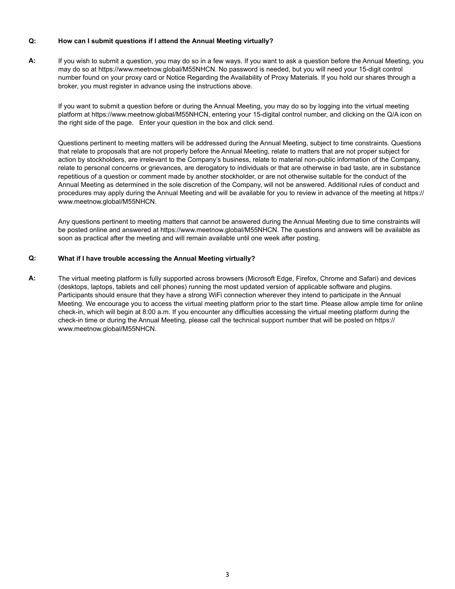#### **Q: How can I submit questions if I attend the Annual Meeting virtually?**

**A:** If you wish to submit a question, you may do so in a few ways. If you want to ask a question before the Annual Meeting, you may do so at https://www.meetnow.global/M55NHCN. No password is needed, but you will need your 15-digit control number found on your proxy card or Notice Regarding the Availability of Proxy Materials. If you hold our shares through a broker, you must register in advance using the instructions above.

If you want to submit a question before or during the Annual Meeting, you may do so by logging into the virtual meeting platform at https://www.meetnow.global/M55NHCN, entering your 15-digital control number, and clicking on the Q/A icon on the right side of the page. Enter your question in the box and click send.

Questions pertinent to meeting matters will be addressed during the Annual Meeting, subject to time constraints. Questions that relate to proposals that are not properly before the Annual Meeting, relate to matters that are not proper subject for action by stockholders, are irrelevant to the Company's business, relate to material non-public information of the Company, relate to personal concerns or grievances, are derogatory to individuals or that are otherwise in bad taste, are in substance repetitious of a question or comment made by another stockholder, or are not otherwise suitable for the conduct of the Annual Meeting as determined in the sole discretion of the Company, will not be answered. Additional rules of conduct and procedures may apply during the Annual Meeting and will be available for you to review in advance of the meeting at https:// www.meetnow.global/M55NHCN.

Any questions pertinent to meeting matters that cannot be answered during the Annual Meeting due to time constraints will be posted online and answered at https://www.meetnow.global/M55NHCN. The questions and answers will be available as soon as practical after the meeting and will remain available until one week after posting.

### **Q: What if I have trouble accessing the Annual Meeting virtually?**

**A:** The virtual meeting platform is fully supported across browsers (Microsoft Edge, Firefox, Chrome and Safari) and devices (desktops, laptops, tablets and cell phones) running the most updated version of applicable software and plugins. Participants should ensure that they have a strong WiFi connection wherever they intend to participate in the Annual Meeting. We encourage you to access the virtual meeting platform prior to the start time. Please allow ample time for online check-in, which will begin at 8:00 a.m. If you encounter any difficulties accessing the virtual meeting platform during the check-in time or during the Annual Meeting, please call the technical support number that will be posted on https:// www.meetnow.global/M55NHCN.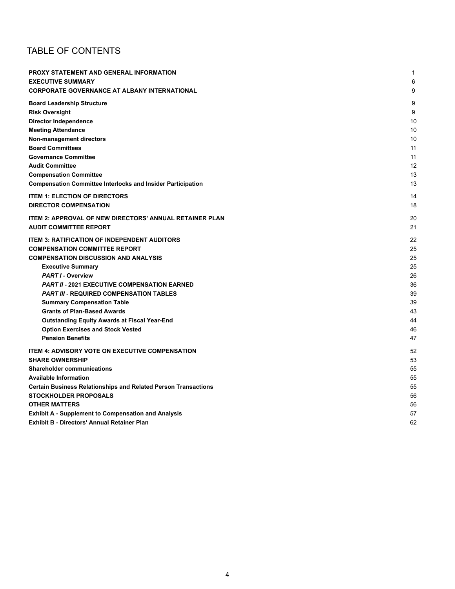# TABLE OF CONTENTS

| PROXY STATEMENT AND GENERAL INFORMATION                               | 1  |
|-----------------------------------------------------------------------|----|
| <b>EXECUTIVE SUMMARY</b>                                              | 6  |
| <b>CORPORATE GOVERNANCE AT ALBANY INTERNATIONAL</b>                   | 9  |
|                                                                       |    |
| <b>Board Leadership Structure</b>                                     | 9  |
| <b>Risk Oversight</b>                                                 | 9  |
| <b>Director Independence</b>                                          | 10 |
| <b>Meeting Attendance</b>                                             | 10 |
| <b>Non-management directors</b>                                       | 10 |
| <b>Board Committees</b>                                               | 11 |
| <b>Governance Committee</b>                                           | 11 |
| <b>Audit Committee</b>                                                | 12 |
| <b>Compensation Committee</b>                                         | 13 |
| <b>Compensation Committee Interlocks and Insider Participation</b>    | 13 |
| <b>ITEM 1: ELECTION OF DIRECTORS</b>                                  | 14 |
| <b>DIRECTOR COMPENSATION</b>                                          | 18 |
| <b>ITEM 2: APPROVAL OF NEW DIRECTORS' ANNUAL RETAINER PLAN</b>        | 20 |
| <b>AUDIT COMMITTEE REPORT</b>                                         | 21 |
|                                                                       |    |
| <b>ITEM 3: RATIFICATION OF INDEPENDENT AUDITORS</b>                   | 22 |
| <b>COMPENSATION COMMITTEE REPORT</b>                                  | 25 |
| <b>COMPENSATION DISCUSSION AND ANALYSIS</b>                           | 25 |
| <b>Executive Summary</b>                                              | 25 |
| <b>PART I - Overview</b>                                              | 26 |
| <b>PART II - 2021 EXECUTIVE COMPENSATION EARNED</b>                   | 36 |
| <b>PART III - REQUIRED COMPENSATION TABLES</b>                        | 39 |
| <b>Summary Compensation Table</b>                                     | 39 |
| <b>Grants of Plan-Based Awards</b>                                    | 43 |
| <b>Outstanding Equity Awards at Fiscal Year-End</b>                   | 44 |
| <b>Option Exercises and Stock Vested</b>                              | 46 |
| <b>Pension Benefits</b>                                               | 47 |
| <b>ITEM 4: ADVISORY VOTE ON EXECUTIVE COMPENSATION</b>                | 52 |
| <b>SHARE OWNERSHIP</b>                                                | 53 |
| <b>Shareholder communications</b>                                     | 55 |
| <b>Available Information</b>                                          | 55 |
| <b>Certain Business Relationships and Related Person Transactions</b> | 55 |
| <b>STOCKHOLDER PROPOSALS</b>                                          | 56 |
| <b>OTHER MATTERS</b>                                                  | 56 |
| <b>Exhibit A - Supplement to Compensation and Analysis</b>            | 57 |
| <b>Exhibit B - Directors' Annual Retainer Plan</b>                    | 62 |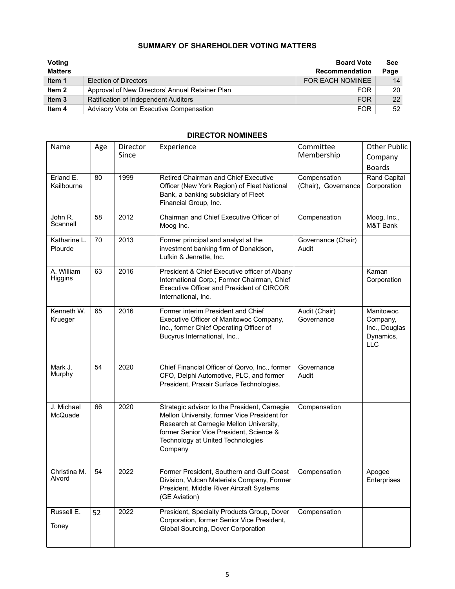# **SUMMARY OF SHAREHOLDER VOTING MATTERS**

| Voting<br><b>Matters</b> |                                                 | <b>Board Vote</b><br>Recommendation | See<br>Page |
|--------------------------|-------------------------------------------------|-------------------------------------|-------------|
| Item 1                   | Election of Directors                           | <b>FOR EACH NOMINEE</b>             | 14          |
| Item 2                   | Approval of New Directors' Annual Retainer Plan | <b>FOR</b>                          | 20          |
| Item 3                   | <b>Ratification of Independent Auditors</b>     | <b>FOR</b>                          | 22          |
| Item 4                   | Advisory Vote on Executive Compensation         | <b>FOR</b>                          | 52          |

# **DIRECTOR NOMINEES**

| Name                       | Age | Director<br>Since | Experience                                                                                                                                                                                                                         | Committee<br>Membership             | <b>Other Public</b><br>Company<br><b>Boards</b>                   |
|----------------------------|-----|-------------------|------------------------------------------------------------------------------------------------------------------------------------------------------------------------------------------------------------------------------------|-------------------------------------|-------------------------------------------------------------------|
| Erland E.<br>Kailbourne    | 80  | 1999              | Retired Chairman and Chief Executive<br>Officer (New York Region) of Fleet National<br>Bank, a banking subsidiary of Fleet<br>Financial Group, Inc.                                                                                | Compensation<br>(Chair), Governance | Rand Capital<br>Corporation                                       |
| John R.<br>Scannell        | 58  | 2012              | Chairman and Chief Executive Officer of<br>Moog Inc.                                                                                                                                                                               | Compensation                        | Moog, Inc.,<br>M&T Bank                                           |
| Katharine L.<br>Plourde    | 70  | 2013              | Former principal and analyst at the<br>investment banking firm of Donaldson,<br>Lufkin & Jenrette, Inc.                                                                                                                            | Governance (Chair)<br>Audit         |                                                                   |
| A. William<br>Higgins      | 63  | 2016              | President & Chief Executive officer of Albany<br>International Corp.; Former Chairman, Chief<br>Executive Officer and President of CIRCOR<br>International, Inc.                                                                   |                                     | Kaman<br>Corporation                                              |
| Kenneth W.<br>Krueger      | 65  | 2016              | Former interim President and Chief<br>Executive Officer of Manitowoc Company,<br>Inc., former Chief Operating Officer of<br>Bucyrus International, Inc.,                                                                           | Audit (Chair)<br>Governance         | Manitowoc<br>Company,<br>Inc., Douglas<br>Dynamics,<br><b>LLC</b> |
| Mark J.<br>Murphy          | 54  | 2020              | Chief Financial Officer of Qorvo, Inc., former<br>CFO, Delphi Automotive, PLC, and former<br>President, Praxair Surface Technologies.                                                                                              | Governance<br>Audit                 |                                                                   |
| J. Michael<br>McQuade      | 66  | 2020              | Strategic advisor to the President, Carnegie<br>Mellon University, former Vice President for<br>Research at Carnegie Mellon University,<br>former Senior Vice President, Science &<br>Technology at United Technologies<br>Company | Compensation                        |                                                                   |
| Christina M.<br>Alvord     | 54  | 2022              | Former President, Southern and Gulf Coast<br>Division, Vulcan Materials Company, Former<br>President, Middle River Aircraft Systems<br>(GE Aviation)                                                                               | Compensation                        | Apogee<br>Enterprises                                             |
| Russell E.<br><b>Toney</b> | 52  | 2022              | President, Specialty Products Group, Dover<br>Corporation, former Senior Vice President,<br>Global Sourcing, Dover Corporation                                                                                                     | Compensation                        |                                                                   |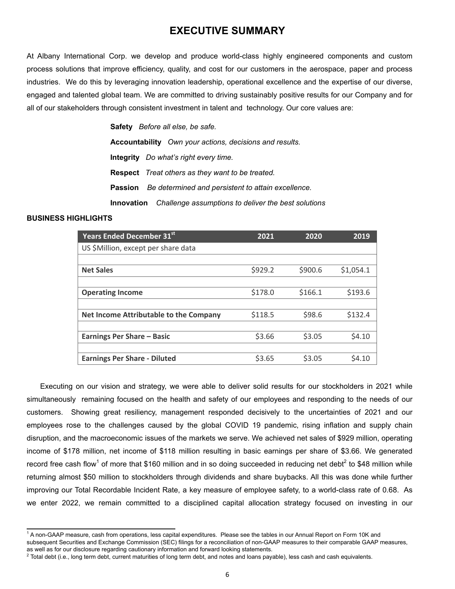# **EXECUTIVE SUMMARY**

At Albany International Corp. we develop and produce world-class highly engineered components and custom process solutions that improve efficiency, quality, and cost for our customers in the aerospace, paper and process industries.We do this by leveraging innovation leadership, operational excellence and the expertise of our diverse, engaged and talented global team. We are committed to driving sustainably positive results for our Company and for all of our stakeholders through consistent investment in talent and technology. Our core values are:

> **Safety** *Before all else, be safe.* **Accountability** *Own your actions, decisions and results.* **Integrity** *Do what's right every time.* **Respect** *Treat others as they want to be treated.* **Passion** *Be determined and persistent to attain excellence.* **Innovation** *Challenge assumptions to deliver the best solutions*

#### **BUSINESS HIGHLIGHTS**

| Years Ended December 31st              | 2021    | 2020    | 2019      |
|----------------------------------------|---------|---------|-----------|
| US \$Million, except per share data    |         |         |           |
|                                        |         |         |           |
| <b>Net Sales</b>                       | \$929.2 | \$900.6 | \$1,054.1 |
|                                        |         |         |           |
| <b>Operating Income</b>                | \$178.0 | \$166.1 | \$193.6   |
|                                        |         |         |           |
| Net Income Attributable to the Company | \$118.5 | \$98.6  | \$132.4   |
|                                        |         |         |           |
| <b>Earnings Per Share - Basic</b>      | \$3.66  | \$3.05  | \$4.10    |
|                                        |         |         |           |
| <b>Earnings Per Share - Diluted</b>    | \$3.65  | \$3.05  | S4.10     |

Executing on our vision and strategy, we were able to deliver solid results for our stockholders in 2021 while simultaneously remaining focused on the health and safety of our employees and responding to the needs of our customers. Showing great resiliency, management responded decisively to the uncertainties of 2021 and our employees rose to the challenges caused by the global COVID 19 pandemic, rising inflation and supply chain disruption, and the macroeconomic issues of the markets we serve. We achieved net sales of \$929 million, operating income of \$178 million, net income of \$118 million resulting in basic earnings per share of \$3.66. We generated record free cash flow<sup>1</sup> of more that \$160 million and in so doing succeeded in reducing net debt<sup>2</sup> to \$48 million while returning almost \$50 million to stockholders through dividends and share buybacks. All this was done while further improving our Total Recordable Incident Rate, a key measure of employee safety, to a world-class rate of 0.68. As we enter 2022, we remain committed to a disciplined capital allocation strategy focused on investing in our

<sup>&</sup>lt;sup>1</sup> A non-GAAP measure, cash from operations, less capital expenditures. Please see the tables in our Annual Report on Form 10K and subsequent Securities and Exchange Commission (SEC) filings for a reconciliation of non-GAAP measures to their comparable GAAP measures, as well as for our disclosure regarding cautionary information and forward looking statements.

 $^2$  Total debt (i.e., long term debt, current maturities of long term debt, and notes and loans payable), less cash and cash equivalents.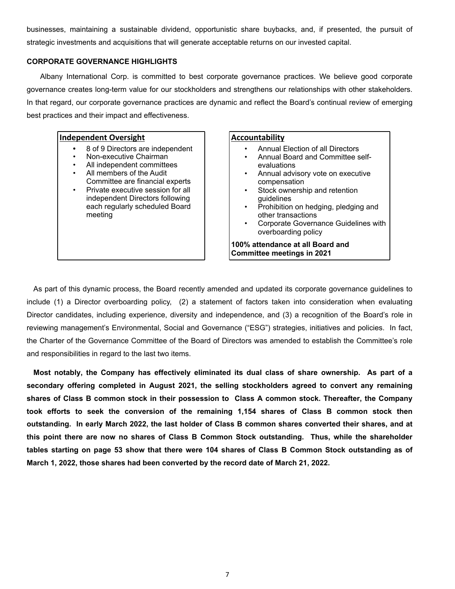businesses, maintaining a sustainable dividend, opportunistic share buybacks, and, if presented, the pursuit of strategic investments and acquisitions that will generate acceptable returns on our invested capital.

# **CORPORATE GOVERNANCE HIGHLIGHTS**

Albany International Corp. is committed to best corporate governance practices. We believe good corporate governance creates long-term value for our stockholders and strengthens our relationships with other stakeholders. In that regard, our corporate governance practices are dynamic and reflect the Board's continual review of emerging best practices and their impact and effectiveness.

# **Independent Oversight Accountability**

- **•** 8 of 9 Directors are independent
- Non-executive Chairman
- All independent committees
- All members of the Audit
- Committee are financial experts • Private executive session for all independent Directors following each regularly scheduled Board meeting

- Annual Election of all Directors
- Annual Board and Committee selfevaluations
- Annual advisory vote on executive compensation
- Stock ownership and retention guidelines
- Prohibition on hedging, pledging and other transactions
- Corporate Governance Guidelines with overboarding policy

**100% attendance at all Board and Committee meetings in 2021**

As part of this dynamic process, the Board recently amended and updated its corporate governance guidelines to include (1) a Director overboarding policy, (2) a statement of factors taken into consideration when evaluating Director candidates, including experience, diversity and independence, and (3) a recognition of the Board's role in reviewing management's Environmental, Social and Governance ("ESG") strategies, initiatives and policies. In fact, the Charter of the Governance Committee of the Board of Directors was amended to establish the Committee's role and responsibilities in regard to the last two items.

**Most notably, the Company has effectively eliminated its dual class of share ownership. As part of a secondary offering completed in August 2021, the selling stockholders agreed to convert any remaining shares of Class B common stock in their possession to Class A common stock. Thereafter, the Company took efforts to seek the conversion of the remaining 1,154 shares of Class B common stock then outstanding. In early March 2022, the last holder of Class B common shares converted their shares, and at this point there are now no shares of Class B Common Stock outstanding. Thus, while the shareholder tables starting on page 53 show that there were 104 shares of Class B Common Stock outstanding as of March 1, 2022, those shares had been converted by the record date of March 21, 2022.**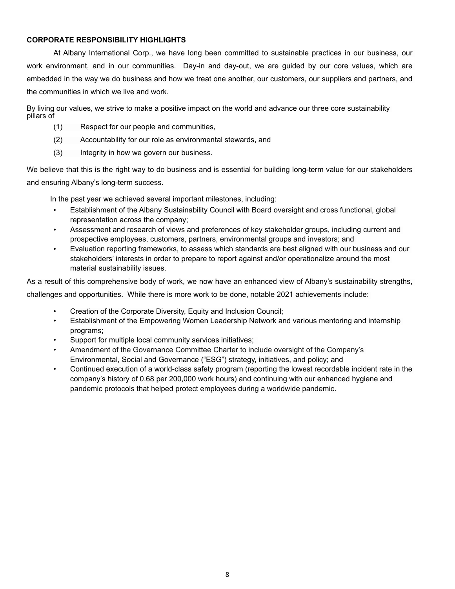# **CORPORATE RESPONSIBILITY HIGHLIGHTS**

At Albany International Corp., we have long been committed to sustainable practices in our business, our work environment, and in our communities.Day-in and day-out, we are guided by our core values, which are embedded in the way we do business and how we treat one another, our customers, our suppliers and partners, and the communities in which we live and work.

By living our values, we strive to make a positive impact on the world and advance our three core sustainability pillars of

- (1) Respect for our people and communities,
- (2) Accountability for our role as environmental stewards, and
- (3) Integrity in how we govern our business.

We believe that this is the right way to do business and is essential for building long-term value for our stakeholders and ensuring Albany's long-term success.

In the past year we achieved several important milestones, including:

- Establishment of the Albany Sustainability Council with Board oversight and cross functional, global representation across the company;
- Assessment and research of views and preferences of key stakeholder groups, including current and prospective employees, customers, partners, environmental groups and investors; and
- Evaluation reporting frameworks, to assess which standards are best aligned with our business and our stakeholders' interests in order to prepare to report against and/or operationalize around the most material sustainability issues.

As a result of this comprehensive body of work, we now have an enhanced view of Albany's sustainability strengths,

challenges and opportunities. While there is more work to be done, notable 2021 achievements include:

- Creation of the Corporate Diversity, Equity and Inclusion Council;
- Establishment of the Empowering Women Leadership Network and various mentoring and internship programs;
- Support for multiple local community services initiatives;
- Amendment of the Governance Committee Charter to include oversight of the Company's Environmental, Social and Governance ("ESG") strategy, initiatives, and policy; and
- Continued execution of a world-class safety program (reporting the lowest recordable incident rate in the company's history of 0.68 per 200,000 work hours) and continuing with our enhanced hygiene and pandemic protocols that helped protect employees during a worldwide pandemic.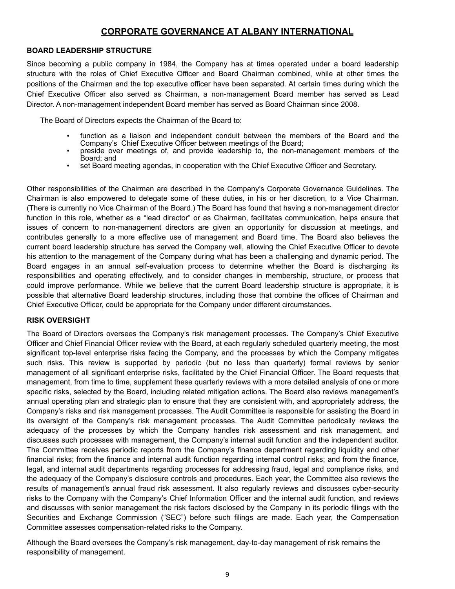# **CORPORATE GOVERNANCE AT ALBANY INTERNATIONAL**

# **BOARD LEADERSHIP STRUCTURE**

Since becoming a public company in 1984, the Company has at times operated under a board leadership structure with the roles of Chief Executive Officer and Board Chairman combined, while at other times the positions of the Chairman and the top executive officer have been separated. At certain times during which the Chief Executive Officer also served as Chairman, a non-management Board member has served as Lead Director. A non-management independent Board member has served as Board Chairman since 2008.

The Board of Directors expects the Chairman of the Board to:

- function as a liaison and independent conduit between the members of the Board and the Company's Chief Executive Officer between meetings of the Board;
- preside over meetings of, and provide leadership to, the non-management members of the Board; and
- set Board meeting agendas, in cooperation with the Chief Executive Officer and Secretary.

Other responsibilities of the Chairman are described in the Company's Corporate Governance Guidelines. The Chairman is also empowered to delegate some of these duties, in his or her discretion, to a Vice Chairman. (There is currently no Vice Chairman of the Board.) The Board has found that having a non-management director function in this role, whether as a "lead director" or as Chairman, facilitates communication, helps ensure that issues of concern to non-management directors are given an opportunity for discussion at meetings, and contributes generally to a more effective use of management and Board time. The Board also believes the current board leadership structure has served the Company well, allowing the Chief Executive Officer to devote his attention to the management of the Company during what has been a challenging and dynamic period. The Board engages in an annual self-evaluation process to determine whether the Board is discharging its responsibilities and operating effectively, and to consider changes in membership, structure, or process that could improve performance. While we believe that the current Board leadership structure is appropriate, it is possible that alternative Board leadership structures, including those that combine the offices of Chairman and Chief Executive Officer, could be appropriate for the Company under different circumstances.

# **RISK OVERSIGHT**

The Board of Directors oversees the Company's risk management processes. The Company's Chief Executive Officer and Chief Financial Officer review with the Board, at each regularly scheduled quarterly meeting, the most significant top-level enterprise risks facing the Company, and the processes by which the Company mitigates such risks. This review is supported by periodic (but no less than quarterly) formal reviews by senior management of all significant enterprise risks, facilitated by the Chief Financial Officer. The Board requests that management, from time to time, supplement these quarterly reviews with a more detailed analysis of one or more specific risks, selected by the Board, including related mitigation actions. The Board also reviews management's annual operating plan and strategic plan to ensure that they are consistent with, and appropriately address, the Company's risks and risk management processes. The Audit Committee is responsible for assisting the Board in its oversight of the Company's risk management processes. The Audit Committee periodically reviews the adequacy of the processes by which the Company handles risk assessment and risk management, and discusses such processes with management, the Company's internal audit function and the independent auditor. The Committee receives periodic reports from the Company's finance department regarding liquidity and other financial risks; from the finance and internal audit function regarding internal control risks; and from the finance, legal, and internal audit departments regarding processes for addressing fraud, legal and compliance risks, and the adequacy of the Company's disclosure controls and procedures. Each year, the Committee also reviews the results of management's annual fraud risk assessment. It also regularly reviews and discusses cyber-security risks to the Company with the Company's Chief Information Officer and the internal audit function, and reviews and discusses with senior management the risk factors disclosed by the Company in its periodic filings with the Securities and Exchange Commission ("SEC") before such filings are made. Each year, the Compensation Committee assesses compensation-related risks to the Company.

Although the Board oversees the Company's risk management, day-to-day management of risk remains the responsibility of management.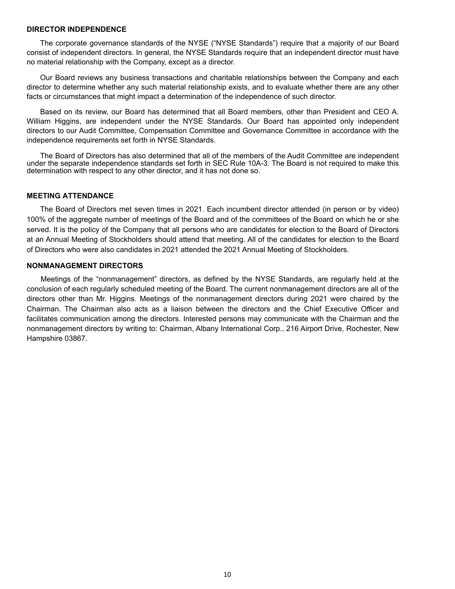#### **DIRECTOR INDEPENDENCE**

The corporate governance standards of the NYSE ("NYSE Standards") require that a majority of our Board consist of independent directors. In general, the NYSE Standards require that an independent director must have no material relationship with the Company, except as a director.

Our Board reviews any business transactions and charitable relationships between the Company and each director to determine whether any such material relationship exists, and to evaluate whether there are any other facts or circumstances that might impact a determination of the independence of such director.

Based on its review, our Board has determined that all Board members, other than President and CEO A. William Higgins, are independent under the NYSE Standards. Our Board has appointed only independent directors to our Audit Committee, Compensation Committee and Governance Committee in accordance with the independence requirements set forth in NYSE Standards.

The Board of Directors has also determined that all of the members of the Audit Committee are independent under the separate independence standards set forth in SEC Rule 10A-3. The Board is not required to make this determination with respect to any other director, and it has not done so.

## **MEETING ATTENDANCE**

The Board of Directors met seven times in 2021. Each incumbent director attended (in person or by video) 100% of the aggregate number of meetings of the Board and of the committees of the Board on which he or she served. It is the policy of the Company that all persons who are candidates for election to the Board of Directors at an Annual Meeting of Stockholders should attend that meeting. All of the candidates for election to the Board of Directors who were also candidates in 2021 attended the 2021 Annual Meeting of Stockholders.

### **NONMANAGEMENT DIRECTORS**

Meetings of the "nonmanagement" directors, as defined by the NYSE Standards, are regularly held at the conclusion of each regularly scheduled meeting of the Board. The current nonmanagement directors are all of the directors other than Mr. Higgins. Meetings of the nonmanagement directors during 2021 were chaired by the Chairman. The Chairman also acts as a liaison between the directors and the Chief Executive Officer and facilitates communication among the directors. Interested persons may communicate with the Chairman and the nonmanagement directors by writing to: Chairman, Albany International Corp., 216 Airport Drive, Rochester, New Hampshire 03867.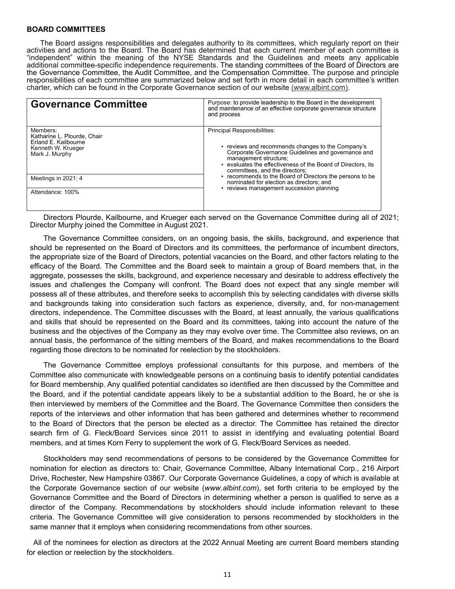### **BOARD COMMITTEES**

The Board assigns responsibilities and delegates authority to its committees, which regularly report on their activities and actions to the Board. The Board has determined that each current member of each committee is "independent" within the meaning of the NYSE Standards and the Guidelines and meets any applicable additional committee-specific independence requirements. The standing committees of the Board of Directors are the Governance Committee, the Audit Committee, and the Compensation Committee. The purpose and principle responsibilities of each committee are summarized below and set forth in more detail in each committee's written charter, which can be found in the Corporate Governance section of our website (www.albint.com).

| <b>Governance Committee</b>                                                                             | Purpose: to provide leadership to the Board in the development<br>and maintenance of an effective corporate governance structure<br>and process                                                                                                                   |
|---------------------------------------------------------------------------------------------------------|-------------------------------------------------------------------------------------------------------------------------------------------------------------------------------------------------------------------------------------------------------------------|
| Members:<br>Katharine L. Plourde, Chair<br>Erland E. Kailbourne<br>Kenneth W. Krueger<br>Mark J. Murphy | Principal Responsibilities:<br>• reviews and recommends changes to the Company's<br>Corporate Governance Guidelines and governance and<br>management structure;<br>• evaluates the effectiveness of the Board of Directors, its<br>committees, and the directors; |
| Meetings in 2021: 4                                                                                     | • recommends to the Board of Directors the persons to be<br>nominated for election as directors; and<br>• reviews management succession planning                                                                                                                  |
| Attendance: 100%                                                                                        |                                                                                                                                                                                                                                                                   |

Directors Plourde, Kailbourne, and Krueger each served on the Governance Committee during all of 2021; Director Murphy joined the Committee in August 2021.

The Governance Committee considers, on an ongoing basis, the skills, background, and experience that should be represented on the Board of Directors and its committees, the performance of incumbent directors, the appropriate size of the Board of Directors, potential vacancies on the Board, and other factors relating to the efficacy of the Board. The Committee and the Board seek to maintain a group of Board members that, in the aggregate, possesses the skills, background, and experience necessary and desirable to address effectively the issues and challenges the Company will confront. The Board does not expect that any single member will possess all of these attributes, and therefore seeks to accomplish this by selecting candidates with diverse skills and backgrounds taking into consideration such factors as experience, diversity, and, for non-management directors, independence. The Committee discusses with the Board, at least annually, the various qualifications and skills that should be represented on the Board and its committees, taking into account the nature of the business and the objectives of the Company as they may evolve over time. The Committee also reviews, on an annual basis, the performance of the sitting members of the Board, and makes recommendations to the Board regarding those directors to be nominated for reelection by the stockholders.

The Governance Committee employs professional consultants for this purpose, and members of the Committee also communicate with knowledgeable persons on a continuing basis to identify potential candidates for Board membership. Any qualified potential candidates so identified are then discussed by the Committee and the Board, and if the potential candidate appears likely to be a substantial addition to the Board, he or she is then interviewed by members of the Committee and the Board. The Governance Committee then considers the reports of the interviews and other information that has been gathered and determines whether to recommend to the Board of Directors that the person be elected as a director. The Committee has retained the director search firm of G. Fleck/Board Services since 2011 to assist in identifying and evaluating potential Board members, and at times Korn Ferry to supplement the work of G. Fleck/Board Services as needed.

Stockholders may send recommendations of persons to be considered by the Governance Committee for nomination for election as directors to: Chair, Governance Committee, Albany International Corp., 216 Airport Drive, Rochester, New Hampshire 03867. Our Corporate Governance Guidelines, a copy of which is available at the Corporate Governance section of our website (*www.albint.com*), set forth criteria to be employed by the Governance Committee and the Board of Directors in determining whether a person is qualified to serve as a director of the Company. Recommendations by stockholders should include information relevant to these criteria. The Governance Committee will give consideration to persons recommended by stockholders in the same manner that it employs when considering recommendations from other sources.

All of the nominees for election as directors at the 2022 Annual Meeting are current Board members standing for election or reelection by the stockholders.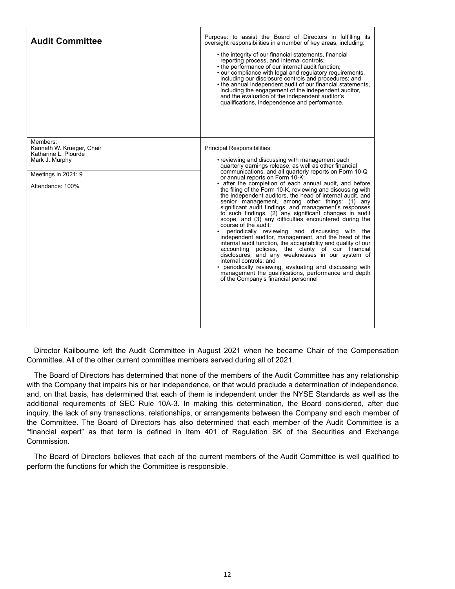| <b>Audit Committee</b>                                                                                                     | Purpose: to assist the Board of Directors in fulfilling its<br>oversight responsibilities in a number of key areas, including:<br>• the integrity of our financial statements, financial<br>reporting process, and internal controls;<br>• the performance of our internal audit function;<br>· our compliance with legal and regulatory requirements,<br>including our disclosure controls and procedures; and<br>• the annual independent audit of our financial statements,<br>including the engagement of the independent auditor,<br>and the evaluation of the independent auditor's<br>qualifications, independence and performance.                                                                                                                                                                                                                                                                                                                                                                                                                                                                                                                    |
|----------------------------------------------------------------------------------------------------------------------------|---------------------------------------------------------------------------------------------------------------------------------------------------------------------------------------------------------------------------------------------------------------------------------------------------------------------------------------------------------------------------------------------------------------------------------------------------------------------------------------------------------------------------------------------------------------------------------------------------------------------------------------------------------------------------------------------------------------------------------------------------------------------------------------------------------------------------------------------------------------------------------------------------------------------------------------------------------------------------------------------------------------------------------------------------------------------------------------------------------------------------------------------------------------|
| Members:<br>Kenneth W. Krueger, Chair<br>Katharine L. Plourde<br>Mark J. Murphy<br>Meetings in 2021: 9<br>Attendance: 100% | Principal Responsibilities:<br>• reviewing and discussing with management each<br>quarterly earnings release, as well as other financial<br>communications, and all quarterly reports on Form 10-Q<br>or annual reports on Form 10-K;<br>• after the completion of each annual audit, and before<br>the filing of the Form 10-K, reviewing and discussing with<br>the independent auditors, the head of internal audit, and<br>senior management, among other things: (1) any<br>significant audit findings, and management's responses<br>to such findings, (2) any significant changes in audit<br>scope, and (3) any difficulties encountered during the<br>course of the audit.<br>periodically reviewing and discussing with the<br>independent auditor, management, and the head of the<br>internal audit function, the acceptability and quality of our<br>accounting policies, the clarity of our financial<br>disclosures, and any weaknesses in our system of<br>internal controls; and<br>• periodically reviewing, evaluating and discussing with<br>management the qualifications, performance and depth<br>of the Company's financial personnel |

Director Kailbourne left the Audit Committee in August 2021 when he became Chair of the Compensation Committee. All of the other current committee members served during all of 2021.

The Board of Directors has determined that none of the members of the Audit Committee has any relationship with the Company that impairs his or her independence, or that would preclude a determination of independence, and, on that basis, has determined that each of them is independent under the NYSE Standards as well as the additional requirements of SEC Rule 10A-3. In making this determination, the Board considered, after due inquiry, the lack of any transactions, relationships, or arrangements between the Company and each member of the Committee. The Board of Directors has also determined that each member of the Audit Committee is a "financial expert" as that term is defined in Item 401 of Regulation SK of the Securities and Exchange Commission.

The Board of Directors believes that each of the current members of the Audit Committee is well qualified to perform the functions for which the Committee is responsible.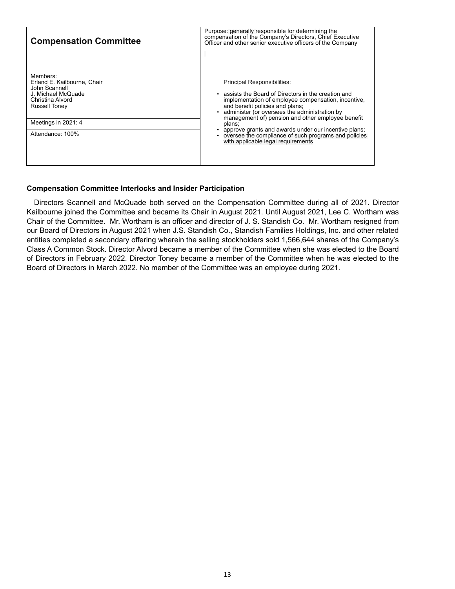| <b>Compensation Committee</b>                                                                                                                                         | Purpose: generally responsible for determining the<br>compensation of the Company's Directors, Chief Executive<br>Officer and other senior executive officers of the Company                                                                                                                                                                                                                                                                            |
|-----------------------------------------------------------------------------------------------------------------------------------------------------------------------|---------------------------------------------------------------------------------------------------------------------------------------------------------------------------------------------------------------------------------------------------------------------------------------------------------------------------------------------------------------------------------------------------------------------------------------------------------|
| Members:<br>Erland E. Kailbourne, Chair<br>John Scannell<br>J. Michael McQuade<br>Christina Alvord<br><b>Russell Toney</b><br>Meetings in 2021: 4<br>Attendance: 100% | Principal Responsibilities:<br>• assists the Board of Directors in the creation and<br>implementation of employee compensation, incentive,<br>and benefit policies and plans;<br>• administer (or oversees the administration by<br>management of) pension and other employee benefit<br>plans;<br>approve grants and awards under our incentive plans;<br>• oversee the compliance of such programs and policies<br>with applicable legal requirements |

# **Compensation Committee Interlocks and Insider Participation**

Directors Scannell and McQuade both served on the Compensation Committee during all of 2021. Director Kailbourne joined the Committee and became its Chair in August 2021. Until August 2021, Lee C. Wortham was Chair of the Committee. Mr. Wortham is an officer and director of J. S. Standish Co. Mr. Wortham resigned from our Board of Directors in August 2021 when J.S. Standish Co., Standish Families Holdings, Inc. and other related entities completed a secondary offering wherein the selling stockholders sold 1,566,644 shares of the Company's Class A Common Stock. Director Alvord became a member of the Committee when she was elected to the Board of Directors in February 2022. Director Toney became a member of the Committee when he was elected to the Board of Directors in March 2022. No member of the Committee was an employee during 2021.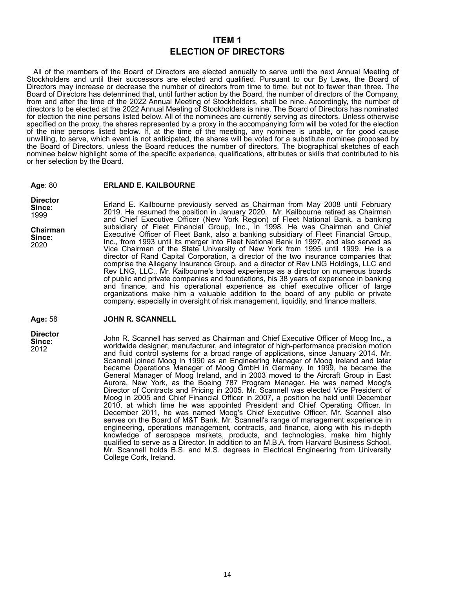# **ITEM 1 ELECTION OF DIRECTORS**

All of the members of the Board of Directors are elected annually to serve until the next Annual Meeting of Stockholders and until their successors are elected and qualified. Pursuant to our By Laws, the Board of Directors may increase or decrease the number of directors from time to time, but not to fewer than three. The Board of Directors has determined that, until further action by the Board, the number of directors of the Company, from and after the time of the 2022 Annual Meeting of Stockholders, shall be nine. Accordingly, the number of directors to be elected at the 2022 Annual Meeting of Stockholders is nine. The Board of Directors has nominated for election the nine persons listed below. All of the nominees are currently serving as directors. Unless otherwise specified on the proxy, the shares represented by a proxy in the accompanying form will be voted for the election of the nine persons listed below. If, at the time of the meeting, any nominee is unable, or for good cause unwilling, to serve, which event is not anticipated, the shares will be voted for a substitute nominee proposed by the Board of Directors, unless the Board reduces the number of directors. The biographical sketches of each nominee below highlight some of the specific experience, qualifications, attributes or skills that contributed to his or her selection by the Board.

#### **Age**: 80 **ERLAND E. KAILBOURNE**

**Director Since**: 1999

**Chairman Since**: 2020

Erland E. Kailbourne previously served as Chairman from May 2008 until February 2019. He resumed the position in January 2020. Mr. Kailbourne retired as Chairman and Chief Executive Officer (New York Region) of Fleet National Bank, a banking subsidiary of Fleet Financial Group, Inc., in 1998. He was Chairman and Chief Executive Officer of Fleet Bank, also a banking subsidiary of Fleet Financial Group, Inc., from 1993 until its merger into Fleet National Bank in 1997, and also served as Vice Chairman of the State University of New York from 1995 until 1999. He is a director of Rand Capital Corporation, a director of the two insurance companies that comprise the Allegany Insurance Group, and a director of Rev LNG Holdings, LLC and Rev LNG, LLC.. Mr. Kailbourne's broad experience as a director on numerous boards of public and private companies and foundations, his 38 years of experience in banking and finance, and his operational experience as chief executive officer of large organizations make him a valuable addition to the board of any public or private company, especially in oversight of risk management, liquidity, and finance matters.

#### **Age:** 58 **JOHN R. SCANNELL**

**Director Since**: 2012

John R. Scannell has served as Chairman and Chief Executive Officer of Moog Inc., a worldwide designer, manufacturer, and integrator of high-performance precision motion and fluid control systems for a broad range of applications, since January 2014. Mr. Scannell joined Moog in 1990 as an Engineering Manager of Moog Ireland and later became Operations Manager of Moog GmbH in Germany. In 1999, he became the General Manager of Moog Ireland, and in 2003 moved to the Aircraft Group in East Aurora, New York, as the Boeing 787 Program Manager. He was named Moog's Director of Contracts and Pricing in 2005. Mr. Scannell was elected Vice President of Moog in 2005 and Chief Financial Officer in 2007, a position he held until December 2010, at which time he was appointed President and Chief Operating Officer. In December 2011, he was named Moog's Chief Executive Officer. Mr. Scannell also serves on the Board of M&T Bank. Mr. Scannell's range of management experience in engineering, operations management, contracts, and finance, along with his in-depth knowledge of aerospace markets, products, and technologies, make him highly qualified to serve as a Director. In addition to an M.B.A. from Harvard Business School, Mr. Scannell holds B.S. and M.S. degrees in Electrical Engineering from University College Cork, Ireland.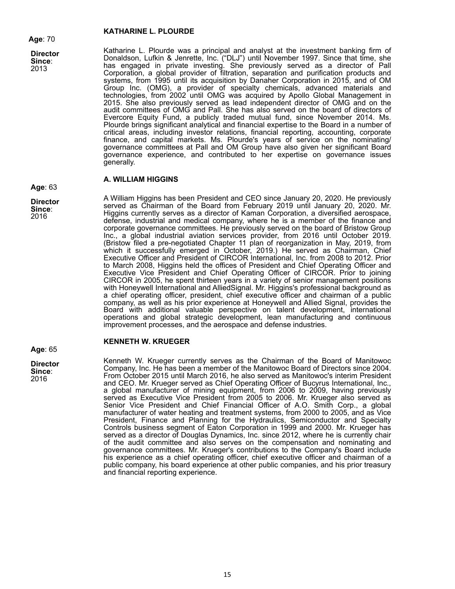#### **KATHARINE L. PLOURDE**

Katharine L. Plourde was a principal and analyst at the investment banking firm of Donaldson, Lufkin & Jenrette, Inc. ("DLJ") until November 1997. Since that time, she has engaged in private investing. She previously served as a director of Pall Corporation, a global provider of filtration, separation and purification products and systems, from 1995 until its acquisition by Danaher Corporation in 2015, and of OM Group Inc. (OMG), a provider of specialty chemicals, advanced materials and technologies, from 2002 until OMG was acquired by Apollo Global Management in 2015. She also previously served as lead independent director of OMG and on the audit committees of OMG and Pall. She has also served on the board of directors of Evercore Equity Fund, a publicly traded mutual fund, since November 2014. Ms. Plourde brings significant analytical and financial expertise to the Board in a number of critical areas, including investor relations, financial reporting, accounting, corporate finance, and capital markets. Ms. Plourde's years of service on the nominating/ governance committees at Pall and OM Group have also given her significant Board governance experience, and contributed to her expertise on governance issues generally.

#### **A. WILLIAM HIGGINS**

**Age**: 63

**Director Since**: 2016

A William Higgins has been President and CEO since January 20, 2020. He previously served as Chairman of the Board from February 2019 until January 20, 2020. Mr. Higgins currently serves as a director of Kaman Corporation, a diversified aerospace, defense, industrial and medical company, where he is a member of the finance and corporate governance committees. He previously served on the board of Bristow Group Inc., a global industrial aviation services provider, from 2016 until October 2019. (Bristow filed a pre-negotiated Chapter 11 plan of reorganization in May, 2019, from which it successfully emerged in October, 2019.) He served as Chairman, Chief Executive Officer and President of CIRCOR International, Inc. from 2008 to 2012. Prior to March 2008, Higgins held the offices of President and Chief Operating Officer and Executive Vice President and Chief Operating Officer of CIRCOR. Prior to joining CIRCOR in 2005, he spent thirteen years in a variety of senior management positions with Honeywell International and AlliedSignal. Mr. Higgins's professional background as a chief operating officer, president, chief executive officer and chairman of a public company, as well as his prior experience at Honeywell and Allied Signal, provides the Board with additional valuable perspective on talent development, international operations and global strategic development, lean manufacturing and continuous improvement processes, and the aerospace and defense industries.

#### **KENNETH W. KRUEGER**

**Age**: 65

**Director Since**: 2016

Kenneth W. Krueger currently serves as the Chairman of the Board of Manitowoc Company, Inc. He has been a member of the Manitowoc Board of Directors since 2004. From October 2015 until March 2016, he also served as Manitowoc's interim President and CEO. Mr. Krueger served as Chief Operating Officer of Bucyrus International, Inc., a global manufacturer of mining equipment, from 2006 to 2009, having previously served as Executive Vice President from 2005 to 2006. Mr. Krueger also served as Senior Vice President and Chief Financial Officer of A.O. Smith Corp., a global manufacturer of water heating and treatment systems, from 2000 to 2005, and as Vice President, Finance and Planning for the Hydraulics, Semiconductor and Specialty Controls business segment of Eaton Corporation in 1999 and 2000. Mr. Krueger has served as a director of Douglas Dynamics, Inc. since 2012, where he is currently chair of the audit committee and also serves on the compensation and nominating and governance committees. Mr. Krueger's contributions to the Company's Board include his experience as a chief operating officer, chief executive officer and chairman of a public company, his board experience at other public companies, and his prior treasury and financial reporting experience.

15

**Age**: 70

**Director Since**: 2013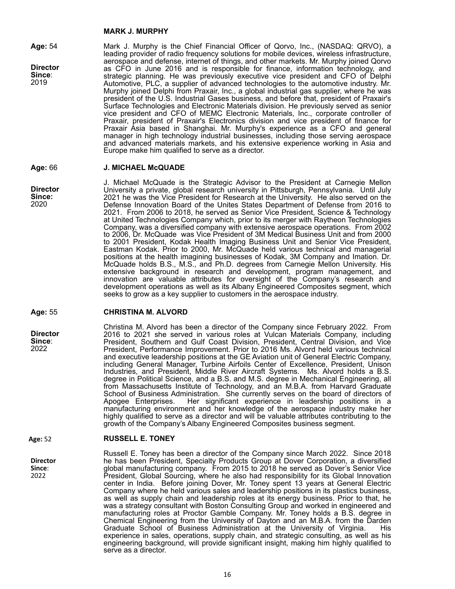#### **MARK J. MURPHY**

**Age:** 54

**Director** 

**Since**: 2019

Mark J. Murphy is the Chief Financial Officer of Qorvo, Inc., (NASDAQ: QRVO), a leading provider of radio frequency solutions for mobile devices, wireless infrastructure, aerospace and defense, internet of things, and other markets. Mr. Murphy joined Qorvo as CFO in June 2016 and is responsible for finance, information technology, and strategic planning. He was previously executive vice president and CFO of Delphi Automotive, PLC, a supplier of advanced technologies to the automotive industry. Mr. Murphy joined Delphi from Praxair, Inc., a global industrial gas supplier, where he was president of the U.S. Industrial Gases business, and before that, president of Praxair's Surface Technologies and Electronic Materials division. He previously served as senior vice president and CFO of MEMC Electronic Materials, Inc., corporate controller of Praxair, president of Praxair's Electronics division and vice president of finance for Praxair Asia based in Shanghai. Mr. Murphy's experience as a CFO and general manager in high technology industrial businesses, including those serving aerospace and advanced materials markets, and his extensive experience working in Asia and Europe make him qualified to serve as a director.

J. Michael McQuade is the Strategic Advisor to the President at Carnegie Mellon University a private, global research university in Pittsburgh, Pennsylvania. Until July 2021 he was the Vice President for Research at the University. He also served on the Defense Innovation Board of the Unites States Department of Defense from 2016 to 2021. From 2006 to 2018, he served as Senior Vice President, Science & Technology at United Technologies Company which, prior to its merger with Raytheon Technologies Company, was a diversified company with extensive aerospace operations. From 2002 to 2006, Dr. McQuade was Vice President of 3M Medical Business Unit and from 2000 to 2001 President, Kodak Health Imaging Business Unit and Senior Vice President, Eastman Kodak. Prior to 2000, Mr. McQuade held various technical and managerial positions at the health imagining businesses of Kodak, 3M Company and Imation. Dr. McQuade holds B.S., M.S., and Ph.D. degrees from Carnegie Mellon University. His extensive background in research and development, program management, and innovation are valuable attributes for oversight of the Company's research and development operations as well as its Albany Engineered Composites segment, which

#### **Age:** 66 **J. MICHAEL McQUADE**

**Director** 

**Since:**  2020

**Age:** 55

**Director Since**: 2022

**CHRISTINA M. ALVORD**

Christina M. Alvord has been a director of the Company since February 2022. From 2016 to 2021 she served in various roles at Vulcan Materials Company, including President, Southern and Gulf Coast Division, President, Central Division, and Vice President, Performance Improvement. Prior to 2016 Ms. Alvord held various technical and executive leadership positions at the GE Aviation unit of General Electric Company, including General Manager, Turbine Airfoils Center of Excellence, President, Unison Industries, and President, Middle River Aircraft Systems. Ms. Alvord holds a B.S. degree in Political Science, and a B.S. and M.S. degree in Mechanical Engineering, all from Massachusetts Institute of Technology, and an M.B.A. from Harvard Graduate School of Business Administration. She currently serves on the board of directors of Apogee Enterprises. Her significant experience in leadership positions in a Her significant experience in leadership positions in a manufacturing environment and her knowledge of the aerospace industry make her highly qualified to serve as a director and will be valuable attributes contributing to the growth of the Company's Albany Engineered Composites business segment.

seeks to grow as a key supplier to customers in the aerospace industry.

#### **Age:** 52 **RUSSELL E. TONEY**

**Director Since**: 2022

Russell E. Toney has been a director of the Company since March 2022. Since 2018 he has been President, Specialty Products Group at Dover Corporation, a diversified global manufacturing company. From 2015 to 2018 he served as Dover's Senior Vice President, Global Sourcing, where he also had responsibility for its Global Innovation center in India. Before joining Dover, Mr. Toney spent 13 years at General Electric Company where he held various sales and leadership positions in its plastics business, as well as supply chain and leadership roles at its energy business. Prior to that, he was a strategy consultant with Boston Consulting Group and worked in engineered and manufacturing roles at Proctor Gamble Company. Mr. Toney holds a B.S. degree in Chemical Engineering from the University of Dayton and an M.B.A. from the Darden Graduate School of Business Administration at the University of Virginia. His experience in sales, operations, supply chain, and strategic consulting, as well as his engineering background, will provide significant insight, making him highly qualified to serve as a director.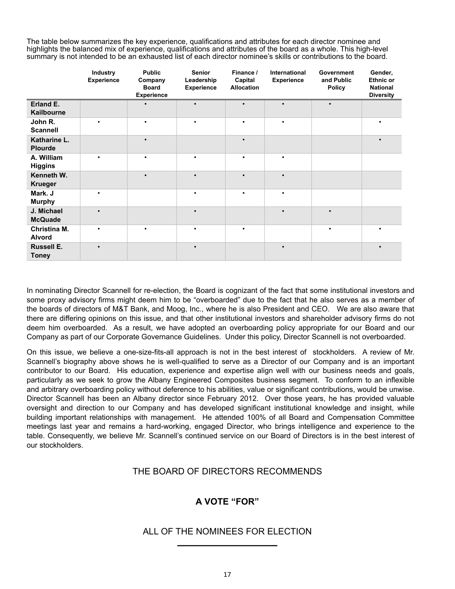The table below summarizes the key experience, qualifications and attributes for each director nominee and highlights the balanced mix of experience, qualifications and attributes of the board as a whole. This high-level summary is not intended to be an exhausted list of each director nominee's skills or contributions to the board.

|                                   | Industry<br><b>Experience</b> | <b>Public</b><br>Company<br><b>Board</b><br><b>Experience</b> | <b>Senior</b><br>Leadership<br><b>Experience</b> | Finance /<br>Capital<br><b>Allocation</b> | International<br><b>Experience</b> | Government<br>and Public<br><b>Policy</b> | Gender,<br><b>Ethnic or</b><br><b>National</b><br><b>Diversity</b> |
|-----------------------------------|-------------------------------|---------------------------------------------------------------|--------------------------------------------------|-------------------------------------------|------------------------------------|-------------------------------------------|--------------------------------------------------------------------|
| Erland E.<br><b>Kailbourne</b>    |                               | $\bullet$                                                     |                                                  |                                           | $\bullet$                          | $\bullet$                                 |                                                                    |
| John R.<br><b>Scannell</b>        | $\bullet$                     |                                                               | $\bullet$                                        | $\bullet$                                 | $\bullet$                          |                                           |                                                                    |
| Katharine L.<br><b>Plourde</b>    |                               | $\bullet$                                                     |                                                  | $\bullet$                                 |                                    |                                           |                                                                    |
| A. William<br><b>Higgins</b>      | $\bullet$                     | $\bullet$                                                     | $\bullet$                                        | $\bullet$                                 | $\bullet$                          |                                           |                                                                    |
| Kenneth W.<br><b>Krueger</b>      |                               | $\bullet$                                                     | $\bullet$                                        | $\bullet$                                 | $\bullet$                          |                                           |                                                                    |
| Mark. J<br><b>Murphy</b>          | $\bullet$                     |                                                               | $\bullet$                                        | $\bullet$                                 | $\bullet$                          |                                           |                                                                    |
| J. Michael<br><b>McQuade</b>      | $\bullet$                     |                                                               | $\bullet$                                        |                                           | $\bullet$                          | $\bullet$                                 |                                                                    |
| Christina M.<br><b>Alvord</b>     | $\bullet$                     |                                                               | $\bullet$                                        | $\bullet$                                 |                                    | $\bullet$                                 |                                                                    |
| <b>Russell E.</b><br><b>Toney</b> | $\bullet$                     |                                                               | $\bullet$                                        |                                           | $\bullet$                          |                                           |                                                                    |

In nominating Director Scannell for re-election, the Board is cognizant of the fact that some institutional investors and some proxy advisory firms might deem him to be "overboarded" due to the fact that he also serves as a member of the boards of directors of M&T Bank, and Moog, Inc., where he is also President and CEO. We are also aware that there are differing opinions on this issue, and that other institutional investors and shareholder advisory firms do not deem him overboarded. As a result, we have adopted an overboarding policy appropriate for our Board and our Company as part of our Corporate Governance Guidelines. Under this policy, Director Scannell is not overboarded.

On this issue, we believe a one-size-fits-all approach is not in the best interest of stockholders. A review of Mr. Scannell's biography above shows he is well-qualified to serve as a Director of our Company and is an important contributor to our Board. His education, experience and expertise align well with our business needs and goals, particularly as we seek to grow the Albany Engineered Composites business segment. To conform to an inflexible and arbitrary overboarding policy without deference to his abilities, value or significant contributions, would be unwise. Director Scannell has been an Albany director since February 2012. Over those years, he has provided valuable oversight and direction to our Company and has developed significant institutional knowledge and insight, while building important relationships with management. He attended 100% of all Board and Compensation Committee meetings last year and remains a hard-working, engaged Director, who brings intelligence and experience to the table. Consequently, we believe Mr. Scannell's continued service on our Board of Directors is in the best interest of our stockholders.

# THE BOARD OF DIRECTORS RECOMMENDS

# **A VOTE "FOR"**

# ALL OF THE NOMINEES FOR ELECTION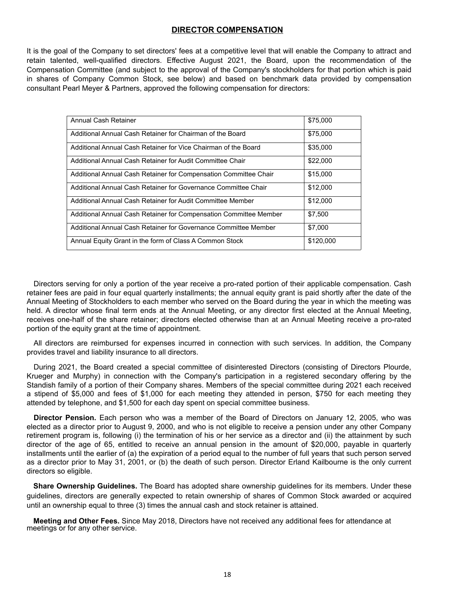# **DIRECTOR COMPENSATION**

It is the goal of the Company to set directors' fees at a competitive level that will enable the Company to attract and retain talented, well-qualified directors. Effective August 2021, the Board, upon the recommendation of the Compensation Committee (and subject to the approval of the Company's stockholders for that portion which is paid in shares of Company Common Stock, see below) and based on benchmark data provided by compensation consultant Pearl Meyer & Partners, approved the following compensation for directors:

| Annual Cash Retainer                                              | \$75,000  |
|-------------------------------------------------------------------|-----------|
| Additional Annual Cash Retainer for Chairman of the Board         | \$75,000  |
| Additional Annual Cash Retainer for Vice Chairman of the Board    | \$35,000  |
| Additional Annual Cash Retainer for Audit Committee Chair         | \$22,000  |
| Additional Annual Cash Retainer for Compensation Committee Chair  | \$15,000  |
| Additional Annual Cash Retainer for Governance Committee Chair    | \$12,000  |
| Additional Annual Cash Retainer for Audit Committee Member        | \$12,000  |
| Additional Annual Cash Retainer for Compensation Committee Member | \$7,500   |
| Additional Annual Cash Retainer for Governance Committee Member   | \$7,000   |
| Annual Equity Grant in the form of Class A Common Stock           | \$120,000 |

Directors serving for only a portion of the year receive a pro-rated portion of their applicable compensation. Cash retainer fees are paid in four equal quarterly installments; the annual equity grant is paid shortly after the date of the Annual Meeting of Stockholders to each member who served on the Board during the year in which the meeting was held. A director whose final term ends at the Annual Meeting, or any director first elected at the Annual Meeting, receives one-half of the share retainer; directors elected otherwise than at an Annual Meeting receive a pro-rated portion of the equity grant at the time of appointment.

All directors are reimbursed for expenses incurred in connection with such services. In addition, the Company provides travel and liability insurance to all directors.

During 2021, the Board created a special committee of disinterested Directors (consisting of Directors Plourde, Krueger and Murphy) in connection with the Company's participation in a registered secondary offering by the Standish family of a portion of their Company shares. Members of the special committee during 2021 each received a stipend of \$5,000 and fees of \$1,000 for each meeting they attended in person, \$750 for each meeting they attended by telephone, and \$1,500 for each day spent on special committee business.

**Director Pension.** Each person who was a member of the Board of Directors on January 12, 2005, who was elected as a director prior to August 9, 2000, and who is not eligible to receive a pension under any other Company retirement program is, following (i) the termination of his or her service as a director and (ii) the attainment by such director of the age of 65, entitled to receive an annual pension in the amount of \$20,000, payable in quarterly installments until the earlier of (a) the expiration of a period equal to the number of full years that such person served as a director prior to May 31, 2001, or (b) the death of such person. Director Erland Kailbourne is the only current directors so eligible.

**Share Ownership Guidelines.** The Board has adopted share ownership guidelines for its members. Under these guidelines, directors are generally expected to retain ownership of shares of Common Stock awarded or acquired until an ownership equal to three (3) times the annual cash and stock retainer is attained.

**Meeting and Other Fees.** Since May 2018, Directors have not received any additional fees for attendance at meetings or for any other service.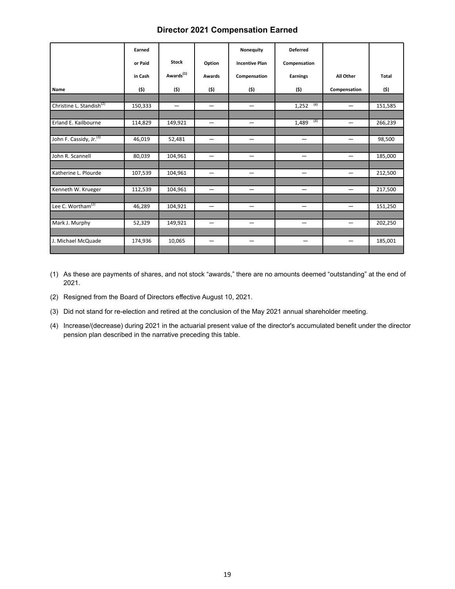# **Director 2021 Compensation Earned**

|                                      | Earned<br>or Paid | <b>Stock</b>          | Option                   | Nonequity<br><b>Incentive Plan</b> | <b>Deferred</b><br>Compensation |              |         |
|--------------------------------------|-------------------|-----------------------|--------------------------|------------------------------------|---------------------------------|--------------|---------|
|                                      | in Cash           | Awards <sup>(1)</sup> | <b>Awards</b>            | Compensation                       | Earnings                        | All Other    | Total   |
| Name                                 | (5)               | (\$)                  | (5)                      | (5)                                | (\$)                            | Compensation | (5)     |
|                                      |                   |                       |                          |                                    |                                 |              |         |
| Christine L. Standish <sup>(2)</sup> | 150,333           |                       | -                        |                                    | (4)<br>1,252                    |              | 151,585 |
|                                      |                   |                       |                          |                                    |                                 |              |         |
| Erland E. Kailbourne                 | 114,829           | 149,921               | —                        | —                                  | (4)<br>1,489                    | —            | 266,239 |
|                                      |                   |                       |                          |                                    |                                 |              |         |
| John F. Cassidy, Jr. <sup>(3)</sup>  | 46,019            | 52,481                | —                        | —                                  | $\qquad \qquad$                 | —            | 98,500  |
|                                      |                   |                       |                          |                                    |                                 |              |         |
| John R. Scannell                     | 80,039            | 104,961               | $\overline{\phantom{0}}$ | $\qquad \qquad -$                  |                                 | —            | 185,000 |
|                                      |                   |                       |                          |                                    |                                 |              |         |
| Katherine L. Plourde                 | 107,539           | 104,961               | $\overline{\phantom{0}}$ | —                                  |                                 | —            | 212,500 |
|                                      |                   |                       |                          |                                    |                                 |              |         |
| Kenneth W. Krueger                   | 112,539           | 104,961               | $\overline{\phantom{0}}$ | $\qquad \qquad -$                  |                                 | —            | 217,500 |
|                                      |                   |                       |                          |                                    |                                 |              |         |
| Lee C. Wortham <sup>(2)</sup>        | 46,289            | 104,921               | -                        | $\qquad \qquad$                    | $\overline{\phantom{0}}$        | —            | 151,250 |
|                                      |                   |                       |                          |                                    |                                 |              |         |
| Mark J. Murphy                       | 52,329            | 149,921               | -                        | -                                  |                                 | —            | 202,250 |
| J. Michael McQuade                   | 174,936           | 10,065                |                          | —                                  |                                 |              | 185,001 |

- (1) As these are payments of shares, and not stock "awards," there are no amounts deemed "outstanding" at the end of 2021.
- (2) Resigned from the Board of Directors effective August 10, 2021.
- (3) Did not stand for re-election and retired at the conclusion of the May 2021 annual shareholder meeting.
- (4) Increase/(decrease) during 2021 in the actuarial present value of the director's accumulated benefit under the director pension plan described in the narrative preceding this table.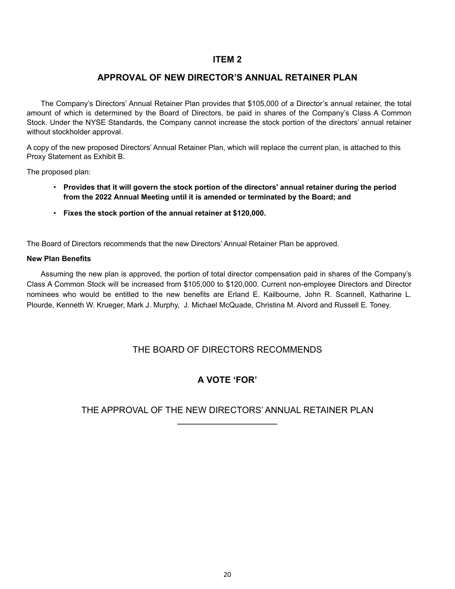# **ITEM 2**

# **APPROVAL OF NEW DIRECTOR'S ANNUAL RETAINER PLAN**

The Company's Directors' Annual Retainer Plan provides that \$105,000 of a Director's annual retainer, the total amount of which is determined by the Board of Directors, be paid in shares of the Company's Class A Common Stock. Under the NYSE Standards, the Company cannot increase the stock portion of the directors' annual retainer without stockholder approval.

A copy of the new proposed Directors' Annual Retainer Plan, which will replace the current plan, is attached to this Proxy Statement as Exhibit B.

The proposed plan:

- **Provides that it will govern the stock portion of the directors' annual retainer during the period from the 2022 Annual Meeting until it is amended or terminated by the Board; and**
- **Fixes the stock portion of the annual retainer at \$120,000.**

The Board of Directors recommends that the new Directors' Annual Retainer Plan be approved.

## **New Plan Benefits**

Assuming the new plan is approved, the portion of total director compensation paid in shares of the Company's Class A Common Stock will be increased from \$105,000 to \$120,000. Current non-employee Directors and Director nominees who would be entitled to the new benefits are Erland E. Kailbourne, John R. Scannell, Katharine L. Plourde, Kenneth W. Krueger, Mark J. Murphy, J. Michael McQuade, Christina M. Alvord and Russell E. Toney.

# THE BOARD OF DIRECTORS RECOMMENDS

# **A VOTE 'FOR'**

THE APPROVAL OF THE NEW DIRECTORS' ANNUAL RETAINER PLAN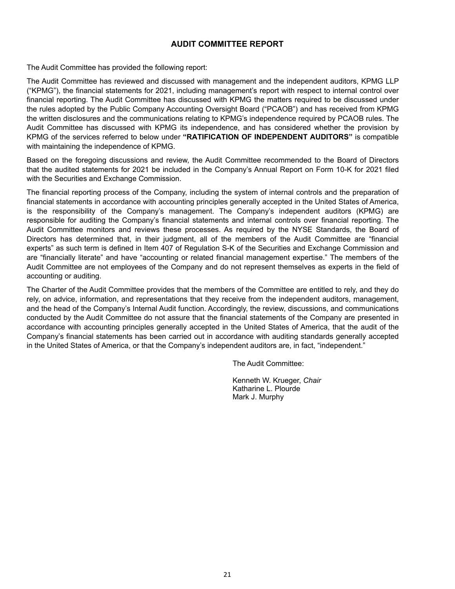# **AUDIT COMMITTEE REPORT**

The Audit Committee has provided the following report:

The Audit Committee has reviewed and discussed with management and the independent auditors, KPMG LLP ("KPMG"), the financial statements for 2021, including management's report with respect to internal control over financial reporting. The Audit Committee has discussed with KPMG the matters required to be discussed under the rules adopted by the Public Company Accounting Oversight Board ("PCAOB") and has received from KPMG the written disclosures and the communications relating to KPMG's independence required by PCAOB rules. The Audit Committee has discussed with KPMG its independence, and has considered whether the provision by KPMG of the services referred to below under **"RATIFICATION OF INDEPENDENT AUDITORS"** is compatible with maintaining the independence of KPMG.

Based on the foregoing discussions and review, the Audit Committee recommended to the Board of Directors that the audited statements for 2021 be included in the Company's Annual Report on Form 10-K for 2021 filed with the Securities and Exchange Commission.

The financial reporting process of the Company, including the system of internal controls and the preparation of financial statements in accordance with accounting principles generally accepted in the United States of America, is the responsibility of the Company's management. The Company's independent auditors (KPMG) are responsible for auditing the Company's financial statements and internal controls over financial reporting. The Audit Committee monitors and reviews these processes. As required by the NYSE Standards, the Board of Directors has determined that, in their judgment, all of the members of the Audit Committee are "financial experts" as such term is defined in Item 407 of Regulation S-K of the Securities and Exchange Commission and are "financially literate" and have "accounting or related financial management expertise." The members of the Audit Committee are not employees of the Company and do not represent themselves as experts in the field of accounting or auditing.

The Charter of the Audit Committee provides that the members of the Committee are entitled to rely, and they do rely, on advice, information, and representations that they receive from the independent auditors, management, and the head of the Company's Internal Audit function. Accordingly, the review, discussions, and communications conducted by the Audit Committee do not assure that the financial statements of the Company are presented in accordance with accounting principles generally accepted in the United States of America, that the audit of the Company's financial statements has been carried out in accordance with auditing standards generally accepted in the United States of America, or that the Company's independent auditors are, in fact, "independent."

The Audit Committee:

Kenneth W. Krueger, *Chair* Katharine L. Plourde Mark J. Murphy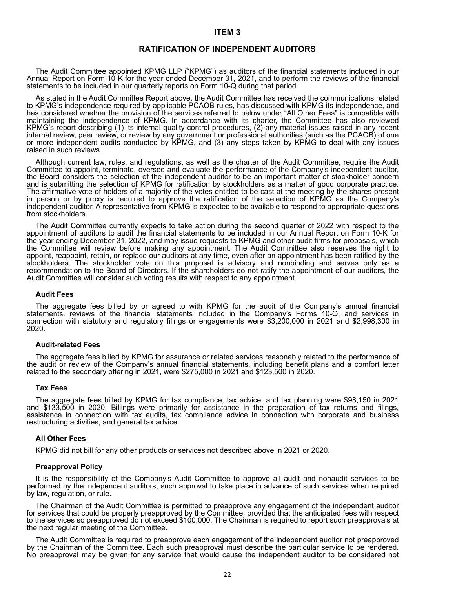# **RATIFICATION OF INDEPENDENT AUDITORS**

The Audit Committee appointed KPMG LLP ("KPMG") as auditors of the financial statements included in our Annual Report on Form 10-K for the year ended December 31, 2021, and to perform the reviews of the financial statements to be included in our quarterly reports on Form 10-Q during that period.

As stated in the Audit Committee Report above, the Audit Committee has received the communications related to KPMG's independence required by applicable PCAOB rules, has discussed with KPMG its independence, and has considered whether the provision of the services referred to below under "All Other Fees" is compatible with maintaining the independence of KPMG. In accordance with its charter, the Committee has also reviewed KPMG's report describing (1) its internal quality-control procedures, (2) any material issues raised in any recent internal review, peer review, or review by any government or professional authorities (such as the PCAOB) of one or more independent audits conducted by KPMG, and (3) any steps taken by KPMG to deal with any issues raised in such reviews.

Although current law, rules, and regulations, as well as the charter of the Audit Committee, require the Audit Committee to appoint, terminate, oversee and evaluate the performance of the Company's independent auditor, the Board considers the selection of the independent auditor to be an important matter of stockholder concern and is submitting the selection of KPMG for ratification by stockholders as a matter of good corporate practice. The affirmative vote of holders of a majority of the votes entitled to be cast at the meeting by the shares present in person or by proxy is required to approve the ratification of the selection of KPMG as the Company's independent auditor. A representative from KPMG is expected to be available to respond to appropriate questions from stockholders.

The Audit Committee currently expects to take action during the second quarter of 2022 with respect to the appointment of auditors to audit the financial statements to be included in our Annual Report on Form 10-K for the year ending December 31, 2022, and may issue requests to KPMG and other audit firms for proposals, which the Committee will review before making any appointment. The Audit Committee also reserves the right to appoint, reappoint, retain, or replace our auditors at any time, even after an appointment has been ratified by the stockholders. The stockholder vote on this proposal is advisory and nonbinding and serves only as a recommendation to the Board of Directors. If the shareholders do not ratify the appointment of our auditors, the Audit Committee will consider such voting results with respect to any appointment.

#### **Audit Fees**

The aggregate fees billed by or agreed to with KPMG for the audit of the Company's annual financial statements, reviews of the financial statements included in the Company's Forms 10-Q, and services in connection with statutory and regulatory filings or engagements were \$3,200,000 in 2021 and \$2,998,300 in 2020.

#### **Audit-related Fees**

The aggregate fees billed by KPMG for assurance or related services reasonably related to the performance of the audit or review of the Company's annual financial statements, including benefit plans and a comfort letter related to the secondary offering in 2021, were \$275,000 in 2021 and \$123,500 in 2020.

#### **Tax Fees**

The aggregate fees billed by KPMG for tax compliance, tax advice, and tax planning were \$98,150 in 2021 and \$133,500 in 2020. Billings were primarily for assistance in the preparation of tax returns and filings, assistance in connection with tax audits, tax compliance advice in connection with corporate and business restructuring activities, and general tax advice.

#### **All Other Fees**

KPMG did not bill for any other products or services not described above in 2021 or 2020.

#### **Preapproval Policy**

It is the responsibility of the Company's Audit Committee to approve all audit and nonaudit services to be performed by the independent auditors, such approval to take place in advance of such services when required by law, regulation, or rule.

The Chairman of the Audit Committee is permitted to preapprove any engagement of the independent auditor for services that could be properly preapproved by the Committee, provided that the anticipated fees with respect to the services so preapproved do not exceed \$100,000. The Chairman is required to report such preapprovals at the next regular meeting of the Committee.

The Audit Committee is required to preapprove each engagement of the independent auditor not preapproved by the Chairman of the Committee. Each such preapproval must describe the particular service to be rendered. No preapproval may be given for any service that would cause the independent auditor to be considered not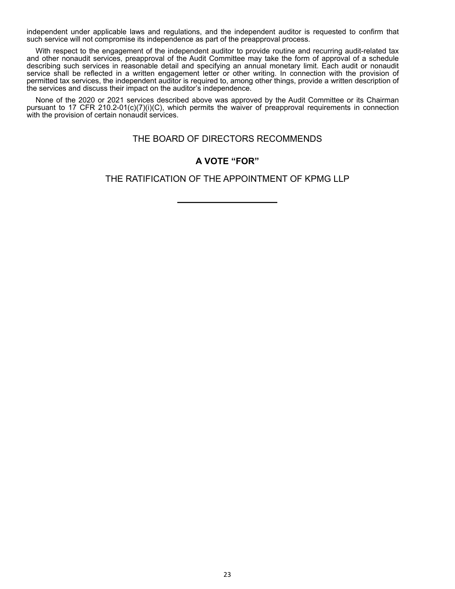independent under applicable laws and regulations, and the independent auditor is requested to confirm that such service will not compromise its independence as part of the preapproval process.

With respect to the engagement of the independent auditor to provide routine and recurring audit-related tax and other nonaudit services, preapproval of the Audit Committee may take the form of approval of a schedule describing such services in reasonable detail and specifying an annual monetary limit. Each audit or nonaudit service shall be reflected in a written engagement letter or other writing. In connection with the provision of permitted tax services, the independent auditor is required to, among other things, provide a written description of the services and discuss their impact on the auditor's independence.

None of the 2020 or 2021 services described above was approved by the Audit Committee or its Chairman pursuant to 17 CFR 210.2-01(c)(7)(i)(C), which permits the waiver of preapproval requirements in connection with the provision of certain nonaudit services.

# THE BOARD OF DIRECTORS RECOMMENDS

# **A VOTE "FOR"**

THE RATIFICATION OF THE APPOINTMENT OF KPMG LLP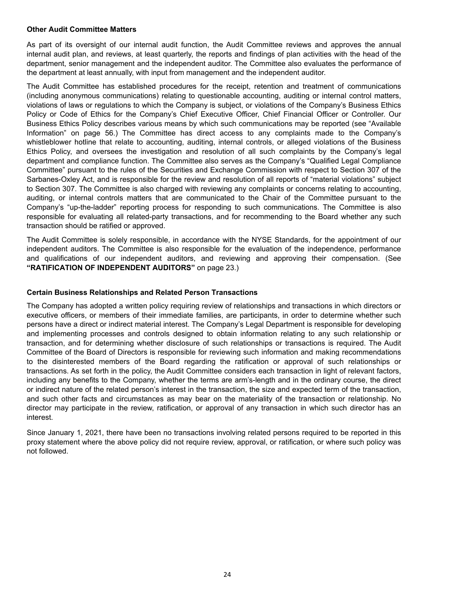## **Other Audit Committee Matters**

As part of its oversight of our internal audit function, the Audit Committee reviews and approves the annual internal audit plan, and reviews, at least quarterly, the reports and findings of plan activities with the head of the department, senior management and the independent auditor. The Committee also evaluates the performance of the department at least annually, with input from management and the independent auditor.

The Audit Committee has established procedures for the receipt, retention and treatment of communications (including anonymous communications) relating to questionable accounting, auditing or internal control matters, violations of laws or regulations to which the Company is subject, or violations of the Company's Business Ethics Policy or Code of Ethics for the Company's Chief Executive Officer, Chief Financial Officer or Controller. Our Business Ethics Policy describes various means by which such communications may be reported (see "Available Information" on page 56.) The Committee has direct access to any complaints made to the Company's whistleblower hotline that relate to accounting, auditing, internal controls, or alleged violations of the Business Ethics Policy, and oversees the investigation and resolution of all such complaints by the Company's legal department and compliance function. The Committee also serves as the Company's "Qualified Legal Compliance Committee" pursuant to the rules of the Securities and Exchange Commission with respect to Section 307 of the Sarbanes-Oxley Act, and is responsible for the review and resolution of all reports of "material violations" subject to Section 307. The Committee is also charged with reviewing any complaints or concerns relating to accounting, auditing, or internal controls matters that are communicated to the Chair of the Committee pursuant to the Company's "up-the-ladder" reporting process for responding to such communications. The Committee is also responsible for evaluating all related-party transactions, and for recommending to the Board whether any such transaction should be ratified or approved.

The Audit Committee is solely responsible, in accordance with the NYSE Standards, for the appointment of our independent auditors. The Committee is also responsible for the evaluation of the independence, performance and qualifications of our independent auditors, and reviewing and approving their compensation. (See **"RATIFICATION OF INDEPENDENT AUDITORS"** on page 23.)

## **Certain Business Relationships and Related Person Transactions**

The Company has adopted a written policy requiring review of relationships and transactions in which directors or executive officers, or members of their immediate families, are participants, in order to determine whether such persons have a direct or indirect material interest. The Company's Legal Department is responsible for developing and implementing processes and controls designed to obtain information relating to any such relationship or transaction, and for determining whether disclosure of such relationships or transactions is required. The Audit Committee of the Board of Directors is responsible for reviewing such information and making recommendations to the disinterested members of the Board regarding the ratification or approval of such relationships or transactions. As set forth in the policy, the Audit Committee considers each transaction in light of relevant factors, including any benefits to the Company, whether the terms are arm's-length and in the ordinary course, the direct or indirect nature of the related person's interest in the transaction, the size and expected term of the transaction, and such other facts and circumstances as may bear on the materiality of the transaction or relationship. No director may participate in the review, ratification, or approval of any transaction in which such director has an interest.

Since January 1, 2021, there have been no transactions involving related persons required to be reported in this proxy statement where the above policy did not require review, approval, or ratification, or where such policy was not followed.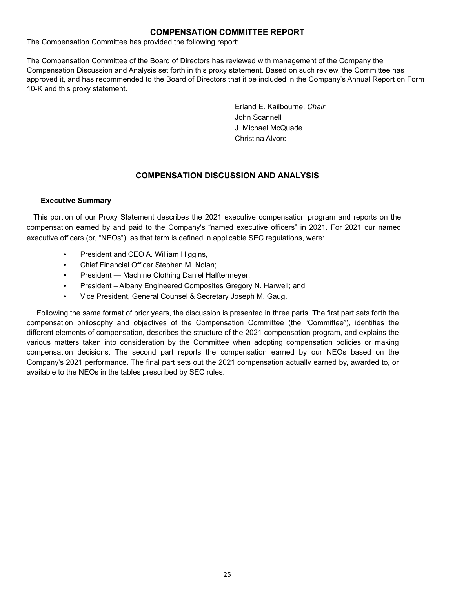# **COMPENSATION COMMITTEE REPORT**

The Compensation Committee has provided the following report:

The Compensation Committee of the Board of Directors has reviewed with management of the Company the Compensation Discussion and Analysis set forth in this proxy statement. Based on such review, the Committee has approved it, and has recommended to the Board of Directors that it be included in the Company's Annual Report on Form 10-K and this proxy statement.

> Erland E. Kailbourne, *Chair* John Scannell J. Michael McQuade Christina Alvord

# **COMPENSATION DISCUSSION AND ANALYSIS**

# **Executive Summary**

This portion of our Proxy Statement describes the 2021 executive compensation program and reports on the compensation earned by and paid to the Company's "named executive officers" in 2021. For 2021 our named executive officers (or, "NEOs"), as that term is defined in applicable SEC regulations, were:

- President and CEO A. William Higgins,
- Chief Financial Officer Stephen M. Nolan;
- President Machine Clothing Daniel Halftermeyer;
- President Albany Engineered Composites Gregory N. Harwell; and
- Vice President, General Counsel & Secretary Joseph M. Gaug.

Following the same format of prior years, the discussion is presented in three parts. The first part sets forth the compensation philosophy and objectives of the Compensation Committee (the "Committee"), identifies the different elements of compensation, describes the structure of the 2021 compensation program, and explains the various matters taken into consideration by the Committee when adopting compensation policies or making compensation decisions. The second part reports the compensation earned by our NEOs based on the Company's 2021 performance. The final part sets out the 2021 compensation actually earned by, awarded to, or available to the NEOs in the tables prescribed by SEC rules.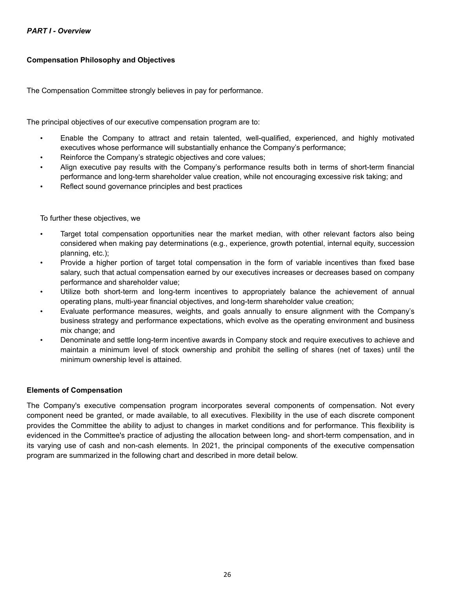# **Compensation Philosophy and Objectives**

The Compensation Committee strongly believes in pay for performance.

The principal objectives of our executive compensation program are to:

- Enable the Company to attract and retain talented, well-qualified, experienced, and highly motivated executives whose performance will substantially enhance the Company's performance;
- Reinforce the Company's strategic objectives and core values;
- Align executive pay results with the Company's performance results both in terms of short-term financial performance and long-term shareholder value creation, while not encouraging excessive risk taking; and
- Reflect sound governance principles and best practices

## To further these objectives, we

- Target total compensation opportunities near the market median, with other relevant factors also being considered when making pay determinations (e.g., experience, growth potential, internal equity, succession planning, etc.);
- Provide a higher portion of target total compensation in the form of variable incentives than fixed base salary, such that actual compensation earned by our executives increases or decreases based on company performance and shareholder value;
- Utilize both short-term and long-term incentives to appropriately balance the achievement of annual operating plans, multi-year financial objectives, and long-term shareholder value creation;
- Evaluate performance measures, weights, and goals annually to ensure alignment with the Company's business strategy and performance expectations, which evolve as the operating environment and business mix change; and
- Denominate and settle long-term incentive awards in Company stock and require executives to achieve and maintain a minimum level of stock ownership and prohibit the selling of shares (net of taxes) until the minimum ownership level is attained.

## **Elements of Compensation**

The Company's executive compensation program incorporates several components of compensation. Not every component need be granted, or made available, to all executives. Flexibility in the use of each discrete component provides the Committee the ability to adjust to changes in market conditions and for performance. This flexibility is evidenced in the Committee's practice of adjusting the allocation between long- and short-term compensation, and in its varying use of cash and non-cash elements. In 2021, the principal components of the executive compensation program are summarized in the following chart and described in more detail below.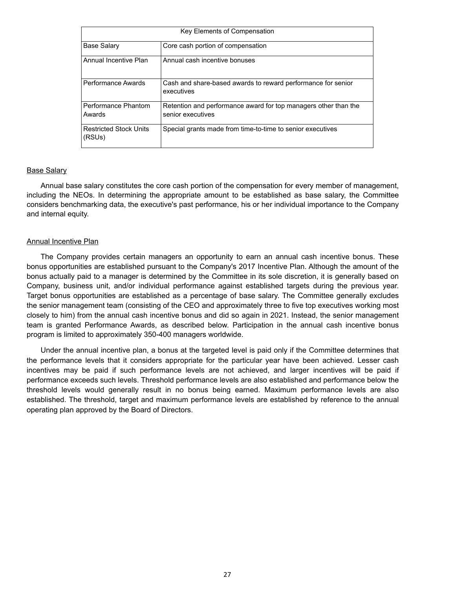| Key Elements of Compensation            |                                                                                      |  |  |  |  |
|-----------------------------------------|--------------------------------------------------------------------------------------|--|--|--|--|
| <b>Base Salary</b>                      | Core cash portion of compensation                                                    |  |  |  |  |
| Annual Incentive Plan                   | Annual cash incentive bonuses                                                        |  |  |  |  |
| Performance Awards                      | Cash and share-based awards to reward performance for senior<br>executives           |  |  |  |  |
| Performance Phantom<br>Awards           | Retention and performance award for top managers other than the<br>senior executives |  |  |  |  |
| <b>Restricted Stock Units</b><br>(RSUs) | Special grants made from time-to-time to senior executives                           |  |  |  |  |

## Base Salary

Annual base salary constitutes the core cash portion of the compensation for every member of management, including the NEOs. In determining the appropriate amount to be established as base salary, the Committee considers benchmarking data, the executive's past performance, his or her individual importance to the Company and internal equity.

## Annual Incentive Plan

The Company provides certain managers an opportunity to earn an annual cash incentive bonus. These bonus opportunities are established pursuant to the Company's 2017 Incentive Plan. Although the amount of the bonus actually paid to a manager is determined by the Committee in its sole discretion, it is generally based on Company, business unit, and/or individual performance against established targets during the previous year. Target bonus opportunities are established as a percentage of base salary. The Committee generally excludes the senior management team (consisting of the CEO and approximately three to five top executives working most closely to him) from the annual cash incentive bonus and did so again in 2021. Instead, the senior management team is granted Performance Awards, as described below. Participation in the annual cash incentive bonus program is limited to approximately 350-400 managers worldwide.

Under the annual incentive plan, a bonus at the targeted level is paid only if the Committee determines that the performance levels that it considers appropriate for the particular year have been achieved. Lesser cash incentives may be paid if such performance levels are not achieved, and larger incentives will be paid if performance exceeds such levels. Threshold performance levels are also established and performance below the threshold levels would generally result in no bonus being earned. Maximum performance levels are also established. The threshold, target and maximum performance levels are established by reference to the annual operating plan approved by the Board of Directors.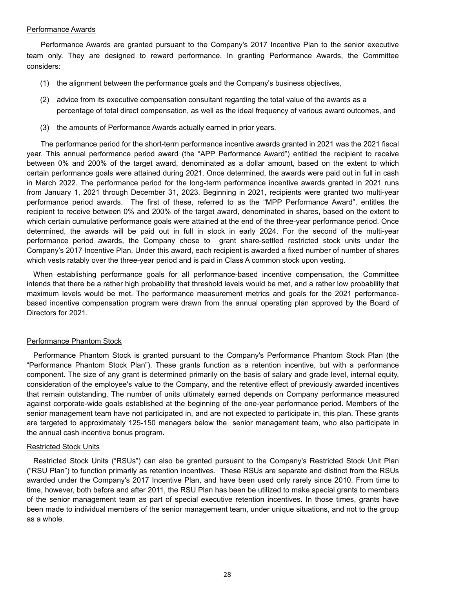## Performance Awards

Performance Awards are granted pursuant to the Company's 2017 Incentive Plan to the senior executive team only. They are designed to reward performance. In granting Performance Awards, the Committee considers:

- (1) the alignment between the performance goals and the Company's business objectives,
- (2) advice from its executive compensation consultant regarding the total value of the awards as a percentage of total direct compensation, as well as the ideal frequency of various award outcomes, and
- (3) the amounts of Performance Awards actually earned in prior years.

The performance period for the short-term performance incentive awards granted in 2021 was the 2021 fiscal year. This annual performance period award (the "APP Performance Award") entitled the recipient to receive between 0% and 200% of the target award, denominated as a dollar amount, based on the extent to which certain performance goals were attained during 2021. Once determined, the awards were paid out in full in cash in March 2022. The performance period for the long-term performance incentive awards granted in 2021 runs from January 1, 2021 through December 31, 2023. Beginning in 2021, recipients were granted two multi-year performance period awards. The first of these, referred to as the "MPP Performance Award", entitles the recipient to receive between 0% and 200% of the target award, denominated in shares, based on the extent to which certain cumulative performance goals were attained at the end of the three-year performance period. Once determined, the awards will be paid out in full in stock in early 2024. For the second of the multi-year performance period awards, the Company chose to grant share-settled restricted stock units under the Company's 2017 Incentive Plan. Under this award, each recipient is awarded a fixed number of number of shares which vests ratably over the three-year period and is paid in Class A common stock upon vesting.

When establishing performance goals for all performance-based incentive compensation, the Committee intends that there be a rather high probability that threshold levels would be met, and a rather low probability that maximum levels would be met. The performance measurement metrics and goals for the 2021 performancebased incentive compensation program were drawn from the annual operating plan approved by the Board of Directors for 2021.

# Performance Phantom Stock

Performance Phantom Stock is granted pursuant to the Company's Performance Phantom Stock Plan (the "Performance Phantom Stock Plan"). These grants function as a retention incentive, but with a performance component. The size of any grant is determined primarily on the basis of salary and grade level, internal equity, consideration of the employee's value to the Company, and the retentive effect of previously awarded incentives that remain outstanding. The number of units ultimately earned depends on Company performance measured against corporate-wide goals established at the beginning of the one-year performance period. Members of the senior management team have not participated in, and are not expected to participate in, this plan. These grants are targeted to approximately 125-150 managers below the senior management team, who also participate in the annual cash incentive bonus program.

## Restricted Stock Units

Restricted Stock Units ("RSUs") can also be granted pursuant to the Company's Restricted Stock Unit Plan ("RSU Plan") to function primarily as retention incentives. These RSUs are separate and distinct from the RSUs awarded under the Company's 2017 Incentive Plan, and have been used only rarely since 2010. From time to time, however, both before and after 2011, the RSU Plan has been be utilized to make special grants to members of the senior management team as part of special executive retention incentives. In those times, grants have been made to individual members of the senior management team, under unique situations, and not to the group as a whole.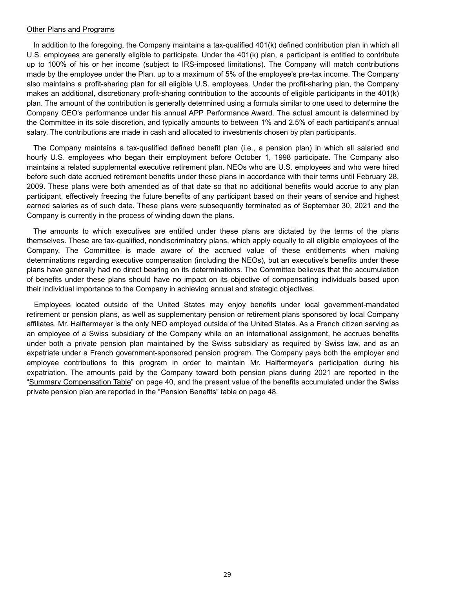### Other Plans and Programs

In addition to the foregoing, the Company maintains a tax-qualified 401(k) defined contribution plan in which all U.S. employees are generally eligible to participate. Under the 401(k) plan, a participant is entitled to contribute up to 100% of his or her income (subject to IRS-imposed limitations). The Company will match contributions made by the employee under the Plan, up to a maximum of 5% of the employee's pre-tax income. The Company also maintains a profit-sharing plan for all eligible U.S. employees. Under the profit-sharing plan, the Company makes an additional, discretionary profit-sharing contribution to the accounts of eligible participants in the 401(k) plan. The amount of the contribution is generally determined using a formula similar to one used to determine the Company CEO's performance under his annual APP Performance Award. The actual amount is determined by the Committee in its sole discretion, and typically amounts to between 1% and 2.5% of each participant's annual salary. The contributions are made in cash and allocated to investments chosen by plan participants.

The Company maintains a tax-qualified defined benefit plan (i.e., a pension plan) in which all salaried and hourly U.S. employees who began their employment before October 1, 1998 participate. The Company also maintains a related supplemental executive retirement plan. NEOs who are U.S. employees and who were hired before such date accrued retirement benefits under these plans in accordance with their terms until February 28, 2009. These plans were both amended as of that date so that no additional benefits would accrue to any plan participant, effectively freezing the future benefits of any participant based on their years of service and highest earned salaries as of such date. These plans were subsequently terminated as of September 30, 2021 and the Company is currently in the process of winding down the plans.

The amounts to which executives are entitled under these plans are dictated by the terms of the plans themselves. These are tax-qualified, nondiscriminatory plans, which apply equally to all eligible employees of the Company. The Committee is made aware of the accrued value of these entitlements when making determinations regarding executive compensation (including the NEOs), but an executive's benefits under these plans have generally had no direct bearing on its determinations. The Committee believes that the accumulation of benefits under these plans should have no impact on its objective of compensating individuals based upon their individual importance to the Company in achieving annual and strategic objectives.

Employees located outside of the United States may enjoy benefits under local government-mandated retirement or pension plans, as well as supplementary pension or retirement plans sponsored by local Company affiliates. Mr. Halftermeyer is the only NEO employed outside of the United States. As a French citizen serving as an employee of a Swiss subsidiary of the Company while on an international assignment, he accrues benefits under both a private pension plan maintained by the Swiss subsidiary as required by Swiss law, and as an expatriate under a French government-sponsored pension program. The Company pays both the employer and employee contributions to this program in order to maintain Mr. Halftermeyer's participation during his expatriation. The amounts paid by the Company toward both pension plans during 2021 are reported in the "Summary Compensation Table" on page 40, and the present value of the benefits accumulated under the Swiss private pension plan are reported in the "Pension Benefits" table on page 48.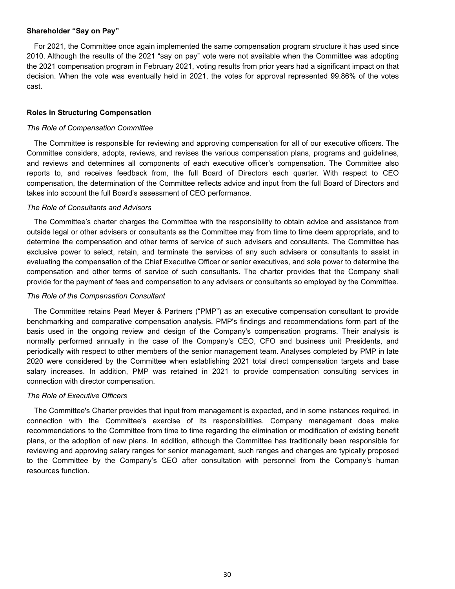## **Shareholder "Say on Pay"**

For 2021, the Committee once again implemented the same compensation program structure it has used since 2010. Although the results of the 2021 "say on pay" vote were not available when the Committee was adopting the 2021 compensation program in February 2021, voting results from prior years had a significant impact on that decision. When the vote was eventually held in 2021, the votes for approval represented 99.86% of the votes cast.

### **Roles in Structuring Compensation**

#### *The Role of Compensation Committee*

The Committee is responsible for reviewing and approving compensation for all of our executive officers. The Committee considers, adopts, reviews, and revises the various compensation plans, programs and guidelines, and reviews and determines all components of each executive officer's compensation. The Committee also reports to, and receives feedback from, the full Board of Directors each quarter. With respect to CEO compensation, the determination of the Committee reflects advice and input from the full Board of Directors and takes into account the full Board's assessment of CEO performance.

## *The Role of Consultants and Advisors*

The Committee's charter charges the Committee with the responsibility to obtain advice and assistance from outside legal or other advisers or consultants as the Committee may from time to time deem appropriate, and to determine the compensation and other terms of service of such advisers and consultants. The Committee has exclusive power to select, retain, and terminate the services of any such advisers or consultants to assist in evaluating the compensation of the Chief Executive Officer or senior executives, and sole power to determine the compensation and other terms of service of such consultants. The charter provides that the Company shall provide for the payment of fees and compensation to any advisers or consultants so employed by the Committee.

#### *The Role of the Compensation Consultant*

The Committee retains Pearl Meyer & Partners ("PMP") as an executive compensation consultant to provide benchmarking and comparative compensation analysis. PMP's findings and recommendations form part of the basis used in the ongoing review and design of the Company's compensation programs. Their analysis is normally performed annually in the case of the Company's CEO, CFO and business unit Presidents, and periodically with respect to other members of the senior management team. Analyses completed by PMP in late 2020 were considered by the Committee when establishing 2021 total direct compensation targets and base salary increases. In addition, PMP was retained in 2021 to provide compensation consulting services in connection with director compensation.

#### *The Role of Executive Officers*

The Committee's Charter provides that input from management is expected, and in some instances required, in connection with the Committee's exercise of its responsibilities. Company management does make recommendations to the Committee from time to time regarding the elimination or modification of existing benefit plans, or the adoption of new plans. In addition, although the Committee has traditionally been responsible for reviewing and approving salary ranges for senior management, such ranges and changes are typically proposed to the Committee by the Company's CEO after consultation with personnel from the Company's human resources function.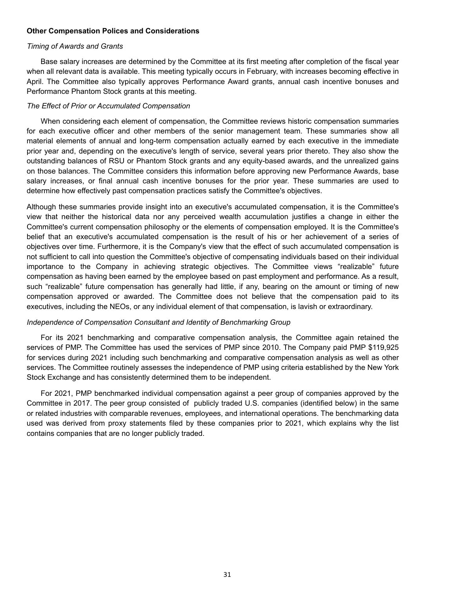## **Other Compensation Polices and Considerations**

### *Timing of Awards and Grants*

Base salary increases are determined by the Committee at its first meeting after completion of the fiscal year when all relevant data is available. This meeting typically occurs in February, with increases becoming effective in April. The Committee also typically approves Performance Award grants, annual cash incentive bonuses and Performance Phantom Stock grants at this meeting.

## *The Effect of Prior or Accumulated Compensation*

When considering each element of compensation, the Committee reviews historic compensation summaries for each executive officer and other members of the senior management team. These summaries show all material elements of annual and long-term compensation actually earned by each executive in the immediate prior year and, depending on the executive's length of service, several years prior thereto. They also show the outstanding balances of RSU or Phantom Stock grants and any equity-based awards, and the unrealized gains on those balances. The Committee considers this information before approving new Performance Awards, base salary increases, or final annual cash incentive bonuses for the prior year. These summaries are used to determine how effectively past compensation practices satisfy the Committee's objectives.

Although these summaries provide insight into an executive's accumulated compensation, it is the Committee's view that neither the historical data nor any perceived wealth accumulation justifies a change in either the Committee's current compensation philosophy or the elements of compensation employed. It is the Committee's belief that an executive's accumulated compensation is the result of his or her achievement of a series of objectives over time. Furthermore, it is the Company's view that the effect of such accumulated compensation is not sufficient to call into question the Committee's objective of compensating individuals based on their individual importance to the Company in achieving strategic objectives. The Committee views "realizable" future compensation as having been earned by the employee based on past employment and performance. As a result, such "realizable" future compensation has generally had little, if any, bearing on the amount or timing of new compensation approved or awarded. The Committee does not believe that the compensation paid to its executives, including the NEOs, or any individual element of that compensation, is lavish or extraordinary.

#### *Independence of Compensation Consultant and Identity of Benchmarking Group*

For its 2021 benchmarking and comparative compensation analysis, the Committee again retained the services of PMP. The Committee has used the services of PMP since 2010. The Company paid PMP \$119,925 for services during 2021 including such benchmarking and comparative compensation analysis as well as other services. The Committee routinely assesses the independence of PMP using criteria established by the New York Stock Exchange and has consistently determined them to be independent.

For 2021, PMP benchmarked individual compensation against a peer group of companies approved by the Committee in 2017. The peer group consisted of publicly traded U.S. companies (identified below) in the same or related industries with comparable revenues, employees, and international operations. The benchmarking data used was derived from proxy statements filed by these companies prior to 2021, which explains why the list contains companies that are no longer publicly traded.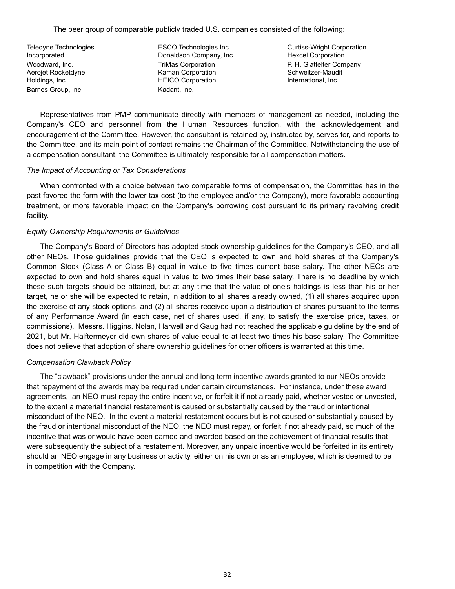Teledyne Technologies ESCO Technologies Inc. Curtiss-Wright Corporation Incorporated Donaldson Company, Inc. Hexcel Corporation Woodward, Inc. **TriMas Corporation** P. H. Glatfelter Company Aerojet Rocketdyne **Kaman Corporation** Schweitzer-Maudit Holdings, Inc. **HEICO Corporation** International, Inc. **International** Barnes Group, Inc. **Kadant, Inc.** Kadant, Inc.

Representatives from PMP communicate directly with members of management as needed, including the Company's CEO and personnel from the Human Resources function, with the acknowledgement and encouragement of the Committee. However, the consultant is retained by, instructed by, serves for, and reports to the Committee, and its main point of contact remains the Chairman of the Committee. Notwithstanding the use of a compensation consultant, the Committee is ultimately responsible for all compensation matters.

# *The Impact of Accounting or Tax Considerations*

When confronted with a choice between two comparable forms of compensation, the Committee has in the past favored the form with the lower tax cost (to the employee and/or the Company), more favorable accounting treatment, or more favorable impact on the Company's borrowing cost pursuant to its primary revolving credit facility.

# *Equity Ownership Requirements or Guidelines*

The Company's Board of Directors has adopted stock ownership guidelines for the Company's CEO, and all other NEOs. Those guidelines provide that the CEO is expected to own and hold shares of the Company's Common Stock (Class A or Class B) equal in value to five times current base salary. The other NEOs are expected to own and hold shares equal in value to two times their base salary. There is no deadline by which these such targets should be attained, but at any time that the value of one's holdings is less than his or her target, he or she will be expected to retain, in addition to all shares already owned, (1) all shares acquired upon the exercise of any stock options, and (2) all shares received upon a distribution of shares pursuant to the terms of any Performance Award (in each case, net of shares used, if any, to satisfy the exercise price, taxes, or commissions). Messrs. Higgins, Nolan, Harwell and Gaug had not reached the applicable guideline by the end of 2021, but Mr. Halftermeyer did own shares of value equal to at least two times his base salary. The Committee does not believe that adoption of share ownership guidelines for other officers is warranted at this time.

# *Compensation Clawback Policy*

The "clawback" provisions under the annual and long-term incentive awards granted to our NEOs provide that repayment of the awards may be required under certain circumstances. For instance, under these award agreements, an NEO must repay the entire incentive, or forfeit it if not already paid, whether vested or unvested, to the extent a material financial restatement is caused or substantially caused by the fraud or intentional misconduct of the NEO. In the event a material restatement occurs but is not caused or substantially caused by the fraud or intentional misconduct of the NEO, the NEO must repay, or forfeit if not already paid, so much of the incentive that was or would have been earned and awarded based on the achievement of financial results that were subsequently the subject of a restatement. Moreover, any unpaid incentive would be forfeited in its entirety should an NEO engage in any business or activity, either on his own or as an employee, which is deemed to be in competition with the Company.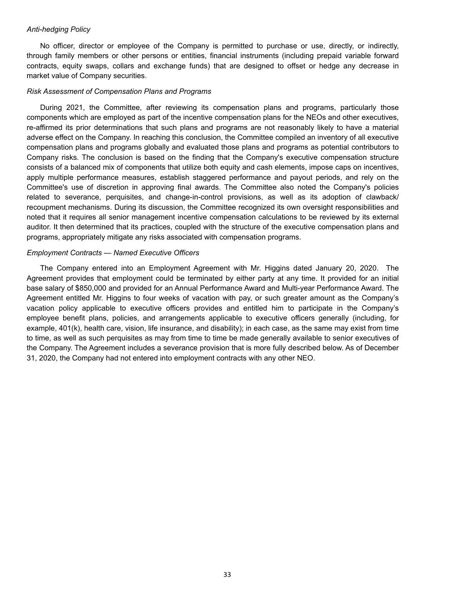### *Anti-hedging Policy*

No officer, director or employee of the Company is permitted to purchase or use, directly, or indirectly, through family members or other persons or entities, financial instruments (including prepaid variable forward contracts, equity swaps, collars and exchange funds) that are designed to offset or hedge any decrease in market value of Company securities.

#### *Risk Assessment of Compensation Plans and Programs*

During 2021, the Committee, after reviewing its compensation plans and programs, particularly those components which are employed as part of the incentive compensation plans for the NEOs and other executives, re-affirmed its prior determinations that such plans and programs are not reasonably likely to have a material adverse effect on the Company. In reaching this conclusion, the Committee compiled an inventory of all executive compensation plans and programs globally and evaluated those plans and programs as potential contributors to Company risks. The conclusion is based on the finding that the Company's executive compensation structure consists of a balanced mix of components that utilize both equity and cash elements, impose caps on incentives, apply multiple performance measures, establish staggered performance and payout periods, and rely on the Committee's use of discretion in approving final awards. The Committee also noted the Company's policies related to severance, perquisites, and change-in-control provisions, as well as its adoption of clawback/ recoupment mechanisms. During its discussion, the Committee recognized its own oversight responsibilities and noted that it requires all senior management incentive compensation calculations to be reviewed by its external auditor. It then determined that its practices, coupled with the structure of the executive compensation plans and programs, appropriately mitigate any risks associated with compensation programs.

#### *Employment Contracts — Named Executive Officers*

The Company entered into an Employment Agreement with Mr. Higgins dated January 20, 2020. The Agreement provides that employment could be terminated by either party at any time. It provided for an initial base salary of \$850,000 and provided for an Annual Performance Award and Multi-year Performance Award. The Agreement entitled Mr. Higgins to four weeks of vacation with pay, or such greater amount as the Company's vacation policy applicable to executive officers provides and entitled him to participate in the Company's employee benefit plans, policies, and arrangements applicable to executive officers generally (including, for example, 401(k), health care, vision, life insurance, and disability); in each case, as the same may exist from time to time, as well as such perquisites as may from time to time be made generally available to senior executives of the Company. The Agreement includes a severance provision that is more fully described below. As of December 31, 2020, the Company had not entered into employment contracts with any other NEO.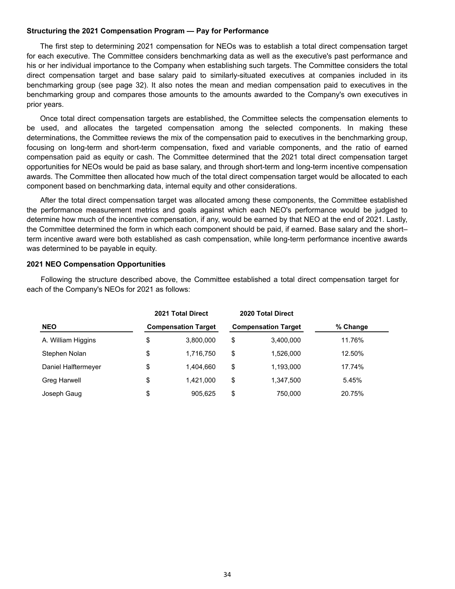## **Structuring the 2021 Compensation Program — Pay for Performance**

The first step to determining 2021 compensation for NEOs was to establish a total direct compensation target for each executive. The Committee considers benchmarking data as well as the executive's past performance and his or her individual importance to the Company when establishing such targets. The Committee considers the total direct compensation target and base salary paid to similarly-situated executives at companies included in its benchmarking group (see page 32). It also notes the mean and median compensation paid to executives in the benchmarking group and compares those amounts to the amounts awarded to the Company's own executives in prior years.

Once total direct compensation targets are established, the Committee selects the compensation elements to be used, and allocates the targeted compensation among the selected components. In making these determinations, the Committee reviews the mix of the compensation paid to executives in the benchmarking group, focusing on long-term and short-term compensation, fixed and variable components, and the ratio of earned compensation paid as equity or cash. The Committee determined that the 2021 total direct compensation target opportunities for NEOs would be paid as base salary, and through short-term and long-term incentive compensation awards. The Committee then allocated how much of the total direct compensation target would be allocated to each component based on benchmarking data, internal equity and other considerations.

After the total direct compensation target was allocated among these components, the Committee established the performance measurement metrics and goals against which each NEO's performance would be judged to determine how much of the incentive compensation, if any, would be earned by that NEO at the end of 2021. Lastly, the Committee determined the form in which each component should be paid, if earned. Base salary and the short– term incentive award were both established as cash compensation, while long-term performance incentive awards was determined to be payable in equity.

### **2021 NEO Compensation Opportunities**

Following the structure described above, the Committee established a total direct compensation target for each of the Company's NEOs for 2021 as follows:

|                     |                                                          | 2021 Total Direct |    | 2020 Total Direct |        |
|---------------------|----------------------------------------------------------|-------------------|----|-------------------|--------|
| <b>NEO</b>          | <b>Compensation Target</b><br><b>Compensation Target</b> |                   |    | % Change          |        |
| A. William Higgins  | \$                                                       | 3,800,000         | \$ | 3.400.000         | 11.76% |
| Stephen Nolan       | \$                                                       | 1,716,750         | \$ | 1,526,000         | 12.50% |
| Daniel Halftermeyer | \$                                                       | 1,404,660         | \$ | 1.193.000         | 17.74% |
| Greg Harwell        | \$                                                       | 1,421,000         | \$ | 1.347.500         | 5.45%  |
| Joseph Gaug         | \$                                                       | 905.625           | \$ | 750,000           | 20.75% |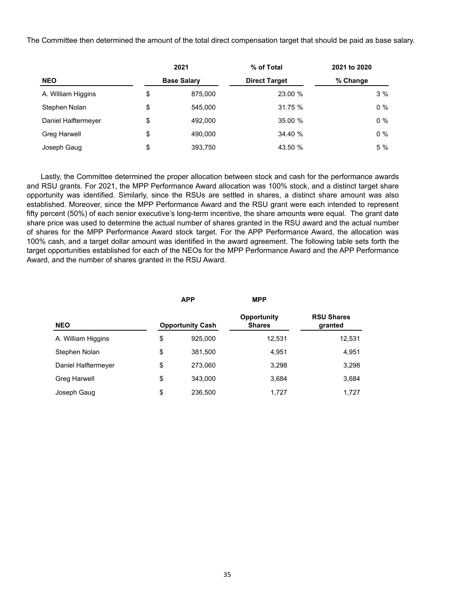The Committee then determined the amount of the total direct compensation target that should be paid as base salary.

|                     | 2021               | % of Total           | 2021 to 2020 |
|---------------------|--------------------|----------------------|--------------|
| <b>NEO</b>          | <b>Base Salary</b> | <b>Direct Target</b> | % Change     |
| A. William Higgins  | \$<br>875,000      | 23.00 %              | 3%           |
| Stephen Nolan       | \$<br>545.000      | 31.75 %              | $0\%$        |
| Daniel Halftermeyer | \$<br>492.000      | 35.00 %              | $0\%$        |
| Greg Harwell        | \$<br>490,000      | 34.40 %              | $0\%$        |
| Joseph Gaug         | \$<br>393,750      | 43.50 %              | 5 %          |

Lastly, the Committee determined the proper allocation between stock and cash for the performance awards and RSU grants. For 2021, the MPP Performance Award allocation was 100% stock, and a distinct target share opportunity was identified. Similarly, since the RSUs are settled in shares, a distinct share amount was also established. Moreover, since the MPP Performance Award and the RSU grant were each intended to represent fifty percent (50%) of each senior executive's long-term incentive, the share amounts were equal. The grant date share price was used to determine the actual number of shares granted in the RSU award and the actual number of shares for the MPP Performance Award stock target. For the APP Performance Award, the allocation was 100% cash, and a target dollar amount was identified in the award agreement. The following table sets forth the target opportunities established for each of the NEOs for the MPP Performance Award and the APP Performance Award, and the number of shares granted in the RSU Award.

|                     | <b>APP</b>              | <b>MPP</b>                   |                              |
|---------------------|-------------------------|------------------------------|------------------------------|
| <b>NEO</b>          | <b>Opportunity Cash</b> | Opportunity<br><b>Shares</b> | <b>RSU Shares</b><br>granted |
| A. William Higgins  | \$<br>925,000           | 12,531                       | 12,531                       |
| Stephen Nolan       | \$<br>381,500           | 4,951                        | 4,951                        |
| Daniel Halftermeyer | \$<br>273,060           | 3,298                        | 3,298                        |
| Greg Harwell        | \$<br>343,000           | 3,684                        | 3,684                        |
| Joseph Gaug         | \$<br>236,500           | 1,727                        | 1,727                        |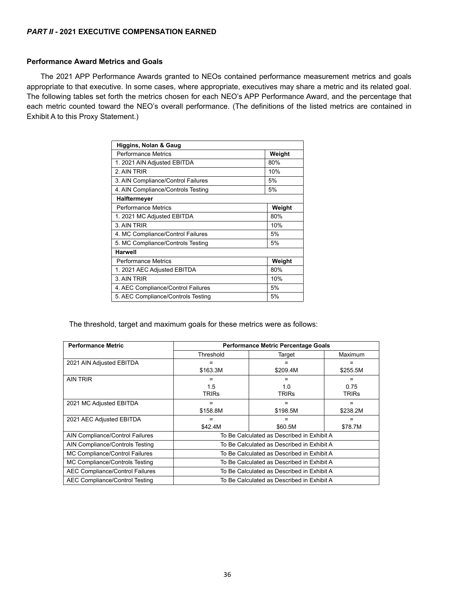# **Performance Award Metrics and Goals**

The 2021 APP Performance Awards granted to NEOs contained performance measurement metrics and goals appropriate to that executive. In some cases, where appropriate, executives may share a metric and its related goal. The following tables set forth the metrics chosen for each NEO's APP Performance Award, and the percentage that each metric counted toward the NEO's overall performance. (The definitions of the listed metrics are contained in Exhibit A to this Proxy Statement.)

| Higgins, Nolan & Gaug              |        |
|------------------------------------|--------|
| <b>Performance Metrics</b>         | Weight |
| 1. 2021 AIN Adjusted EBITDA        | 80%    |
| 2. AIN TRIR                        | 10%    |
| 3. AIN Compliance/Control Failures | 5%     |
| 4. AIN Compliance/Controls Testing | 5%     |
| Halftermeyer                       |        |
| <b>Performance Metrics</b>         | Weight |
| 1. 2021 MC Adjusted EBITDA         | 80%    |
| 3. AIN TRIR                        | 10%    |
| 4. MC Compliance/Control Failures  | 5%     |
| 5. MC Compliance/Controls Testing  | 5%     |
| Harwell                            |        |
| <b>Performance Metrics</b>         | Weight |
| 1. 2021 AEC Adjusted EBITDA        | 80%    |
| 3. AIN TRIR                        | 10%    |
| 4. AEC Compliance/Control Failures | 5%     |
| 5. AEC Compliance/Controls Testing | 5%     |
|                                    |        |

The threshold, target and maximum goals for these metrics were as follows:

| <b>Performance Metric</b>              | <b>Performance Metric Percentage Goals</b> |                                            |              |  |  |  |
|----------------------------------------|--------------------------------------------|--------------------------------------------|--------------|--|--|--|
|                                        | Threshold                                  | Target                                     | Maximum      |  |  |  |
| 2021 AIN Adjusted EBITDA               |                                            |                                            |              |  |  |  |
|                                        | \$163.3M                                   | \$209.4M                                   | \$255.5M     |  |  |  |
| <b>AIN TRIR</b>                        |                                            |                                            |              |  |  |  |
|                                        | 1.5                                        | 1.0                                        | 0.75         |  |  |  |
|                                        | <b>TRIRs</b>                               | <b>TRIRs</b>                               | <b>TRIRS</b> |  |  |  |
| 2021 MC Adjusted EBITDA                | $=$                                        | $=$                                        | $=$          |  |  |  |
|                                        | \$158.8M                                   | \$198.5M                                   | \$238.2M     |  |  |  |
| 2021 AEC Adjusted EBITDA               | $=$                                        |                                            | $=$          |  |  |  |
|                                        | \$42.4M                                    | \$60.5M                                    | \$78.7M      |  |  |  |
| AIN Compliance/Control Failures        |                                            | To Be Calculated as Described in Exhibit A |              |  |  |  |
| AIN Compliance/Controls Testing        |                                            | To Be Calculated as Described in Exhibit A |              |  |  |  |
| MC Compliance/Control Failures         | To Be Calculated as Described in Exhibit A |                                            |              |  |  |  |
| MC Compliance/Controls Testing         | To Be Calculated as Described in Exhibit A |                                            |              |  |  |  |
| <b>AEC Compliance/Control Failures</b> | To Be Calculated as Described in Exhibit A |                                            |              |  |  |  |
| <b>AEC Compliance/Control Testing</b>  |                                            | To Be Calculated as Described in Exhibit A |              |  |  |  |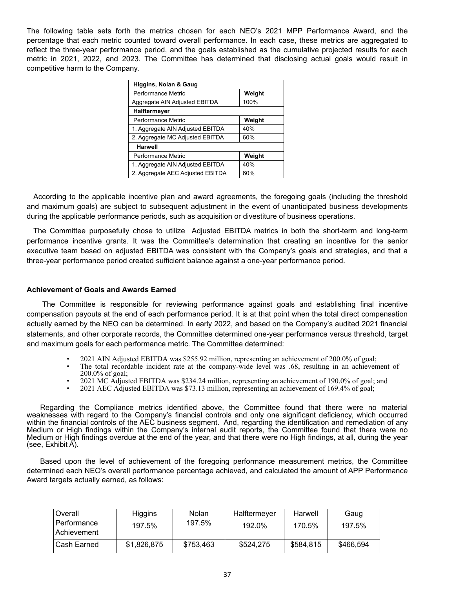The following table sets forth the metrics chosen for each NEO's 2021 MPP Performance Award, and the percentage that each metric counted toward overall performance. In each case, these metrics are aggregated to reflect the three-year performance period, and the goals established as the cumulative projected results for each metric in 2021, 2022, and 2023. The Committee has determined that disclosing actual goals would result in competitive harm to the Company.

| Higgins, Nolan & Gaug            |        |
|----------------------------------|--------|
| Performance Metric               | Weight |
| Aggregate AIN Adjusted EBITDA    | 100%   |
| Halftermeyer                     |        |
| Performance Metric               | Weight |
| 1. Aggregate AIN Adjusted EBITDA | 40%    |
| 2. Aggregate MC Adjusted EBITDA  | 60%    |
| Harwell                          |        |
| Performance Metric               | Weight |
| 1. Aggregate AIN Adjusted EBITDA | 40%    |
| 2. Aggregate AEC Adjusted EBITDA | 60%    |

According to the applicable incentive plan and award agreements, the foregoing goals (including the threshold and maximum goals) are subject to subsequent adjustment in the event of unanticipated business developments during the applicable performance periods, such as acquisition or divestiture of business operations.

The Committee purposefully chose to utilize Adjusted EBITDA metrics in both the short-term and long-term performance incentive grants. It was the Committee's determination that creating an incentive for the senior executive team based on adjusted EBITDA was consistent with the Company's goals and strategies, and that a three-year performance period created sufficient balance against a one-year performance period.

### **Achievement of Goals and Awards Earned**

The Committee is responsible for reviewing performance against goals and establishing final incentive compensation payouts at the end of each performance period. It is at that point when the total direct compensation actually earned by the NEO can be determined. In early 2022, and based on the Company's audited 2021 financial statements, and other corporate records, the Committee determined one-year performance versus threshold, target and maximum goals for each performance metric. The Committee determined:

- ∙ 2021 AIN Adjusted EBITDA was \$255.92 million, representing an achievement of 200.0% of goal;
- The total recordable incident rate at the company-wide level was .68, resulting in an achievement of 200.0% of goal;
- ∙ 2021 MC Adjusted EBITDA was \$234.24 million, representing an achievement of 190.0% of goal; and
- ∙ 2021 AEC Adjusted EBITDA was \$73.13 million, representing an achievement of 169.4% of goal;

Regarding the Compliance metrics identified above, the Committee found that there were no material weaknesses with regard to the Company's financial controls and only one significant deficiency, which occurred within the financial controls of the AEC business segment. And, regarding the identification and remediation of any Medium or High findings within the Company's internal audit reports, the Committee found that there were no Medium or High findings overdue at the end of the year, and that there were no High findings, at all, during the year (see, Exhibit A).

Based upon the level of achievement of the foregoing performance measurement metrics, the Committee determined each NEO's overall performance percentage achieved, and calculated the amount of APP Performance Award targets actually earned, as follows:

| Overall<br>⊦Performance<br>⊦Achievement | <b>Higgins</b><br>197.5% | Nolan<br>197.5% | Halftermeyer<br>192.0% | Harwell<br>170.5% | Gaug<br>197.5% |
|-----------------------------------------|--------------------------|-----------------|------------------------|-------------------|----------------|
| Cash Earned                             | \$1,826,875              | \$753,463       | \$524,275              | \$584,815         | \$466,594      |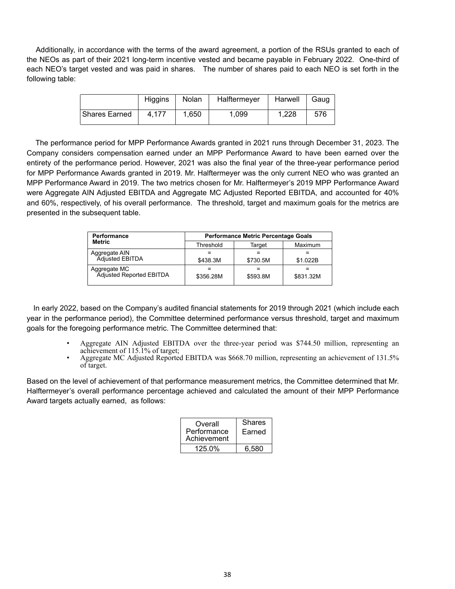Additionally, in accordance with the terms of the award agreement, a portion of the RSUs granted to each of the NEOs as part of their 2021 long-term incentive vested and became payable in February 2022. One-third of each NEO's target vested and was paid in shares. The number of shares paid to each NEO is set forth in the following table:

|                      | <b>Higgins</b> | Nolan | Halftermeyer | Harwell | Gaug |
|----------------------|----------------|-------|--------------|---------|------|
| <b>Shares Earned</b> | 4.177          | 1.650 | 1.099        | 1.228   | 576  |

The performance period for MPP Performance Awards granted in 2021 runs through December 31, 2023. The Company considers compensation earned under an MPP Performance Award to have been earned over the entirety of the performance period. However, 2021 was also the final year of the three-year performance period for MPP Performance Awards granted in 2019. Mr. Halftermeyer was the only current NEO who was granted an MPP Performance Award in 2019. The two metrics chosen for Mr. Halftermeyer's 2019 MPP Performance Award were Aggregate AIN Adjusted EBITDA and Aggregate MC Adjusted Reported EBITDA, and accounted for 40% and 60%, respectively, of his overall performance. The threshold, target and maximum goals for the metrics are presented in the subsequent table.

| <b>Performance</b>                       | <b>Performance Metric Percentage Goals</b> |          |           |  |  |  |
|------------------------------------------|--------------------------------------------|----------|-----------|--|--|--|
| Metric                                   | Threshold                                  | Target   | Maximum   |  |  |  |
| Aggregate AIN<br>Adjusted EBITDA         |                                            |          |           |  |  |  |
|                                          | \$438.3M                                   | \$730.5M | \$1.022B  |  |  |  |
| Aggregate MC<br>Adjusted Reported EBITDA | \$356.28M                                  | \$593.8M | \$831.32M |  |  |  |

In early 2022, based on the Company's audited financial statements for 2019 through 2021 (which include each year in the performance period), the Committee determined performance versus threshold, target and maximum goals for the foregoing performance metric. The Committee determined that:

- ∙ Aggregate AIN Adjusted EBITDA over the three-year period was \$744.50 million, representing an achievement of 115.1% of target;
- ∙ Aggregate MC Adjusted Reported EBITDA was \$668.70 million, representing an achievement of 131.5% of target.

Based on the level of achievement of that performance measurement metrics, the Committee determined that Mr. Halftermeyer's overall performance percentage achieved and calculated the amount of their MPP Performance Award targets actually earned, as follows:

| Overall<br>Performance<br>Achievement | Shares<br>Earned |
|---------------------------------------|------------------|
| 125.0%                                | 6.580            |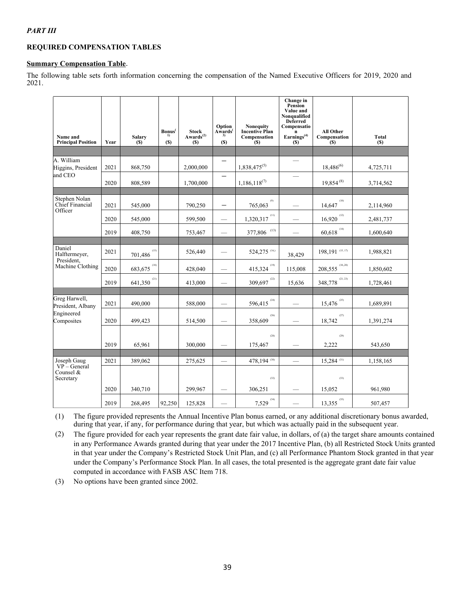# **REQUIRED COMPENSATION TABLES**

# **Summary Compensation Table**

The following table sets forth information concerning the compensation of the Named Executive Officers for 2019, 2020 and 2021.

| Name and<br><b>Principal Position</b> | Year | <b>Salary</b><br>(S)                 | $B_{0}^{n}$ nus <sup>(</sup><br>(S) | $StockAwards(2)$<br><b>(S)</b> | Option<br>$\mathbf{A}\mathbf{w}_3^{\dagger}$<br><b>(S)</b> | Nonequity<br><b>Incentive Plan</b><br>Compensation<br><b>(S)</b> | Change in<br><b>Pension</b><br>Value and<br>Nonqualified<br><b>Deferred</b><br>Compensatio<br>$\mathbf n$<br>Earnings <sup>(4)</sup><br><b>(S)</b> | All Other<br>Compensation<br>(S)         | <b>Total</b><br><b>(S)</b> |
|---------------------------------------|------|--------------------------------------|-------------------------------------|--------------------------------|------------------------------------------------------------|------------------------------------------------------------------|----------------------------------------------------------------------------------------------------------------------------------------------------|------------------------------------------|----------------------------|
|                                       |      |                                      |                                     |                                |                                                            |                                                                  |                                                                                                                                                    |                                          |                            |
| A. William<br>Higgins, President      | 2021 | 868,750                              |                                     | 2,000,000                      |                                                            | $1,838,475^{(5)}$                                                |                                                                                                                                                    | $18,486^{(6)}$                           | 4,725,711                  |
| and CEO                               | 2020 | 808,589                              |                                     | 1,700,000                      | —                                                          | $1,186,118^{(7)}$                                                |                                                                                                                                                    | $19,854^{(8)}$                           | 3,714,562                  |
| Stephen Nolan                         |      |                                      |                                     |                                |                                                            |                                                                  |                                                                                                                                                    |                                          |                            |
| Chief Financial<br>Officer            | 2021 | 545,000                              |                                     | 790,250                        | —                                                          | (9)<br>765,063                                                   |                                                                                                                                                    | (10)<br>14,647                           | 2,114,960                  |
|                                       | 2020 | 545,000                              |                                     | 599,500                        |                                                            | (11)<br>1,320,317                                                |                                                                                                                                                    | $\underline{16,920}$ <sup>(12)</sup>     | 2,481,737                  |
|                                       | 2019 | 408,750                              |                                     | 753,467                        |                                                            | (13)<br>377,806                                                  |                                                                                                                                                    | $\underline{60,}618$ <sup>(14)</sup>     | 1,600,640                  |
|                                       |      |                                      |                                     |                                |                                                            |                                                                  |                                                                                                                                                    |                                          |                            |
| Daniel<br>Halftermeyer,               | 2021 | (15)<br>701,486                      |                                     | 526,440                        |                                                            | 524,275 (16,)                                                    | 38,429                                                                                                                                             | 198,191 (15,17)                          | 1,988,821                  |
| President.<br>Machine Clothing        | 2020 | (18)<br>683,675                      |                                     | 428,040                        |                                                            | (19)<br>415,324                                                  | 115,008                                                                                                                                            | $\underline{208},555$ <sup>(18,20)</sup> | 1,850,602                  |
|                                       | 2019 | $\underbrace{641,350}^{\text{(21)}}$ |                                     | 413,000                        |                                                            | $\frac{309,697}{2}$                                              | 15,636                                                                                                                                             | $348,778$ <sup>(21, 23)</sup>            | 1,728,461                  |
|                                       |      |                                      |                                     |                                |                                                            |                                                                  |                                                                                                                                                    |                                          |                            |
| Greg Harwell,<br>President, Albany    | 2021 | 490,000                              |                                     | 588,000                        |                                                            | (24)<br>596,415                                                  |                                                                                                                                                    | $\frac{15,476}{ }$ <sup>(25)</sup>       | 1,689,891                  |
| Engineered<br>Composites              | 2020 | 499,423                              |                                     | 514,500                        |                                                            | (26)<br>358,609                                                  |                                                                                                                                                    | (27)<br>18,742                           | 1,391,274                  |
|                                       |      |                                      |                                     |                                |                                                            | (28)                                                             |                                                                                                                                                    | (29)                                     |                            |
|                                       | 2019 | 65,961                               |                                     | 300,000                        |                                                            | 175,467                                                          |                                                                                                                                                    | 2,222                                    | 543,650                    |
|                                       |      |                                      |                                     |                                |                                                            |                                                                  |                                                                                                                                                    |                                          |                            |
| Joseph Gaug<br>$VP - General$         | 2021 | 389,062                              |                                     | 275,625                        |                                                            | 478,194 (30)                                                     |                                                                                                                                                    | $15,284$ <sup>(31)</sup>                 | 1,158,165                  |
| Counsel &<br>Secretary                |      |                                      |                                     |                                |                                                            | (32)                                                             |                                                                                                                                                    | (33)                                     |                            |
|                                       | 2020 | 340,710                              |                                     | 299,967                        |                                                            | 306,251                                                          |                                                                                                                                                    | 15,052                                   | 961,980                    |
|                                       | 2019 | 268,495                              | 92,250                              | 125,828                        |                                                            | (34)<br>7,529                                                    |                                                                                                                                                    | $\frac{13,355}{ }$ <sup>(35)</sup>       | 507,457                    |

(1) The figure provided represents the Annual Incentive Plan bonus earned, or any additional discretionary bonus awarded, during that year, if any, for performance during that year, but which was actually paid in the subsequent year.

(2) The figure provided for each year represents the grant date fair value, in dollars, of (a) the target share amounts contained in any Performance Awards granted during that year under the 2017 Incentive Plan, (b) all Restricted Stock Units granted in that year under the Company's Restricted Stock Unit Plan, and (c) all Performance Phantom Stock granted in that year under the Company's Performance Stock Plan. In all cases, the total presented is the aggregate grant date fair value computed in accordance with FASB ASC Item 718.

(3) No options have been granted since 2002.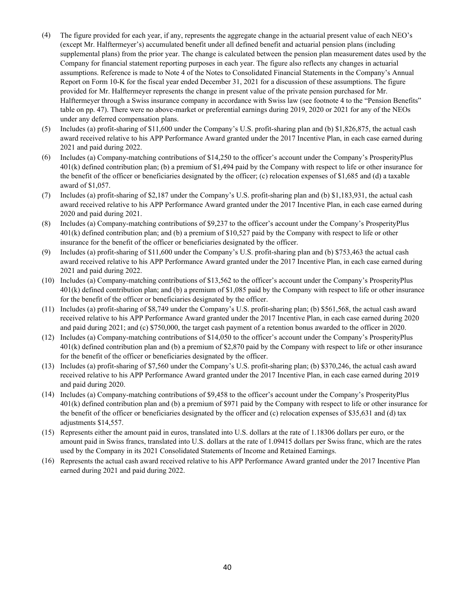- (4) The figure provided for each year, if any, represents the aggregate change in the actuarial present value of each NEO's (except Mr. Halftermeyer's) accumulated benefit under all defined benefit and actuarial pension plans (including supplemental plans) from the prior year. The change is calculated between the pension plan measurement dates used by the Company for financial statement reporting purposes in each year. The figure also reflects any changes in actuarial assumptions. Reference is made to Note 4 of the Notes to Consolidated Financial Statements in the Company's Annual Report on Form 10-K for the fiscal year ended December 31, 2021 for a discussion of these assumptions. The figure provided for Mr. Halftermeyer represents the change in present value of the private pension purchased for Mr. Halftermeyer through a Swiss insurance company in accordance with Swiss law (see footnote 4 to the "Pension Benefits" table on pp. 47). There were no above-market or preferential earnings during 2019, 2020 or 2021 for any of the NEOs under any deferred compensation plans.
- (5) Includes (a) profit-sharing of \$11,600 under the Company's U.S. profit-sharing plan and (b) \$1,826,875, the actual cash award received relative to his APP Performance Award granted under the 2017 Incentive Plan, in each case earned during 2021 and paid during 2022.
- (6) Includes (a) Company-matching contributions of \$14,250 to the officer's account under the Company's ProsperityPlus 401(k) defined contribution plan; (b) a premium of \$1,494 paid by the Company with respect to life or other insurance for the benefit of the officer or beneficiaries designated by the officer; (c) relocation expenses of \$1,685 and (d) a taxable award of \$1,057.
- (7) Includes (a) profit-sharing of \$2,187 under the Company's U.S. profit-sharing plan and (b) \$1,183,931, the actual cash award received relative to his APP Performance Award granted under the 2017 Incentive Plan, in each case earned during 2020 and paid during 2021.
- (8) Includes (a) Company-matching contributions of \$9,237 to the officer's account under the Company's ProsperityPlus 401(k) defined contribution plan; and (b) a premium of \$10,527 paid by the Company with respect to life or other insurance for the benefit of the officer or beneficiaries designated by the officer.
- (9) Includes (a) profit-sharing of \$11,600 under the Company's U.S. profit-sharing plan and (b) \$753,463 the actual cash award received relative to his APP Performance Award granted under the 2017 Incentive Plan, in each case earned during 2021 and paid during 2022.
- (10) Includes (a) Company-matching contributions of \$13,562 to the officer's account under the Company's ProsperityPlus 401(k) defined contribution plan; and (b) a premium of \$1,085 paid by the Company with respect to life or other insurance for the benefit of the officer or beneficiaries designated by the officer.
- (11) Includes (a) profit-sharing of \$8,749 under the Company's U.S. profit-sharing plan; (b) \$561,568, the actual cash award received relative to his APP Performance Award granted under the 2017 Incentive Plan, in each case earned during 2020 and paid during 2021; and (c) \$750,000, the target cash payment of a retention bonus awarded to the officer in 2020.
- (12) Includes (a) Company-matching contributions of \$14,050 to the officer's account under the Company's ProsperityPlus 401(k) defined contribution plan and (b) a premium of \$2,870 paid by the Company with respect to life or other insurance for the benefit of the officer or beneficiaries designated by the officer.
- (13) Includes (a) profit-sharing of \$7,560 under the Company's U.S. profit-sharing plan; (b) \$370,246, the actual cash award received relative to his APP Performance Award granted under the 2017 Incentive Plan, in each case earned during 2019 and paid during 2020.
- (14) Includes (a) Company-matching contributions of \$9,458 to the officer's account under the Company's ProsperityPlus 401(k) defined contribution plan and (b) a premium of \$971 paid by the Company with respect to life or other insurance for the benefit of the officer or beneficiaries designated by the officer and (c) relocation expenses of \$35,631 and (d) tax adjustments \$14,557.
- (15) Represents either the amount paid in euros, translated into U.S. dollars at the rate of 1.18306 dollars per euro, or the amount paid in Swiss francs, translated into U.S. dollars at the rate of 1.09415 dollars per Swiss franc, which are the rates used by the Company in its 2021 Consolidated Statements of Income and Retained Earnings.
- (16) Represents the actual cash award received relative to his APP Performance Award granted under the 2017 Incentive Plan earned during 2021 and paid during 2022.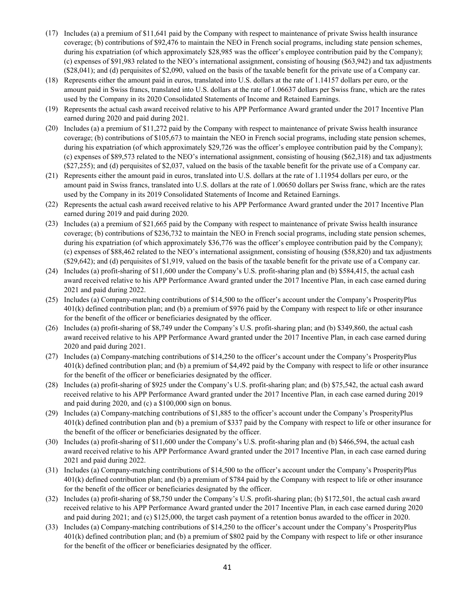- (17) Includes (a) a premium of \$11,641 paid by the Company with respect to maintenance of private Swiss health insurance coverage; (b) contributions of \$92,476 to maintain the NEO in French social programs, including state pension schemes, during his expatriation (of which approximately \$28,985 was the officer's employee contribution paid by the Company); (c) expenses of \$91,983 related to the NEO's international assignment, consisting of housing (\$63,942) and tax adjustments (\$28,041); and (d) perquisites of \$2,090, valued on the basis of the taxable benefit for the private use of a Company car.
- (18) Represents either the amount paid in euros, translated into U.S. dollars at the rate of 1.14157 dollars per euro, or the amount paid in Swiss francs, translated into U.S. dollars at the rate of 1.06637 dollars per Swiss franc, which are the rates used by the Company in its 2020 Consolidated Statements of Income and Retained Earnings.
- (19) Represents the actual cash award received relative to his APP Performance Award granted under the 2017 Incentive Plan earned during 2020 and paid during 2021.
- (20) Includes (a) a premium of \$11,272 paid by the Company with respect to maintenance of private Swiss health insurance coverage; (b) contributions of \$105,673 to maintain the NEO in French social programs, including state pension schemes, during his expatriation (of which approximately \$29,726 was the officer's employee contribution paid by the Company); (c) expenses of \$89,573 related to the NEO's international assignment, consisting of housing (\$62,318) and tax adjustments (\$27,255); and (d) perquisites of \$2,037, valued on the basis of the taxable benefit for the private use of a Company car.
- (21) Represents either the amount paid in euros, translated into U.S. dollars at the rate of 1.11954 dollars per euro, or the amount paid in Swiss francs, translated into U.S. dollars at the rate of 1.00650 dollars per Swiss franc, which are the rates used by the Company in its 2019 Consolidated Statements of Income and Retained Earnings.
- (22) Represents the actual cash award received relative to his APP Performance Award granted under the 2017 Incentive Plan earned during 2019 and paid during 2020.
- (23) Includes (a) a premium of \$21,665 paid by the Company with respect to maintenance of private Swiss health insurance coverage; (b) contributions of \$236,732 to maintain the NEO in French social programs, including state pension schemes, during his expatriation (of which approximately \$36,776 was the officer's employee contribution paid by the Company); (c) expenses of \$88,462 related to the NEO's international assignment, consisting of housing (\$58,820) and tax adjustments (\$29,642); and (d) perquisites of \$1,919, valued on the basis of the taxable benefit for the private use of a Company car.
- (24) Includes (a) profit-sharing of \$11,600 under the Company's U.S. profit-sharing plan and (b) \$584,415, the actual cash award received relative to his APP Performance Award granted under the 2017 Incentive Plan, in each case earned during 2021 and paid during 2022.
- (25) Includes (a) Company-matching contributions of \$14,500 to the officer's account under the Company's ProsperityPlus 401(k) defined contribution plan; and (b) a premium of \$976 paid by the Company with respect to life or other insurance for the benefit of the officer or beneficiaries designated by the officer.
- (26) Includes (a) profit-sharing of \$8,749 under the Company's U.S. profit-sharing plan; and (b) \$349,860, the actual cash award received relative to his APP Performance Award granted under the 2017 Incentive Plan, in each case earned during 2020 and paid during 2021.
- (27) Includes (a) Company-matching contributions of \$14,250 to the officer's account under the Company's ProsperityPlus 401(k) defined contribution plan; and (b) a premium of \$4,492 paid by the Company with respect to life or other insurance for the benefit of the officer or beneficiaries designated by the officer.
- (28) Includes (a) profit-sharing of \$925 under the Company's U.S. profit-sharing plan; and (b) \$75,542, the actual cash award received relative to his APP Performance Award granted under the 2017 Incentive Plan, in each case earned during 2019 and paid during 2020, and (c) a \$100,000 sign on bonus.
- (29) Includes (a) Company-matching contributions of \$1,885 to the officer's account under the Company's ProsperityPlus 401(k) defined contribution plan and (b) a premium of \$337 paid by the Company with respect to life or other insurance for the benefit of the officer or beneficiaries designated by the officer.
- (30) Includes (a) profit-sharing of \$11,600 under the Company's U.S. profit-sharing plan and (b) \$466,594, the actual cash award received relative to his APP Performance Award granted under the 2017 Incentive Plan, in each case earned during 2021 and paid during 2022.
- (31) Includes (a) Company-matching contributions of \$14,500 to the officer's account under the Company's ProsperityPlus 401(k) defined contribution plan; and (b) a premium of \$784 paid by the Company with respect to life or other insurance for the benefit of the officer or beneficiaries designated by the officer.
- (32) Includes (a) profit-sharing of \$8,750 under the Company's U.S. profit-sharing plan; (b) \$172,501, the actual cash award received relative to his APP Performance Award granted under the 2017 Incentive Plan, in each case earned during 2020 and paid during 2021; and (c) \$125,000, the target cash payment of a retention bonus awarded to the officer in 2020.
- (33) Includes (a) Company-matching contributions of \$14,250 to the officer's account under the Company's ProsperityPlus 401(k) defined contribution plan; and (b) a premium of \$802 paid by the Company with respect to life or other insurance for the benefit of the officer or beneficiaries designated by the officer.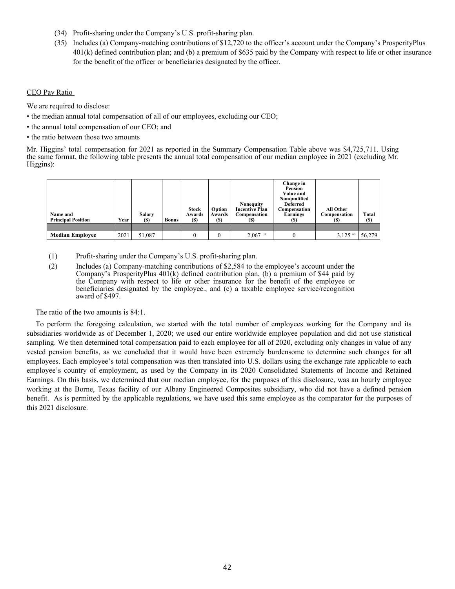- (34) Profit-sharing under the Company's U.S. profit-sharing plan.
- (35) Includes (a) Company-matching contributions of \$12,720 to the officer's account under the Company's ProsperityPlus 401(k) defined contribution plan; and (b) a premium of \$635 paid by the Company with respect to life or other insurance for the benefit of the officer or beneficiaries designated by the officer.

## CEO Pay Ratio

We are required to disclose:

- the median annual total compensation of all of our employees, excluding our CEO;
- the annual total compensation of our CEO; and
- the ratio between those two amounts

Mr. Higgins' total compensation for 2021 as reported in the Summary Compensation Table above was \$4,725,711. Using the same format, the following table presents the annual total compensation of our median employee in 2021 (excluding Mr. Higgins):

| Name and<br><b>Principal Position</b> | Year | Salary<br><b>(S)</b> | Bonus | <b>Stock</b><br>Awards<br>(S) | Option<br>Awards<br><b>(S)</b> | <b>Nonequity</b><br><b>Incentive Plan</b><br>Compensation<br>(S) | Change in<br>Pension<br>Value and<br>Nonqualified<br>Deferred<br>Compensation<br>Earnings<br>(S) | All Other<br>Compensation<br>(S) | Total<br><b>(S)</b> |
|---------------------------------------|------|----------------------|-------|-------------------------------|--------------------------------|------------------------------------------------------------------|--------------------------------------------------------------------------------------------------|----------------------------------|---------------------|
|                                       |      |                      |       |                               |                                |                                                                  |                                                                                                  |                                  |                     |
| <b>Median Employee</b>                | 2021 | 51,087               |       |                               |                                | $2,067$ <sup>(1)</sup>                                           |                                                                                                  | $3.125$ <sup>(2)</sup>           | 56,279              |

(1) Profit-sharing under the Company's U.S. profit-sharing plan.

(2) Includes (a) Company-matching contributions of \$2,584 to the employee's account under the Company's ProsperityPlus 401(k) defined contribution plan, (b) a premium of \$44 paid by the Company with respect to life or other insurance for the benefit of the employee or beneficiaries designated by the employee., and (c) a taxable employee service/recognition award of \$497.

The ratio of the two amounts is 84:1.

To perform the foregoing calculation, we started with the total number of employees working for the Company and its subsidiaries worldwide as of December 1, 2020; we used our entire worldwide employee population and did not use statistical sampling. We then determined total compensation paid to each employee for all of 2020, excluding only changes in value of any vested pension benefits, as we concluded that it would have been extremely burdensome to determine such changes for all employees. Each employee's total compensation was then translated into U.S. dollars using the exchange rate applicable to each employee's country of employment, as used by the Company in its 2020 Consolidated Statements of Income and Retained Earnings. On this basis, we determined that our median employee, for the purposes of this disclosure, was an hourly employee working at the Borne, Texas facility of our Albany Engineered Composites subsidiary, who did not have a defined pension benefit. As is permitted by the applicable regulations, we have used this same employee as the comparator for the purposes of this 2021 disclosure.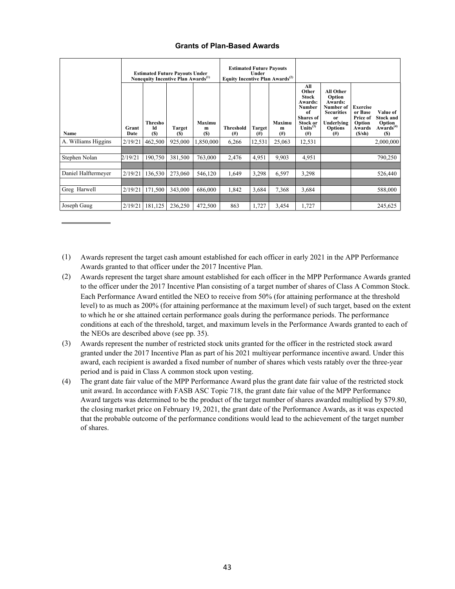|  |  | <b>Grants of Plan-Based Awards</b> |  |
|--|--|------------------------------------|--|
|--|--|------------------------------------|--|

|                     |               |                      | <b>Estimated Future Payouts Under</b><br>Nonequity Incentive Plan Awards <sup>(1)</sup> |                           | <b>Estimated Future Payouts</b><br>Under<br>Equity Incentive Plan Awards <sup>(2)</sup> |                           |                          |                                                                                                                                     |                                                                                                                           |                                                                         |                                                                                      |
|---------------------|---------------|----------------------|-----------------------------------------------------------------------------------------|---------------------------|-----------------------------------------------------------------------------------------|---------------------------|--------------------------|-------------------------------------------------------------------------------------------------------------------------------------|---------------------------------------------------------------------------------------------------------------------------|-------------------------------------------------------------------------|--------------------------------------------------------------------------------------|
| Name                | Grant<br>Date | Thresho<br>ld<br>(S) | <b>Target</b><br>(S)                                                                    | <b>Maximu</b><br>m<br>(S) | <b>Threshold</b><br>$^{(#)}$                                                            | <b>Target</b><br>$^{(#)}$ | Maximu<br>m<br>$($ # $)$ | All<br>Other<br><b>Stock</b><br>Awards:<br><b>Number</b><br>of<br><b>Shares</b> of<br><b>Stock or</b><br>Units $^{(3)}$<br>$^{(#)}$ | <b>All Other</b><br>Option<br>Awards:<br>Number of<br><b>Securities</b><br>0r<br>Underlying<br><b>Options</b><br>$^{(#)}$ | <b>Exercise</b><br>or Base<br>Price of<br>Option<br>Awards<br>$(S/\sh)$ | Value of<br><b>Stock and</b><br><b>Option</b><br>Awards <sup>(4)</sup><br><b>(S)</b> |
| A. Williams Higgins | 2/19/21       | 462,500              | 925,000                                                                                 | 1,850,000                 | 6,266                                                                                   | 12,531                    | 25,063                   | 12,531                                                                                                                              |                                                                                                                           |                                                                         | 2,000,000                                                                            |
|                     |               |                      |                                                                                         |                           |                                                                                         |                           |                          |                                                                                                                                     |                                                                                                                           |                                                                         |                                                                                      |
| Stephen Nolan       | 2/19/21       | 190,750              | 381,500                                                                                 | 763,000                   | 2,476                                                                                   | 4,951                     | 9,903                    | 4,951                                                                                                                               |                                                                                                                           |                                                                         | 790,250                                                                              |
|                     |               |                      |                                                                                         |                           |                                                                                         |                           |                          |                                                                                                                                     |                                                                                                                           |                                                                         |                                                                                      |
| Daniel Halftermeyer | 2/19/21       | 136,530              | 273,060                                                                                 | 546,120                   | 1,649                                                                                   | 3,298                     | 6,597                    | 3,298                                                                                                                               |                                                                                                                           |                                                                         | 526,440                                                                              |
|                     |               |                      |                                                                                         |                           |                                                                                         |                           |                          |                                                                                                                                     |                                                                                                                           |                                                                         |                                                                                      |
| Greg Harwell        | 2/19/21       | 171,500              | 343,000                                                                                 | 686,000                   | 1,842                                                                                   | 3,684                     | 7.368                    | 3,684                                                                                                                               |                                                                                                                           |                                                                         | 588,000                                                                              |
|                     |               |                      |                                                                                         |                           |                                                                                         |                           |                          |                                                                                                                                     |                                                                                                                           |                                                                         |                                                                                      |
| Joseph Gaug         | 2/19/21       | 181,125              | 236,250                                                                                 | 472,500                   | 863                                                                                     | 1,727                     | 3,454                    | 1,727                                                                                                                               |                                                                                                                           |                                                                         | 245,625                                                                              |

- (1) Awards represent the target cash amount established for each officer in early 2021 in the APP Performance Awards granted to that officer under the 2017 Incentive Plan.
- (2) Awards represent the target share amount established for each officer in the MPP Performance Awards granted to the officer under the 2017 Incentive Plan consisting of a target number of shares of Class A Common Stock. Each Performance Award entitled the NEO to receive from 50% (for attaining performance at the threshold level) to as much as 200% (for attaining performance at the maximum level) of such target, based on the extent to which he or she attained certain performance goals during the performance periods. The performance conditions at each of the threshold, target, and maximum levels in the Performance Awards granted to each of the NEOs are described above (see pp. 35).
- (3) Awards represent the number of restricted stock units granted for the officer in the restricted stock award granted under the 2017 Incentive Plan as part of his 2021 multiyear performance incentive award. Under this award, each recipient is awarded a fixed number of number of shares which vests ratably over the three-year period and is paid in Class A common stock upon vesting.
- (4) The grant date fair value of the MPP Performance Award plus the grant date fair value of the restricted stock unit award. In accordance with FASB ASC Topic 718, the grant date fair value of the MPP Performance Award targets was determined to be the product of the target number of shares awarded multiplied by \$79.80, the closing market price on February 19, 2021, the grant date of the Performance Awards, as it was expected that the probable outcome of the performance conditions would lead to the achievement of the target number of shares.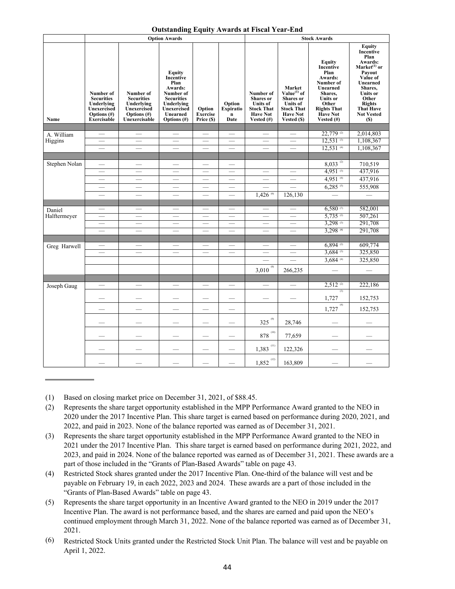### **Outstanding Equity Awards at Fiscal Year-End**

|               | <b>Option Awards</b>                                                                                    |                                                                                                |                                                                                                                                  |                                         |                                            | <b>Stock Awards</b>                                                                                       |                                                                                                                                 |                                                                                                                                                                                |                                                                                                                                                                                                                            |
|---------------|---------------------------------------------------------------------------------------------------------|------------------------------------------------------------------------------------------------|----------------------------------------------------------------------------------------------------------------------------------|-----------------------------------------|--------------------------------------------|-----------------------------------------------------------------------------------------------------------|---------------------------------------------------------------------------------------------------------------------------------|--------------------------------------------------------------------------------------------------------------------------------------------------------------------------------|----------------------------------------------------------------------------------------------------------------------------------------------------------------------------------------------------------------------------|
| Name          | Number of<br><b>Securities</b><br>Underlying<br><b>Unexercised</b><br>Options (#)<br><b>Exercisable</b> | Number of<br><b>Securities</b><br>Underlying<br>Unexercised<br>Options $(\#)$<br>Unexercisable | Equity<br>Incentive<br>Plan<br>Awards:<br>Number of<br><b>Securities</b><br>Underlying<br>Unexercised<br>Unearned<br>Options (#) | Option<br><b>Exercise</b><br>Price (\$) | Option<br>Expiratio<br>$\mathbf n$<br>Date | Number of<br><b>Shares</b> or<br><b>Units of</b><br><b>Stock That</b><br><b>Have Not</b><br>Vested $(\#)$ | Market<br>Value <sup>(1)</sup> of<br><b>Shares</b> or<br><b>Units</b> of<br><b>Stock That</b><br><b>Have Not</b><br>Vested (\$) | <b>Equity</b><br><b>Incentive</b><br>Plan<br>Awards:<br>Number of<br>Unearned<br>Shares,<br><b>Units or</b><br>Other<br><b>Rights That</b><br><b>Have Not</b><br>Vested $(\#)$ | <b>Equity</b><br>Incentive<br>Plan<br>Awards:<br>Market <sup>(1)</sup> or<br>Payout<br>Value of<br>Unearned<br>Shares,<br><b>Units or</b><br>Other<br><b>Rights</b><br><b>That Have</b><br><b>Not Vested</b><br><b>(S)</b> |
|               |                                                                                                         |                                                                                                |                                                                                                                                  |                                         |                                            |                                                                                                           |                                                                                                                                 |                                                                                                                                                                                |                                                                                                                                                                                                                            |
| A. William    | $\overline{\phantom{m}}$                                                                                |                                                                                                |                                                                                                                                  |                                         |                                            |                                                                                                           |                                                                                                                                 | $22,779$ <sup>(2)</sup>                                                                                                                                                        | 2,014,803                                                                                                                                                                                                                  |
| Higgins       |                                                                                                         |                                                                                                |                                                                                                                                  |                                         |                                            |                                                                                                           |                                                                                                                                 | $12,531$ <sup>(3)</sup><br>$12,531$ <sup>(4)</sup>                                                                                                                             | 1,108,367                                                                                                                                                                                                                  |
|               |                                                                                                         |                                                                                                |                                                                                                                                  |                                         |                                            |                                                                                                           |                                                                                                                                 |                                                                                                                                                                                | 1,108,367                                                                                                                                                                                                                  |
| Stephen Nolan |                                                                                                         |                                                                                                |                                                                                                                                  |                                         |                                            |                                                                                                           |                                                                                                                                 |                                                                                                                                                                                |                                                                                                                                                                                                                            |
|               |                                                                                                         |                                                                                                |                                                                                                                                  |                                         |                                            |                                                                                                           |                                                                                                                                 | $8,033^{(2)}$<br>$4,951$ <sup>(3)</sup>                                                                                                                                        | 710,519<br>437,916                                                                                                                                                                                                         |
|               |                                                                                                         |                                                                                                |                                                                                                                                  |                                         |                                            |                                                                                                           |                                                                                                                                 | $4,951^{(4)}$                                                                                                                                                                  |                                                                                                                                                                                                                            |
|               |                                                                                                         |                                                                                                |                                                                                                                                  |                                         |                                            |                                                                                                           |                                                                                                                                 |                                                                                                                                                                                | 437,916                                                                                                                                                                                                                    |
|               |                                                                                                         |                                                                                                |                                                                                                                                  |                                         |                                            |                                                                                                           |                                                                                                                                 | $6,285$ <sup>(5)</sup>                                                                                                                                                         | 555,908                                                                                                                                                                                                                    |
|               |                                                                                                         |                                                                                                |                                                                                                                                  |                                         | $\overline{\phantom{0}}$                   | $1,426$ <sup>(6)</sup>                                                                                    | 126,130                                                                                                                         |                                                                                                                                                                                |                                                                                                                                                                                                                            |
| Daniel        |                                                                                                         |                                                                                                |                                                                                                                                  |                                         | $\overbrace{\phantom{12333}}$              | $\qquad \qquad \longleftarrow$                                                                            |                                                                                                                                 | $6,580$ <sup>(7)</sup>                                                                                                                                                         | 582,001                                                                                                                                                                                                                    |
| Halftermeyer  |                                                                                                         |                                                                                                |                                                                                                                                  |                                         |                                            |                                                                                                           |                                                                                                                                 | $5,735$ <sup>(2)</sup>                                                                                                                                                         | 507,261                                                                                                                                                                                                                    |
|               |                                                                                                         | $\overline{\phantom{0}}$                                                                       |                                                                                                                                  | $\overline{\phantom{0}}$                |                                            | $\overline{\phantom{0}}$                                                                                  |                                                                                                                                 | $3,298$ <sup>(3)</sup>                                                                                                                                                         | 291,708                                                                                                                                                                                                                    |
|               | $\qquad \qquad$                                                                                         |                                                                                                | $\qquad \qquad$                                                                                                                  |                                         | $\overline{\phantom{0}}$                   |                                                                                                           |                                                                                                                                 | $3,298$ <sup>(4)</sup>                                                                                                                                                         | 291,708                                                                                                                                                                                                                    |
|               |                                                                                                         |                                                                                                |                                                                                                                                  |                                         |                                            |                                                                                                           |                                                                                                                                 |                                                                                                                                                                                |                                                                                                                                                                                                                            |
| Greg Harwell  |                                                                                                         |                                                                                                |                                                                                                                                  |                                         |                                            |                                                                                                           |                                                                                                                                 | $6,894$ <sup>(2)</sup>                                                                                                                                                         | 609,774                                                                                                                                                                                                                    |
|               |                                                                                                         |                                                                                                |                                                                                                                                  |                                         | $\overline{\phantom{0}}$                   |                                                                                                           |                                                                                                                                 | $3,684$ <sup>(3)</sup>                                                                                                                                                         | 325,850                                                                                                                                                                                                                    |
|               |                                                                                                         |                                                                                                |                                                                                                                                  |                                         |                                            |                                                                                                           | $\overline{\phantom{0}}$                                                                                                        | $3,684$ <sup>(4)</sup>                                                                                                                                                         | 325,850                                                                                                                                                                                                                    |
|               |                                                                                                         |                                                                                                |                                                                                                                                  |                                         |                                            | (8)<br>3,010                                                                                              | 266,235                                                                                                                         |                                                                                                                                                                                |                                                                                                                                                                                                                            |
|               |                                                                                                         |                                                                                                |                                                                                                                                  |                                         |                                            |                                                                                                           |                                                                                                                                 |                                                                                                                                                                                |                                                                                                                                                                                                                            |
| Joseph Gaug   |                                                                                                         |                                                                                                |                                                                                                                                  |                                         |                                            |                                                                                                           |                                                                                                                                 | $2,512$ <sup>(2)</sup>                                                                                                                                                         | 222,186                                                                                                                                                                                                                    |
|               |                                                                                                         |                                                                                                |                                                                                                                                  |                                         |                                            |                                                                                                           |                                                                                                                                 | (3)<br>1,727                                                                                                                                                                   | 152,753                                                                                                                                                                                                                    |
|               |                                                                                                         |                                                                                                |                                                                                                                                  |                                         |                                            |                                                                                                           |                                                                                                                                 | (4)<br>1,727                                                                                                                                                                   | 152,753                                                                                                                                                                                                                    |
|               |                                                                                                         |                                                                                                |                                                                                                                                  |                                         |                                            | $325$ $^\circ\!\!$                                                                                        | 28,746                                                                                                                          |                                                                                                                                                                                |                                                                                                                                                                                                                            |
|               |                                                                                                         |                                                                                                |                                                                                                                                  |                                         |                                            | $rac{878}{10}$                                                                                            | 77,659                                                                                                                          |                                                                                                                                                                                |                                                                                                                                                                                                                            |
|               |                                                                                                         |                                                                                                |                                                                                                                                  |                                         |                                            | $1,383$ <sup>(11)</sup>                                                                                   | 122,326                                                                                                                         |                                                                                                                                                                                |                                                                                                                                                                                                                            |
|               |                                                                                                         |                                                                                                |                                                                                                                                  |                                         |                                            | $1,852$ <sup>(12)</sup>                                                                                   | 163,809                                                                                                                         |                                                                                                                                                                                |                                                                                                                                                                                                                            |

<sup>(1)</sup> Based on closing market price on December 31, 2021, of \$88.45.

<sup>(2)</sup> Represents the share target opportunity established in the MPP Performance Award granted to the NEO in 2020 under the 2017 Incentive Plan. This share target is earned based on performance during 2020, 2021, and 2022, and paid in 2023. None of the balance reported was earned as of December 31, 2021.

<sup>(3)</sup> Represents the share target opportunity established in the MPP Performance Award granted to the NEO in 2021 under the 2017 Incentive Plan. This share target is earned based on performance during 2021, 2022, and 2023, and paid in 2024. None of the balance reported was earned as of December 31, 2021. These awards are a part of those included in the "Grants of Plan-Based Awards" table on page 43.

<sup>(4)</sup> Restricted Stock shares granted under the 2017 Incentive Plan. One-third of the balance will vest and be payable on February 19, in each 2022, 2023 and 2024. These awards are a part of those included in the "Grants of Plan-Based Awards" table on page 43.

<sup>(5)</sup> Represents the share target opportunity in an Incentive Award granted to the NEO in 2019 under the 2017 Incentive Plan. The award is not performance based, and the shares are earned and paid upon the NEO's continued employment through March 31, 2022. None of the balance reported was earned as of December 31, 2021.

<sup>(6)</sup> Restricted Stock Units granted under the Restricted Stock Unit Plan. The balance will vest and be payable on April 1, 2022.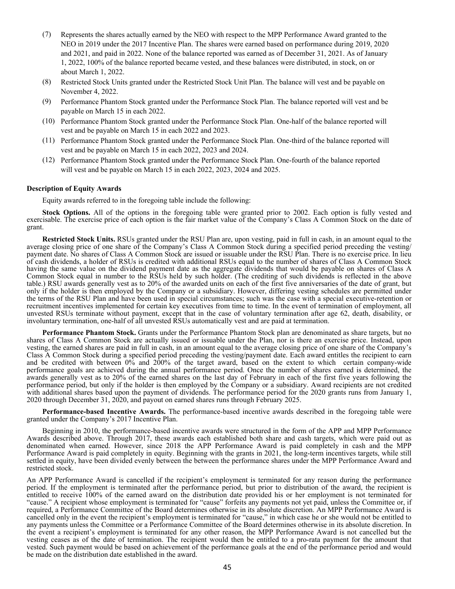- (7) Represents the shares actually earned by the NEO with respect to the MPP Performance Award granted to the NEO in 2019 under the 2017 Incentive Plan. The shares were earned based on performance during 2019, 2020 and 2021, and paid in 2022. None of the balance reported was earned as of December 31, 2021. As of January 1, 2022, 100% of the balance reported became vested, and these balances were distributed, in stock, on or about March 1, 2022.
- (8) Restricted Stock Units granted under the Restricted Stock Unit Plan. The balance will vest and be payable on November 4, 2022.
- (9) Performance Phantom Stock granted under the Performance Stock Plan. The balance reported will vest and be payable on March 15 in each 2022.
- (10) Performance Phantom Stock granted under the Performance Stock Plan. One-half of the balance reported will vest and be payable on March 15 in each 2022 and 2023.
- (11) Performance Phantom Stock granted under the Performance Stock Plan. One-third of the balance reported will vest and be payable on March 15 in each 2022, 2023 and 2024.
- (12) Performance Phantom Stock granted under the Performance Stock Plan. One-fourth of the balance reported will vest and be payable on March 15 in each 2022, 2023, 2024 and 2025.

#### **Description of Equity Awards**

Equity awards referred to in the foregoing table include the following:

**Stock Options.** All of the options in the foregoing table were granted prior to 2002. Each option is fully vested and exercisable. The exercise price of each option is the fair market value of the Company's Class A Common Stock on the date of grant.

**Restricted Stock Units.** RSUs granted under the RSU Plan are, upon vesting, paid in full in cash, in an amount equal to the average closing price of one share of the Company's Class A Common Stock during a specified period preceding the vesting/ payment date. No shares of Class A Common Stock are issued or issuable under the RSU Plan. There is no exercise price. In lieu of cash dividends, a holder of RSUs is credited with additional RSUs equal to the number of shares of Class A Common Stock having the same value on the dividend payment date as the aggregate dividends that would be payable on shares of Class A Common Stock equal in number to the RSUs held by such holder. (The crediting of such dividends is reflected in the above table.) RSU awards generally vest as to 20% of the awarded units on each of the first five anniversaries of the date of grant, but only if the holder is then employed by the Company or a subsidiary. However, differing vesting schedules are permitted under the terms of the RSU Plan and have been used in special circumstances; such was the case with a special executive-retention or recruitment incentives implemented for certain key executives from time to time. In the event of termination of employment, all unvested RSUs terminate without payment, except that in the case of voluntary termination after age 62, death, disability, or involuntary termination, one-half of all unvested RSUs automatically vest and are paid at termination.

**Performance Phantom Stock.** Grants under the Performance Phantom Stock plan are denominated as share targets, but no shares of Class A Common Stock are actually issued or issuable under the Plan, nor is there an exercise price. Instead, upon vesting, the earned shares are paid in full in cash, in an amount equal to the average closing price of one share of the Company's Class A Common Stock during a specified period preceding the vesting/payment date. Each award entitles the recipient to earn and be credited with between 0% and 200% of the target award, based on the extent to which certain company-wide performance goals are achieved during the annual performance period. Once the number of shares earned is determined, the awards generally vest as to 20% of the earned shares on the last day of February in each of the first five years following the performance period, but only if the holder is then employed by the Company or a subsidiary. Award recipients are not credited with additional shares based upon the payment of dividends. The performance period for the 2020 grants runs from January 1, 2020 through December 31, 2020, and payout on earned shares runs through February 2025.

**Performance-based Incentive Awards.** The performance-based incentive awards described in the foregoing table were granted under the Company's 2017 Incentive Plan.

Beginning in 2010, the performance-based incentive awards were structured in the form of the APP and MPP Performance Awards described above. Through 2017, these awards each established both share and cash targets, which were paid out as denominated when earned. However, since 2018 the APP Performance Award is paid completely in cash and the MPP Performance Award is paid completely in equity. Beginning with the grants in 2021, the long-term incentives targets, while still settled in equity, have been divided evenly between the between the performance shares under the MPP Performance Award and restricted stock.

An APP Performance Award is cancelled if the recipient's employment is terminated for any reason during the performance period. If the employment is terminated after the performance period, but prior to distribution of the award, the recipient is entitled to receive 100% of the earned award on the distribution date provided his or her employment is not terminated for "cause." A recipient whose employment is terminated for "cause" forfeits any payments not yet paid, unless the Committee or, if required, a Performance Committee of the Board determines otherwise in its absolute discretion. An MPP Performance Award is cancelled only in the event the recipient's employment is terminated for "cause," in which case he or she would not be entitled to any payments unless the Committee or a Performance Committee of the Board determines otherwise in its absolute discretion. In the event a recipient's employment is terminated for any other reason, the MPP Performance Award is not cancelled but the vesting ceases as of the date of termination. The recipient would then be entitled to a pro-rata payment for the amount that vested. Such payment would be based on achievement of the performance goals at the end of the performance period and would be made on the distribution date established in the award.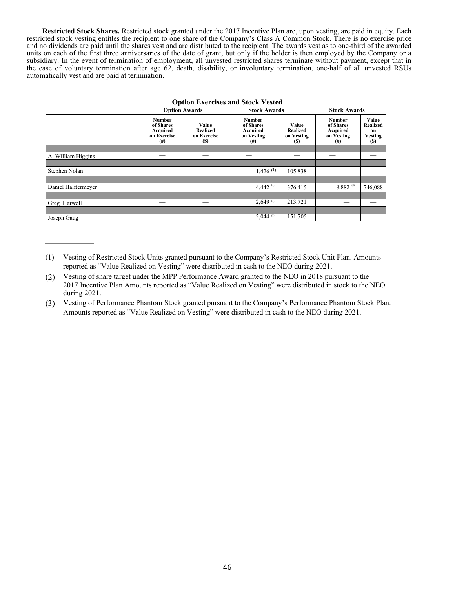**Restricted Stock Shares.** Restricted stock granted under the 2017 Incentive Plan are, upon vesting, are paid in equity. Each restricted stock vesting entitles the recipient to one share of the Company's Class A Common Stock. There is no exercise price and no dividends are paid until the shares vest and are distributed to the recipient. The awards vest as to one-third of the awarded units on each of the first three anniversaries of the date of grant, but only if the holder is then employed by the Company or a subsidiary. In the event of termination of employment, all unvested restricted shares terminate without payment, except that in the case of voluntary termination after age 62, death, disability, or involuntary termination, one-half of all unvested RSUs automatically vest and are paid at termination.

|                     |                                                                   |                                                | <b>Option Exercises and Stock Vested</b>                         |                                               |                                                                  |                                                                |
|---------------------|-------------------------------------------------------------------|------------------------------------------------|------------------------------------------------------------------|-----------------------------------------------|------------------------------------------------------------------|----------------------------------------------------------------|
|                     | <b>Option Awards</b>                                              |                                                | <b>Stock Awards</b>                                              |                                               | <b>Stock Awards</b>                                              |                                                                |
|                     | <b>Number</b><br>of Shares<br>Acquired<br>on Exercise<br>$^{(#)}$ | Value<br><b>Realized</b><br>on Exercise<br>(S) | <b>Number</b><br>of Shares<br>Acquired<br>on Vesting<br>$^{(#)}$ | Value<br><b>Realized</b><br>on Vesting<br>(S) | <b>Number</b><br>of Shares<br>Acquired<br>on Vesting<br>$^{(#)}$ | Value<br><b>Realized</b><br>on<br><b>Vesting</b><br><b>(S)</b> |
|                     |                                                                   |                                                |                                                                  |                                               |                                                                  |                                                                |
| A. William Higgins  |                                                                   |                                                |                                                                  |                                               |                                                                  |                                                                |
|                     |                                                                   |                                                |                                                                  |                                               |                                                                  |                                                                |
| Stephen Nolan       |                                                                   |                                                | $1,426$ <sup>(1)</sup>                                           | 105,838                                       |                                                                  |                                                                |
|                     |                                                                   |                                                |                                                                  |                                               |                                                                  |                                                                |
| Daniel Halftermeyer |                                                                   |                                                | $4,442$ <sup>(1)</sup>                                           | 376,415                                       | $8,882$ <sup>(2)</sup>                                           | 746,088                                                        |
|                     |                                                                   |                                                |                                                                  |                                               |                                                                  |                                                                |
| Greg Harwell        |                                                                   |                                                | $2,649$ <sup>(1)</sup>                                           | 213,721                                       |                                                                  |                                                                |
|                     |                                                                   |                                                |                                                                  |                                               |                                                                  |                                                                |
| Joseph Gaug         |                                                                   |                                                | $2.044$ <sup>(3)</sup>                                           | 151,705                                       |                                                                  |                                                                |

<sup>(1)</sup> Vesting of Restricted Stock Units granted pursuant to the Company's Restricted Stock Unit Plan. Amounts reported as "Value Realized on Vesting" were distributed in cash to the NEO during 2021.

<sup>(2)</sup> Vesting of share target under the MPP Performance Award granted to the NEO in 2018 pursuant to the 2017 Incentive Plan Amounts reported as "Value Realized on Vesting" were distributed in stock to the NEO during 2021.

<sup>(3)</sup> Vesting of Performance Phantom Stock granted pursuant to the Company's Performance Phantom Stock Plan. Amounts reported as "Value Realized on Vesting" were distributed in cash to the NEO during 2021.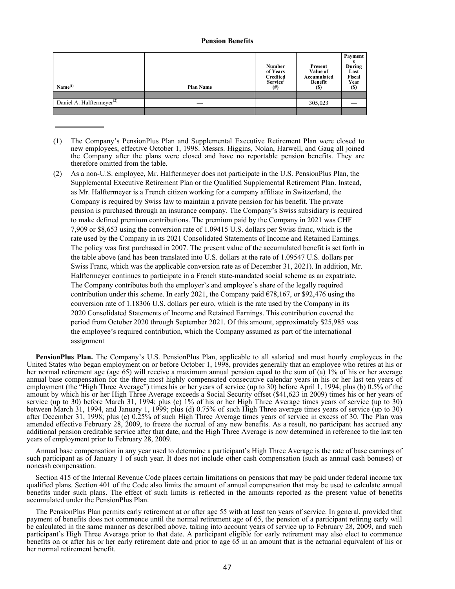#### **Pension Benefits**

| Name <sup>(1)</sup>                   | <b>Plan Name</b> | <b>Number</b><br>of Years<br><b>Credited</b><br><b>Service</b><br>$^{(#)}$ | Present<br>Value of<br>Accumulated<br>Benefit<br>(S) | Payment<br>During<br>Last<br>Fiscal<br>Year<br>(S) |
|---------------------------------------|------------------|----------------------------------------------------------------------------|------------------------------------------------------|----------------------------------------------------|
|                                       |                  |                                                                            |                                                      |                                                    |
| Daniel A. Halftermeyer <sup>(2)</sup> |                  |                                                                            | 305,023                                              |                                                    |
|                                       |                  |                                                                            |                                                      |                                                    |

<sup>(1)</sup> The Company's PensionPlus Plan and Supplemental Executive Retirement Plan were closed to new employees, effective October 1, 1998. Messrs. Higgins, Nolan, Harwell, and Gaug all joined the Company after the plans were closed and have no reportable pension benefits. They are therefore omitted from the table.

(2) As a non-U.S. employee, Mr. Halftermeyer does not participate in the U.S. PensionPlus Plan, the Supplemental Executive Retirement Plan or the Qualified Supplemental Retirement Plan. Instead, as Mr. Halftermeyer is a French citizen working for a company affiliate in Switzerland, the Company is required by Swiss law to maintain a private pension for his benefit. The private pension is purchased through an insurance company. The Company's Swiss subsidiary is required to make defined premium contributions. The premium paid by the Company in 2021 was CHF 7,909 or \$8,653 using the conversion rate of 1.09415 U.S. dollars per Swiss franc, which is the rate used by the Company in its 2021 Consolidated Statements of Income and Retained Earnings. The policy was first purchased in 2007. The present value of the accumulated benefit is set forth in the table above (and has been translated into U.S. dollars at the rate of 1.09547 U.S. dollars per Swiss Franc, which was the applicable conversion rate as of December 31, 2021). In addition, Mr. Halftermeyer continues to participate in a French state-mandated social scheme as an expatriate. The Company contributes both the employer's and employee's share of the legally required contribution under this scheme. In early 2021, the Company paid  $\epsilon$ 78,167, or \$92,476 using the conversion rate of 1.18306 U.S. dollars per euro, which is the rate used by the Company in its 2020 Consolidated Statements of Income and Retained Earnings. This contribution covered the period from October 2020 through September 2021. Of this amount, approximately \$25,985 was the employee's required contribution, which the Company assumed as part of the international assignment

**PensionPlus Plan.** The Company's U.S. PensionPlus Plan, applicable to all salaried and most hourly employees in the United States who began employment on or before October 1, 1998, provides generally that an employee who retires at his or her normal retirement age (age 65) will receive a maximum annual pension equal to the sum of (a) 1% of his or her average annual base compensation for the three most highly compensated consecutive calendar years in his or her last ten years of employment (the "High Three Average") times his or her years of service (up to 30) before April 1, 1994; plus (b) 0.5% of the amount by which his or her High Three Average exceeds a Social Security offset (\$41,623 in 2009) times his or her years of service (up to 30) before March 31, 1994; plus (c) 1% of his or her High Three Average times years of service (up to 30) between March 31, 1994, and January 1, 1999; plus (d) 0.75% of such High Three average times years of service (up to 30) after December 31, 1998; plus (e) 0.25% of such High Three Average times years of service in excess of 30. The Plan was amended effective February 28, 2009, to freeze the accrual of any new benefits. As a result, no participant has accrued any additional pension creditable service after that date, and the High Three Average is now determined in reference to the last ten years of employment prior to February 28, 2009.

Annual base compensation in any year used to determine a participant's High Three Average is the rate of base earnings of such participant as of January 1 of such year. It does not include other cash compensation (such as annual cash bonuses) or noncash compensation.

Section 415 of the Internal Revenue Code places certain limitations on pensions that may be paid under federal income tax qualified plans. Section 401 of the Code also limits the amount of annual compensation that may be used to calculate annual benefits under such plans. The effect of such limits is reflected in the amounts reported as the present value of benefits accumulated under the PensionPlus Plan.

The PensionPlus Plan permits early retirement at or after age 55 with at least ten years of service. In general, provided that payment of benefits does not commence until the normal retirement age of 65, the pension of a participant retiring early will be calculated in the same manner as described above, taking into account years of service up to February 28, 2009, and such participant's High Three Average prior to that date. A participant eligible for early retirement may also elect to commence benefits on or after his or her early retirement date and prior to age 65 in an amount that is the actuarial equivalent of his or her normal retirement benefit.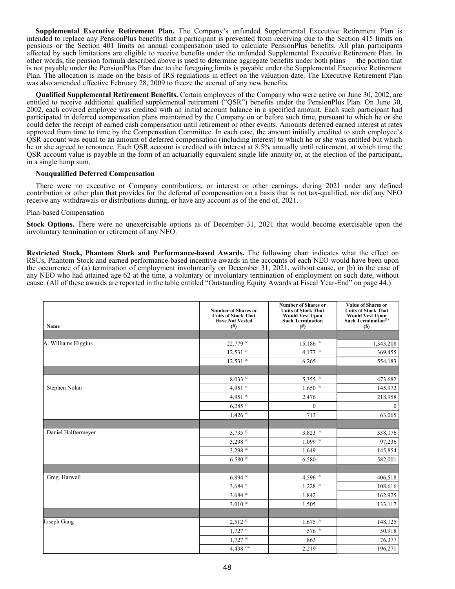**Supplemental Executive Retirement Plan.** The Company's unfunded Supplemental Executive Retirement Plan is intended to replace any PensionPlus benefits that a participant is prevented from receiving due to the Section 415 limits on pensions or the Section 401 limits on annual compensation used to calculate PensionPlus benefits. All plan participants affected by such limitations are eligible to receive benefits under the unfunded Supplemental Executive Retirement Plan. In other words, the pension formula described above is used to determine aggregate benefits under both plans — the portion that is not payable under the PensionPlus Plan due to the foregoing limits is payable under the Supplemental Executive Retirement Plan. The allocation is made on the basis of IRS regulations in effect on the valuation date. The Executive Retirement Plan was also amended effective February 28, 2009 to freeze the accrual of any new benefits.

**Qualified Supplemental Retirement Benefits.** Certain employees of the Company who were active on June 30, 2002, are entitled to receive additional qualified supplemental retirement ("QSR") benefits under the PensionPlus Plan. On June 30, 2002, each covered employee was credited with an initial account balance in a specified amount. Each such participant had participated in deferred compensation plans maintained by the Company on or before such time, pursuant to which he or she could defer the receipt of earned cash compensation until retirement or other events. Amounts deferred earned interest at rates approved from time to time by the Compensation Committee. In each case, the amount initially credited to such employee's QSR account was equal to an amount of deferred compensation (including interest) to which he or she was entitled but which he or she agreed to renounce. Each QSR account is credited with interest at 8.5% annually until retirement, at which time the QSR account value is payable in the form of an actuarially equivalent single life annuity or, at the election of the participant, in a single lump sum.

#### **Nonqualified Deferred Compensation**

There were no executive or Company contributions, or interest or other earnings, during 2021 under any defined contribution or other plan that provides for the deferral of compensation on a basis that is not tax-qualified, nor did any NEO receive any withdrawals or distributions during, or have any account as of the end of, 2021.

#### Plan-based Compensation

**Stock Options.** There were no unexercisable options as of December 31, 2021 that would become exercisable upon the involuntary termination or retirement of any NEO.

**Restricted Stock, Phantom Stock and Performance-based Awards.** The following chart indicates what the effect on RSUs, Phantom Stock and earned performance-based incentive awards in the accounts of each NEO would have been upon the occurrence of (a) termination of employment involuntarily on December 31, 2021, without cause, or (b) in the case of any NEO who had attained age 62 at the time, a voluntary or involuntary termination of employment on such date, without cause. (All of these awards are reported in the table entitled "Outstanding Equity Awards at Fiscal Year-End" on page 44.)

| Name                | <b>Number of Shares or</b><br><b>Units of Stock That</b><br><b>Have Not Vested</b><br>(#) | <b>Number of Shares or</b><br><b>Units of Stock That</b><br><b>Would Vest Upon</b><br><b>Such Termination</b><br>$($ # $)$ | Value of Shares or<br><b>Units of Stock That</b><br><b>Would Vest Upon</b><br>Such Termination <sup>(1)</sup><br>(S) |
|---------------------|-------------------------------------------------------------------------------------------|----------------------------------------------------------------------------------------------------------------------------|----------------------------------------------------------------------------------------------------------------------|
|                     |                                                                                           |                                                                                                                            |                                                                                                                      |
| A. Williams Higgins | 22,779 (2)                                                                                | $15,186$ <sup>(3)</sup>                                                                                                    | 1,343,208                                                                                                            |
|                     | $12,531$ <sup>(4)</sup>                                                                   | $4,177^{(5)}$                                                                                                              | 369,455                                                                                                              |
|                     | 12,531 (6)                                                                                | 6,265                                                                                                                      | 554,183                                                                                                              |
|                     |                                                                                           |                                                                                                                            |                                                                                                                      |
|                     | $8,033$ <sup>(2)</sup>                                                                    | $5,355$ <sup>(3)</sup>                                                                                                     | 473,682                                                                                                              |
| Stephen Nolan       | 4,951 (4)                                                                                 | $1,650$ <sup>(5)</sup>                                                                                                     | 145,972                                                                                                              |
|                     | 4,951 (6)                                                                                 | 2,476                                                                                                                      | 218,958                                                                                                              |
|                     | $6,285$ <sup>(7)</sup>                                                                    | $\theta$                                                                                                                   | $\Omega$                                                                                                             |
|                     | $1,426$ <sup>(8)</sup>                                                                    | 713                                                                                                                        | 63,065                                                                                                               |
|                     |                                                                                           |                                                                                                                            |                                                                                                                      |
| Daniel Halftermeyer | 5,735 (2)                                                                                 | $3,823$ <sup>(3)</sup>                                                                                                     | 338,176                                                                                                              |
|                     | 3,298 (4)                                                                                 | $1,099$ <sup>(5)</sup>                                                                                                     | 97,236                                                                                                               |
|                     | 3,298 (6)                                                                                 | 1,649                                                                                                                      | 145,854                                                                                                              |
|                     | $6,580$ <sup>(9)</sup>                                                                    | 6,580                                                                                                                      | 582,001                                                                                                              |
|                     |                                                                                           |                                                                                                                            |                                                                                                                      |
| Greg Harwell        | $6.894$ <sup>(2)</sup>                                                                    | 4,596 $(3)$                                                                                                                | 406,518                                                                                                              |
|                     | 3,684 (4)                                                                                 | $1,228$ <sup>(5)</sup>                                                                                                     | 108,616                                                                                                              |
|                     | 3,684 (6)                                                                                 | 1,842                                                                                                                      | 162,925                                                                                                              |
|                     | $3,010$ <sup>(8)</sup>                                                                    | 1,505                                                                                                                      | 133,117                                                                                                              |
|                     |                                                                                           |                                                                                                                            |                                                                                                                      |
| Joseph Gaug         | $2.512^{(2)}$                                                                             | $1,675$ <sup>(3)</sup>                                                                                                     | 148,125                                                                                                              |
|                     | $1,727$ <sup>(4)</sup>                                                                    | 576 (5)                                                                                                                    | 50,918                                                                                                               |
|                     | $1,727$ <sup>(6)</sup>                                                                    | 863                                                                                                                        | 76,377                                                                                                               |
|                     | 4,438 (10)                                                                                | 2,219                                                                                                                      | 196,271                                                                                                              |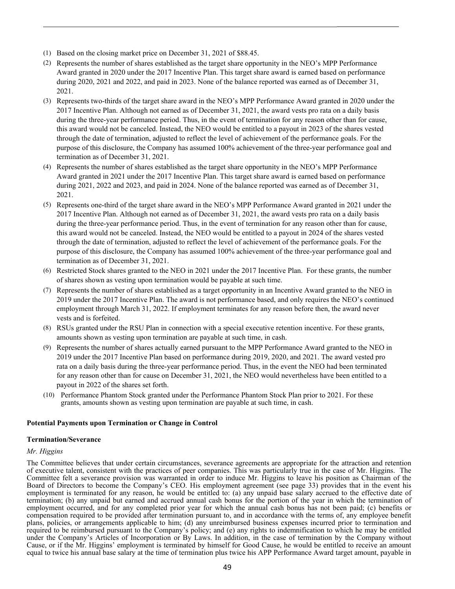- (1) Based on the closing market price on December 31, 2021 of \$88.45.
- (2) Represents the number of shares established as the target share opportunity in the NEO's MPP Performance Award granted in 2020 under the 2017 Incentive Plan. This target share award is earned based on performance during 2020, 2021 and 2022, and paid in 2023. None of the balance reported was earned as of December 31, 2021.
- (3) Represents two-thirds of the target share award in the NEO's MPP Performance Award granted in 2020 under the 2017 Incentive Plan. Although not earned as of December 31, 2021, the award vests pro rata on a daily basis during the three-year performance period. Thus, in the event of termination for any reason other than for cause, this award would not be canceled. Instead, the NEO would be entitled to a payout in 2023 of the shares vested through the date of termination, adjusted to reflect the level of achievement of the performance goals. For the purpose of this disclosure, the Company has assumed 100% achievement of the three-year performance goal and termination as of December 31, 2021.
- (4) Represents the number of shares established as the target share opportunity in the NEO's MPP Performance Award granted in 2021 under the 2017 Incentive Plan. This target share award is earned based on performance during 2021, 2022 and 2023, and paid in 2024. None of the balance reported was earned as of December 31, 2021.
- (5) Represents one-third of the target share award in the NEO's MPP Performance Award granted in 2021 under the 2017 Incentive Plan. Although not earned as of December 31, 2021, the award vests pro rata on a daily basis during the three-year performance period. Thus, in the event of termination for any reason other than for cause, this award would not be canceled. Instead, the NEO would be entitled to a payout in 2024 of the shares vested through the date of termination, adjusted to reflect the level of achievement of the performance goals. For the purpose of this disclosure, the Company has assumed 100% achievement of the three-year performance goal and termination as of December 31, 2021.
- (6) Restricted Stock shares granted to the NEO in 2021 under the 2017 Incentive Plan. For these grants, the number of shares shown as vesting upon termination would be payable at such time.
- (7) Represents the number of shares established as a target opportunity in an Incentive Award granted to the NEO in 2019 under the 2017 Incentive Plan. The award is not performance based, and only requires the NEO's continued employment through March 31, 2022. If employment terminates for any reason before then, the award never vests and is forfeited.
- (8) RSUs granted under the RSU Plan in connection with a special executive retention incentive. For these grants, amounts shown as vesting upon termination are payable at such time, in cash.
- (9) Represents the number of shares actually earned pursuant to the MPP Performance Award granted to the NEO in 2019 under the 2017 Incentive Plan based on performance during 2019, 2020, and 2021. The award vested pro rata on a daily basis during the three-year performance period. Thus, in the event the NEO had been terminated for any reason other than for cause on December 31, 2021, the NEO would nevertheless have been entitled to a payout in 2022 of the shares set forth.
- (10) Performance Phantom Stock granted under the Performance Phantom Stock Plan prior to 2021. For these grants, amounts shown as vesting upon termination are payable at such time, in cash.

#### **Potential Payments upon Termination or Change in Control**

#### **Termination/Severance**

#### *Mr. Higgins*

The Committee believes that under certain circumstances, severance agreements are appropriate for the attraction and retention of executive talent, consistent with the practices of peer companies. This was particularly true in the case of Mr. Higgins. The Committee felt a severance provision was warranted in order to induce Mr. Higgins to leave his position as Chairman of the Board of Directors to become the Company's CEO. His employment agreement (see page 33) provides that in the event his employment is terminated for any reason, he would be entitled to: (a) any unpaid base salary accrued to the effective date of termination; (b) any unpaid but earned and accrued annual cash bonus for the portion of the year in which the termination of employment occurred, and for any completed prior year for which the annual cash bonus has not been paid; (c) benefits or compensation required to be provided after termination pursuant to, and in accordance with the terms of, any employee benefit plans, policies, or arrangements applicable to him; (d) any unreimbursed business expenses incurred prior to termination and required to be reimbursed pursuant to the Company's policy; and (e) any rights to indemnification to which he may be entitled under the Company's Articles of Incorporation or By Laws. In addition, in the case of termination by the Company without Cause, or if the Mr. Higgins' employment is terminated by himself for Good Cause, he would be entitled to receive an amount equal to twice his annual base salary at the time of termination plus twice his APP Performance Award target amount, payable in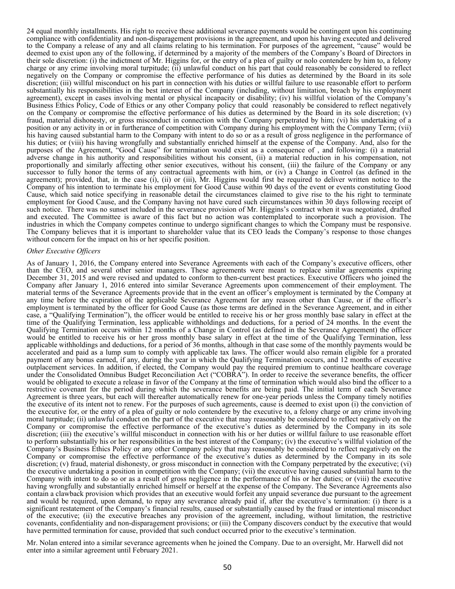24 equal monthly installments. His right to receive these additional severance payments would be contingent upon his continuing compliance with confidentiality and non-disparagement provisions in the agreement, and upon his having executed and delivered to the Company a release of any and all claims relating to his termination. For purposes of the agreement, "cause" would be deemed to exist upon any of the following, if determined by a majority of the members of the Company's Board of Directors in their sole discretion: (i) the indictment of Mr. Higgins for, or the entry of a plea of guilty or nolo contendere by him to, a felony charge or any crime involving moral turpitude; (ii) unlawful conduct on his part that could reasonably be considered to reflect negatively on the Company or compromise the effective performance of his duties as determined by the Board in its sole discretion; (iii) willful misconduct on his part in connection with his duties or willful failure to use reasonable effort to perform substantially his responsibilities in the best interest of the Company (including, without limitation, breach by his employment agreement), except in cases involving mental or physical incapacity or disability; (iv) his willful violation of the Company's Business Ethics Policy, Code of Ethics or any other Company policy that could reasonably be considered to reflect negatively on the Company or compromise the effective performance of his duties as determined by the Board in its sole discretion; (v) fraud, material dishonesty, or gross misconduct in connection with the Company perpetrated by him; (vi) his undertaking of a position or any activity in or in furtherance of competition with Company during his employment with the Company Term; (vii) his having caused substantial harm to the Company with intent to do so or as a result of gross negligence in the performance of his duties; or (viii) his having wrongfully and substantially enriched himself at the expense of the Company. And, also for the purposes of the Agreement, "Good Cause" for termination would exist as a consequence of , and following: (i) a material adverse change in his authority and responsibilities without his consent, (ii) a material reduction in his compensation, not proportionally and similarly affecting other senior executives, without his consent, (iii) the failure of the Company or any successor to fully honor the terms of any contractual agreements with him, or (iv) a Change in Control (as defined in the agreement); provided, that, in the case  $(i)$ ,  $(ii)$  or  $(iii)$ , Mr. Higgins would first be required to deliver written notice to the Company of his intention to terminate his employment for Good Cause within 90 days of the event or events constituting Good Cause, which said notice specifying in reasonable detail the circumstances claimed to give rise to the his right to terminate employment for Good Cause, and the Company having not have cured such circumstances within 30 days following receipt of such notice. There was no sunset included in the severance provision of Mr. Higgins's contract when it was negotiated, drafted and executed. The Committee is aware of this fact but no action was contemplated to incorporate such a provision. The industries in which the Company competes continue to undergo significant changes to which the Company must be responsive. The Company believes that it is important to shareholder value that its CEO leads the Company's response to those changes without concern for the impact on his or her specific position.

#### *Other Executive Officers*

As of January 1, 2016, the Company entered into Severance Agreements with each of the Company's executive officers, other than the CEO, and several other senior managers. These agreements were meant to replace similar agreements expiring December 31, 2015 and were revised and updated to conform to then-current best practices. Executive Officers who joined the Company after January 1, 2016 entered into similar Severance Agreements upon commencement of their employment. The material terms of the Severance Agreements provide that in the event an officer's employment is terminated by the Company at any time before the expiration of the applicable Severance Agreement for any reason other than Cause, or if the officer's employment is terminated by the officer for Good Cause (as those terms are defined in the Severance Agreement, and in either case, a "Qualifying Termination"), the officer would be entitled to receive his or her gross monthly base salary in effect at the time of the Qualifying Termination, less applicable withholdings and deductions, for a period of 24 months. In the event the Qualifying Termination occurs within 12 months of a Change in Control (as defined in the Severance Agreement) the officer would be entitled to receive his or her gross monthly base salary in effect at the time of the Qualifying Termination, less applicable withholdings and deductions, for a period of 36 months, although in that case some of the monthly payments would be accelerated and paid as a lump sum to comply with applicable tax laws. The officer would also remain eligible for a prorated payment of any bonus earned, if any, during the year in which the Qualifying Termination occurs, and 12 months of executive outplacement services. In addition, if elected, the Company would pay the required premium to continue healthcare coverage under the Consolidated Omnibus Budget Reconciliation Act ("COBRA"). In order to receive the severance benefits, the officer would be obligated to execute a release in favor of the Company at the time of termination which would also bind the officer to a restrictive covenant for the period during which the severance benefits are being paid. The initial term of each Severance Agreement is three years, but each will thereafter automatically renew for one-year periods unless the Company timely notifies the executive of its intent not to renew. For the purposes of such agreements, cause is deemed to exist upon (i) the conviction of the executive for, or the entry of a plea of guilty or nolo contendere by the executive to, a felony charge or any crime involving moral turpitude; (ii) unlawful conduct on the part of the executive that may reasonably be considered to reflect negatively on the Company or compromise the effective performance of the executive's duties as determined by the Company in its sole discretion; (iii) the executive's willful misconduct in connection with his or her duties or willful failure to use reasonable effort to perform substantially his or her responsibilities in the best interest of the Company; (iv) the executive's willful violation of the Company's Business Ethics Policy or any other Company policy that may reasonably be considered to reflect negatively on the Company or compromise the effective performance of the executive's duties as determined by the Company in its sole discretion; (v) fraud, material dishonesty, or gross misconduct in connection with the Company perpetrated by the executive; (vi) the executive undertaking a position in competition with the Company; (vii) the executive having caused substantial harm to the Company with intent to do so or as a result of gross negligence in the performance of his or her duties; or (viii) the executive having wrongfully and substantially enriched himself or herself at the expense of the Company. The Severance Agreements also contain a clawback provision which provides that an executive would forfeit any unpaid severance due pursuant to the agreement and would be required, upon demand, to repay any severance already paid if, after the executive's termination: (i) there is a significant restatement of the Company's financial results, caused or substantially caused by the fraud or intentional misconduct of the executive; (ii) the executive breaches any provision of the agreement, including, without limitation, the restrictive covenants, confidentiality and non-disparagement provisions; or (iii) the Company discovers conduct by the executive that would have permitted termination for cause, provided that such conduct occurred prior to the executive's termination.

Mr. Nolan entered into a similar severance agreements when he joined the Company. Due to an oversight, Mr. Harwell did not enter into a similar agreement until February 2021.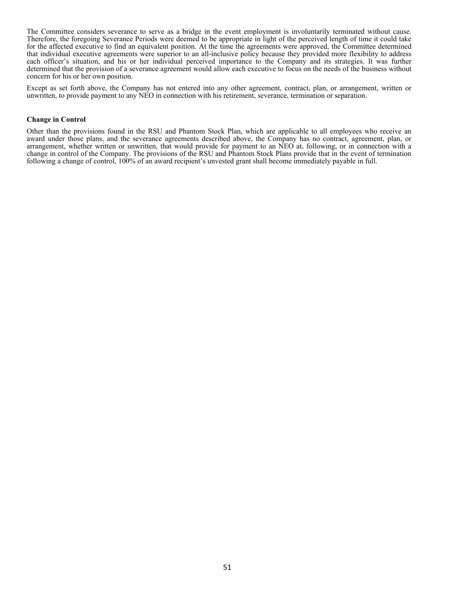The Committee considers severance to serve as a bridge in the event employment is involuntarily terminated without cause. Therefore, the foregoing Severance Periods were deemed to be appropriate in light of the perceived length of time it could take for the affected executive to find an equivalent position. At the time the agreements were approved, the Committee determined that individual executive agreements were superior to an all-inclusive policy because they provided more flexibility to address each officer's situation, and his or her individual perceived importance to the Company and its strategies. It was further determined that the provision of a severance agreement would allow each executive to focus on the needs of the business without concern for his or her own position.

Except as set forth above, the Company has not entered into any other agreement, contract, plan, or arrangement, written or unwritten, to provide payment to any NEO in connection with his retirement, severance, termination or separation.

#### **Change in Control**

Other than the provisions found in the RSU and Phantom Stock Plan, which are applicable to all employees who receive an award under those plans, and the severance agreements described above, the Company has no contract, agreement, plan, or arrangement, whether written or unwritten, that would provide for payment to an NEO at, following, or in connection with a change in control of the Company. The provisions of the RSU and Phantom Stock Plans provide that in the event of termination following a change of control, 100% of an award recipient's unvested grant shall become immediately payable in full.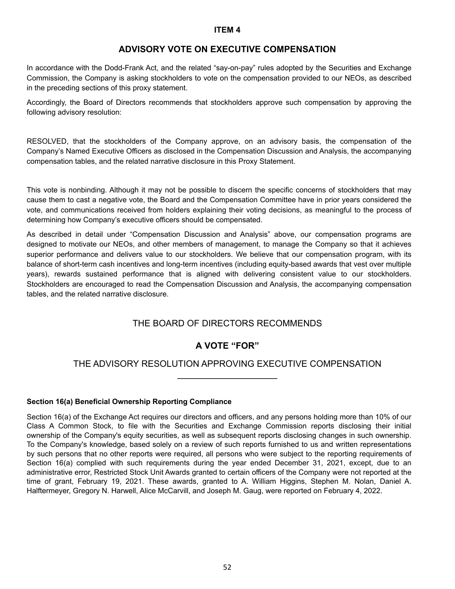# **ITEM 4**

# **ADVISORY VOTE ON EXECUTIVE COMPENSATION**

In accordance with the Dodd-Frank Act, and the related "say-on-pay" rules adopted by the Securities and Exchange Commission, the Company is asking stockholders to vote on the compensation provided to our NEOs, as described in the preceding sections of this proxy statement.

Accordingly, the Board of Directors recommends that stockholders approve such compensation by approving the following advisory resolution:

RESOLVED, that the stockholders of the Company approve, on an advisory basis, the compensation of the Company's Named Executive Officers as disclosed in the Compensation Discussion and Analysis, the accompanying compensation tables, and the related narrative disclosure in this Proxy Statement.

This vote is nonbinding. Although it may not be possible to discern the specific concerns of stockholders that may cause them to cast a negative vote, the Board and the Compensation Committee have in prior years considered the vote, and communications received from holders explaining their voting decisions, as meaningful to the process of determining how Company's executive officers should be compensated.

As described in detail under "Compensation Discussion and Analysis" above, our compensation programs are designed to motivate our NEOs, and other members of management, to manage the Company so that it achieves superior performance and delivers value to our stockholders. We believe that our compensation program, with its balance of short-term cash incentives and long-term incentives (including equity-based awards that vest over multiple years), rewards sustained performance that is aligned with delivering consistent value to our stockholders. Stockholders are encouraged to read the Compensation Discussion and Analysis, the accompanying compensation tables, and the related narrative disclosure.

# THE BOARD OF DIRECTORS RECOMMENDS

# **A VOTE "FOR"**

# THE ADVISORY RESOLUTION APPROVING EXECUTIVE COMPENSATION

## **Section 16(a) Beneficial Ownership Reporting Compliance**

Section 16(a) of the Exchange Act requires our directors and officers, and any persons holding more than 10% of our Class A Common Stock, to file with the Securities and Exchange Commission reports disclosing their initial ownership of the Company's equity securities, as well as subsequent reports disclosing changes in such ownership. To the Company's knowledge, based solely on a review of such reports furnished to us and written representations by such persons that no other reports were required, all persons who were subject to the reporting requirements of Section 16(a) complied with such requirements during the year ended December 31, 2021, except, due to an administrative error, Restricted Stock Unit Awards granted to certain officers of the Company were not reported at the time of grant, February 19, 2021. These awards, granted to A. William Higgins, Stephen M. Nolan, Daniel A. Halftermeyer, Gregory N. Harwell, Alice McCarvill, and Joseph M. Gaug, were reported on February 4, 2022.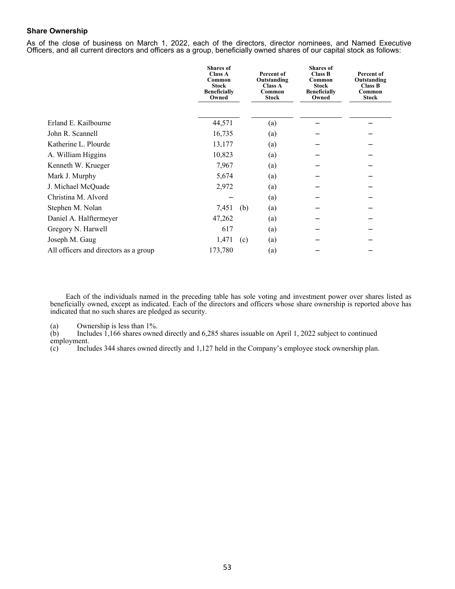## **Share Ownership**

As of the close of business on March 1, 2022, each of the directors, director nominees, and Named Executive Officers, and all current directors and officers as a group, beneficially owned shares of our capital stock as follows:

|                                       | <b>Shares</b> of<br><b>Class A</b><br>Common<br><b>Stock</b><br><b>Beneficially</b><br>Owned |     | Percent of<br>Outstanding<br><b>Class A</b><br>Common<br><b>Stock</b> | <b>Shares</b> of<br><b>Class B</b><br>Common<br><b>Stock</b><br><b>Beneficially</b><br>Owned | Percent of<br>Outstanding<br><b>Class B</b><br>Common<br><b>Stock</b> |
|---------------------------------------|----------------------------------------------------------------------------------------------|-----|-----------------------------------------------------------------------|----------------------------------------------------------------------------------------------|-----------------------------------------------------------------------|
| Erland E. Kailbourne                  | 44,571                                                                                       |     | (a)                                                                   |                                                                                              |                                                                       |
| John R. Scannell                      | 16,735                                                                                       |     | (a)                                                                   |                                                                                              |                                                                       |
| Katherine L. Plourde                  | 13,177                                                                                       |     | (a)                                                                   |                                                                                              |                                                                       |
| A. William Higgins                    | 10,823                                                                                       |     | (a)                                                                   |                                                                                              |                                                                       |
| Kenneth W. Krueger                    | 7,967                                                                                        |     | (a)                                                                   |                                                                                              |                                                                       |
| Mark J. Murphy                        | 5,674                                                                                        |     | (a)                                                                   |                                                                                              |                                                                       |
| J. Michael McQuade                    | 2,972                                                                                        |     | (a)                                                                   |                                                                                              |                                                                       |
| Christina M. Alvord                   |                                                                                              |     | (a)                                                                   |                                                                                              |                                                                       |
| Stephen M. Nolan                      | 7,451                                                                                        | (b) | (a)                                                                   |                                                                                              |                                                                       |
| Daniel A. Halftermeyer                | 47,262                                                                                       |     | (a)                                                                   |                                                                                              |                                                                       |
| Gregory N. Harwell                    | 617                                                                                          |     | (a)                                                                   |                                                                                              |                                                                       |
| Joseph M. Gaug                        | 1,471                                                                                        | (c) | (a)                                                                   |                                                                                              |                                                                       |
| All officers and directors as a group | 173,780                                                                                      |     | (a)                                                                   |                                                                                              |                                                                       |

Each of the individuals named in the preceding table has sole voting and investment power over shares listed as beneficially owned, except as indicated. Each of the directors and officers whose share ownership is reported above has indicated that no such shares are pledged as security.

(a) Ownership is less than 1%.<br>(b) Includes 1,166 shares owner Includes 1,166 shares owned directly and 6,285 shares issuable on April 1, 2022 subject to continued employment.

(c) Includes 344 shares owned directly and 1,127 held in the Company's employee stock ownership plan.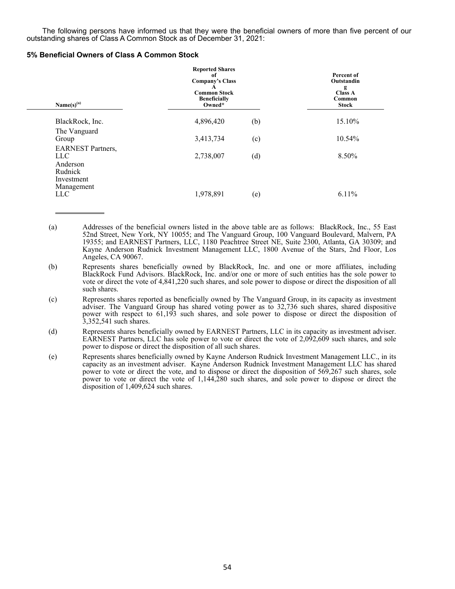The following persons have informed us that they were the beneficial owners of more than five percent of our outstanding shares of Class A Common Stock as of December 31, 2021:

### **5% Beneficial Owners of Class A Common Stock**

| Name $(s)$ <sup>(a)</sup>                         | <b>Reported Shares</b><br>-of<br><b>Company's Class</b><br><b>Common Stock</b><br><b>Beneficially</b><br>Owned* | Percent of<br>Outstandin<br>g<br><b>Class A</b><br>Common<br><b>Stock</b> |        |
|---------------------------------------------------|-----------------------------------------------------------------------------------------------------------------|---------------------------------------------------------------------------|--------|
| BlackRock, Inc.                                   | 4,896,420                                                                                                       | (b)                                                                       | 15.10% |
| The Vanguard<br>Group                             | 3,413,734                                                                                                       | (c)                                                                       | 10.54% |
| <b>EARNEST Partners,</b><br>LLC<br>Anderson       | 2,738,007                                                                                                       | (d)                                                                       | 8.50%  |
| Rudnick<br>Investment<br>Management<br><b>LLC</b> | 1,978,891                                                                                                       | (e)                                                                       | 6.11%  |

(a) Addresses of the beneficial owners listed in the above table are as follows: BlackRock, Inc., 55 East 52nd Street, New York, NY 10055; and The Vanguard Group, 100 Vanguard Boulevard, Malvern, PA 19355; and EARNEST Partners, LLC, 1180 Peachtree Street NE, Suite 2300, Atlanta, GA 30309; and Kayne Anderson Rudnick Investment Management LLC, 1800 Avenue of the Stars, 2nd Floor, Los Angeles, CA 90067.

(b) Represents shares beneficially owned by BlackRock, Inc. and one or more affiliates, including BlackRock Fund Advisors. BlackRock, Inc. and/or one or more of such entities has the sole power to vote or direct the vote of 4,841,220 such shares, and sole power to dispose or direct the disposition of all such shares.

(c) Represents shares reported as beneficially owned by The Vanguard Group, in its capacity as investment adviser. The Vanguard Group has shared voting power as to 32,736 such shares, shared dispositive power with respect to 61,193 such shares, and sole power to dispose or direct the disposition of 3,352,541 such shares.

(d) Represents shares beneficially owned by EARNEST Partners, LLC in its capacity as investment adviser. EARNEST Partners, LLC has sole power to vote or direct the vote of 2,092,609 such shares, and sole power to dispose or direct the disposition of all such shares.

(e) Represents shares beneficially owned by Kayne Anderson Rudnick Investment Management LLC., in its capacity as an investment adviser. Kayne Anderson Rudnick Investment Management LLC has shared power to vote or direct the vote, and to dispose or direct the disposition of 569,267 such shares, sole power to vote or direct the vote of 1,144,280 such shares, and sole power to dispose or direct the disposition of 1,409,624 such shares.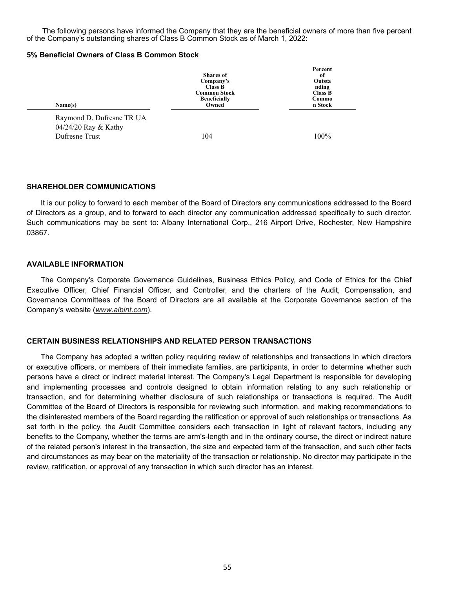The following persons have informed the Company that they are the beneficial owners of more than five percent of the Company's outstanding shares of Class B Common Stock as of March 1, 2022:

## **5% Beneficial Owners of Class B Common Stock**

| Name(s)                                                             | <b>Shares</b> of<br>Company's<br>Class B<br><b>Common Stock</b><br><b>Beneficially</b><br>Owned | Percent<br>of<br>Outsta<br>nding<br>Class B<br>Commo<br>n Stock |
|---------------------------------------------------------------------|-------------------------------------------------------------------------------------------------|-----------------------------------------------------------------|
| Raymond D. Dufresne TR UA<br>04/24/20 Ray & Kathy<br>Dufresne Trust | 104                                                                                             | 100%                                                            |

## **SHAREHOLDER COMMUNICATIONS**

It is our policy to forward to each member of the Board of Directors any communications addressed to the Board of Directors as a group, and to forward to each director any communication addressed specifically to such director. Such communications may be sent to: Albany International Corp., 216 Airport Drive, Rochester, New Hampshire 03867.

### **AVAILABLE INFORMATION**

The Company's Corporate Governance Guidelines, Business Ethics Policy, and Code of Ethics for the Chief Executive Officer, Chief Financial Officer, and Controller, and the charters of the Audit, Compensation, and Governance Committees of the Board of Directors are all available at the Corporate Governance section of the Company's website (*www.albint.com*).

## **CERTAIN BUSINESS RELATIONSHIPS AND RELATED PERSON TRANSACTIONS**

The Company has adopted a written policy requiring review of relationships and transactions in which directors or executive officers, or members of their immediate families, are participants, in order to determine whether such persons have a direct or indirect material interest. The Company's Legal Department is responsible for developing and implementing processes and controls designed to obtain information relating to any such relationship or transaction, and for determining whether disclosure of such relationships or transactions is required. The Audit Committee of the Board of Directors is responsible for reviewing such information, and making recommendations to the disinterested members of the Board regarding the ratification or approval of such relationships or transactions. As set forth in the policy, the Audit Committee considers each transaction in light of relevant factors, including any benefits to the Company, whether the terms are arm's-length and in the ordinary course, the direct or indirect nature of the related person's interest in the transaction, the size and expected term of the transaction, and such other facts and circumstances as may bear on the materiality of the transaction or relationship. No director may participate in the review, ratification, or approval of any transaction in which such director has an interest.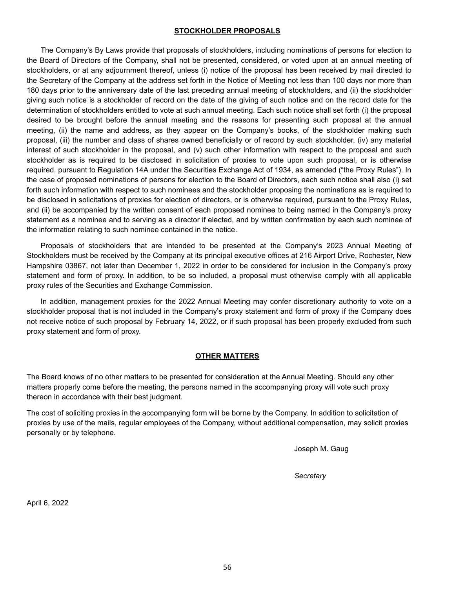# **STOCKHOLDER PROPOSALS**

The Company's By Laws provide that proposals of stockholders, including nominations of persons for election to the Board of Directors of the Company, shall not be presented, considered, or voted upon at an annual meeting of stockholders, or at any adjournment thereof, unless (i) notice of the proposal has been received by mail directed to the Secretary of the Company at the address set forth in the Notice of Meeting not less than 100 days nor more than 180 days prior to the anniversary date of the last preceding annual meeting of stockholders, and (ii) the stockholder giving such notice is a stockholder of record on the date of the giving of such notice and on the record date for the determination of stockholders entitled to vote at such annual meeting. Each such notice shall set forth (i) the proposal desired to be brought before the annual meeting and the reasons for presenting such proposal at the annual meeting, (ii) the name and address, as they appear on the Company's books, of the stockholder making such proposal, (iii) the number and class of shares owned beneficially or of record by such stockholder, (iv) any material interest of such stockholder in the proposal, and (v) such other information with respect to the proposal and such stockholder as is required to be disclosed in solicitation of proxies to vote upon such proposal, or is otherwise required, pursuant to Regulation 14A under the Securities Exchange Act of 1934, as amended ("the Proxy Rules"). In the case of proposed nominations of persons for election to the Board of Directors, each such notice shall also (i) set forth such information with respect to such nominees and the stockholder proposing the nominations as is required to be disclosed in solicitations of proxies for election of directors, or is otherwise required, pursuant to the Proxy Rules, and (ii) be accompanied by the written consent of each proposed nominee to being named in the Company's proxy statement as a nominee and to serving as a director if elected, and by written confirmation by each such nominee of the information relating to such nominee contained in the notice.

Proposals of stockholders that are intended to be presented at the Company's 2023 Annual Meeting of Stockholders must be received by the Company at its principal executive offices at 216 Airport Drive, Rochester, New Hampshire 03867, not later than December 1, 2022 in order to be considered for inclusion in the Company's proxy statement and form of proxy. In addition, to be so included, a proposal must otherwise comply with all applicable proxy rules of the Securities and Exchange Commission.

In addition, management proxies for the 2022 Annual Meeting may confer discretionary authority to vote on a stockholder proposal that is not included in the Company's proxy statement and form of proxy if the Company does not receive notice of such proposal by February 14, 2022, or if such proposal has been properly excluded from such proxy statement and form of proxy.

# **OTHER MATTERS**

The Board knows of no other matters to be presented for consideration at the Annual Meeting. Should any other matters properly come before the meeting, the persons named in the accompanying proxy will vote such proxy thereon in accordance with their best judgment.

The cost of soliciting proxies in the accompanying form will be borne by the Company. In addition to solicitation of proxies by use of the mails, regular employees of the Company, without additional compensation, may solicit proxies personally or by telephone.

Joseph M. Gaug

*Secretary*

April 6, 2022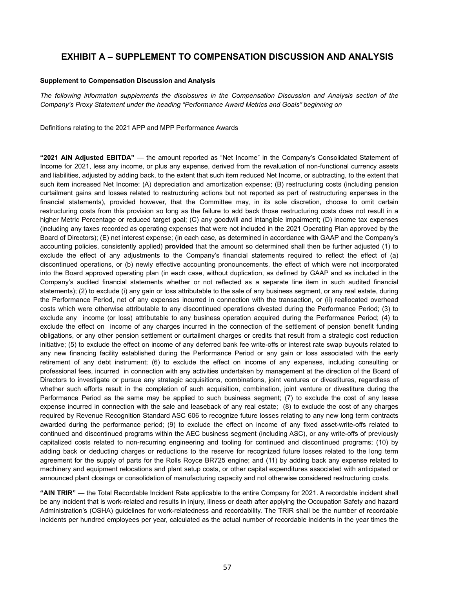# **EXHIBIT A – SUPPLEMENT TO COMPENSATION DISCUSSION AND ANALYSIS**

#### **Supplement to Compensation Discussion and Analysis**

*The following information supplements the disclosures in the Compensation Discussion and Analysis section of the Company's Proxy Statement under the heading "Performance Award Metrics and Goals" beginning on* 

Definitions relating to the 2021 APP and MPP Performance Awards

**"2021 AIN Adjusted EBITDA"** — the amount reported as "Net Income" in the Company's Consolidated Statement of Income for 2021, less any income, or plus any expense, derived from the revaluation of non-functional currency assets and liabilities, adjusted by adding back, to the extent that such item reduced Net Income, or subtracting, to the extent that such item increased Net Income: (A) depreciation and amortization expense; (B) restructuring costs (including pension curtailment gains and losses related to restructuring actions but not reported as part of restructuring expenses in the financial statements), provided however, that the Committee may, in its sole discretion, choose to omit certain restructuring costs from this provision so long as the failure to add back those restructuring costs does not result in a higher Metric Percentage or reduced target goal; (C) any goodwill and intangible impairment; (D) income tax expenses (including any taxes recorded as operating expenses that were not included in the 2021 Operating Plan approved by the Board of Directors); (E) net interest expense; (in each case, as determined in accordance with GAAP and the Company's accounting policies, consistently applied) **provided** that the amount so determined shall then be further adjusted (1) to exclude the effect of any adjustments to the Company's financial statements required to reflect the effect of (a) discontinued operations, or (b) newly effective accounting pronouncements, the effect of which were not incorporated into the Board approved operating plan (in each case, without duplication, as defined by GAAP and as included in the Company's audited financial statements whether or not reflected as a separate line item in such audited financial statements); (2) to exclude (i) any gain or loss attributable to the sale of any business segment, or any real estate, during the Performance Period, net of any expenses incurred in connection with the transaction, or (ii) reallocated overhead costs which were otherwise attributable to any discontinued operations divested during the Performance Period; (3) to exclude any income (or loss) attributable to any business operation acquired during the Performance Period; (4) to exclude the effect on income of any charges incurred in the connection of the settlement of pension benefit funding obligations, or any other pension settlement or curtailment charges or credits that result from a strategic cost reduction initiative; (5) to exclude the effect on income of any deferred bank fee write-offs or interest rate swap buyouts related to any new financing facility established during the Performance Period or any gain or loss associated with the early retirement of any debt instrument; (6) to exclude the effect on income of any expenses, including consulting or professional fees, incurred in connection with any activities undertaken by management at the direction of the Board of Directors to investigate or pursue any strategic acquisitions, combinations, joint ventures or divestitures, regardless of whether such efforts result in the completion of such acquisition, combination, joint venture or divestiture during the Performance Period as the same may be applied to such business segment; (7) to exclude the cost of any lease expense incurred in connection with the sale and leaseback of any real estate; (8) to exclude the cost of any charges required by Revenue Recognition Standard ASC 606 to recognize future losses relating to any new long term contracts awarded during the performance period; (9) to exclude the effect on income of any fixed asset-write-offs related to continued and discontinued programs within the AEC business segment (including ASC), or any write-offs of previously capitalized costs related to non-recurring engineering and tooling for continued and discontinued programs; (10) by adding back or deducting charges or reductions to the reserve for recognized future losses related to the long term agreement for the supply of parts for the Rolls Royce BR725 engine; and (11) by adding back any expense related to machinery and equipment relocations and plant setup costs, or other capital expenditures associated with anticipated or announced plant closings or consolidation of manufacturing capacity and not otherwise considered restructuring costs.

**"AIN TRIR"** — the Total Recordable Incident Rate applicable to the entire Company for 2021. A recordable incident shall be any incident that is work-related and results in injury, illness or death after applying the Occupation Safety and hazard Administration's (OSHA) guidelines for work-relatedness and recordability. The TRIR shall be the number of recordable incidents per hundred employees per year, calculated as the actual number of recordable incidents in the year times the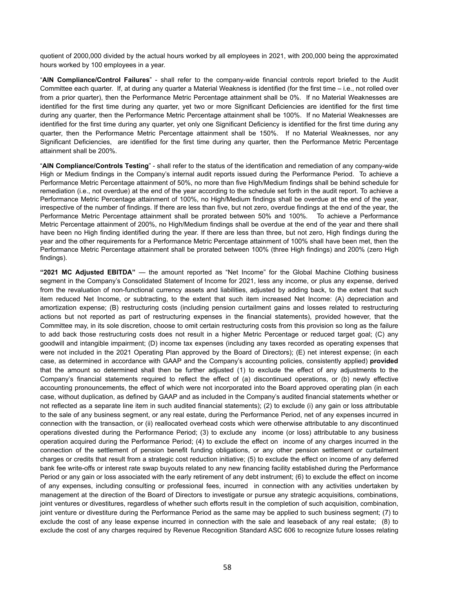quotient of 2000,000 divided by the actual hours worked by all employees in 2021, with 200,000 being the approximated hours worked by 100 employees in a year.

"**AIN Compliance/Control Failures**" - shall refer to the company-wide financial controls report briefed to the Audit Committee each quarter. If, at during any quarter a Material Weakness is identified (for the first time – i.e., not rolled over from a prior quarter), then the Performance Metric Percentage attainment shall be 0%. If no Material Weaknesses are identified for the first time during any quarter, yet two or more Significant Deficiencies are identified for the first time during any quarter, then the Performance Metric Percentage attainment shall be 100%. If no Material Weaknesses are identified for the first time during any quarter, yet only one Significant Deficiency is identified for the first time during any quarter, then the Performance Metric Percentage attainment shall be 150%. If no Material Weaknesses, nor any Significant Deficiencies, are identified for the first time during any quarter, then the Performance Metric Percentage attainment shall be 200%.

"**AIN Compliance/Controls Testing**" - shall refer to the status of the identification and remediation of any company-wide High or Medium findings in the Company's internal audit reports issued during the Performance Period. To achieve a Performance Metric Percentage attainment of 50%, no more than five High/Medium findings shall be behind schedule for remediation (i.e., not overdue) at the end of the year according to the schedule set forth in the audit report. To achieve a Performance Metric Percentage attainment of 100%, no High/Medium findings shall be overdue at the end of the year, irrespective of the number of findings. If there are less than five, but not zero, overdue findings at the end of the year, the Performance Metric Percentage attainment shall be prorated between 50% and 100%. To achieve a Performance Metric Percentage attainment of 200%, no High/Medium findings shall be overdue at the end of the year and there shall have been no High finding identified during the year. If there are less than three, but not zero, High findings during the year and the other requirements for a Performance Metric Percentage attainment of 100% shall have been met, then the Performance Metric Percentage attainment shall be prorated between 100% (three High findings) and 200% (zero High findings).

**"2021 MC Adjusted EBITDA"** — the amount reported as "Net Income" for the Global Machine Clothing business segment in the Company's Consolidated Statement of Income for 2021, less any income, or plus any expense, derived from the revaluation of non-functional currency assets and liabilities, adjusted by adding back, to the extent that such item reduced Net Income, or subtracting, to the extent that such item increased Net Income: (A) depreciation and amortization expense; (B) restructuring costs (including pension curtailment gains and losses related to restructuring actions but not reported as part of restructuring expenses in the financial statements), provided however, that the Committee may, in its sole discretion, choose to omit certain restructuring costs from this provision so long as the failure to add back those restructuring costs does not result in a higher Metric Percentage or reduced target goal; (C) any goodwill and intangible impairment; (D) income tax expenses (including any taxes recorded as operating expenses that were not included in the 2021 Operating Plan approved by the Board of Directors); (E) net interest expense; (in each case, as determined in accordance with GAAP and the Company's accounting policies, consistently applied) **provided** that the amount so determined shall then be further adjusted (1) to exclude the effect of any adjustments to the Company's financial statements required to reflect the effect of (a) discontinued operations, or (b) newly effective accounting pronouncements, the effect of which were not incorporated into the Board approved operating plan (in each case, without duplication, as defined by GAAP and as included in the Company's audited financial statements whether or not reflected as a separate line item in such audited financial statements); (2) to exclude (i) any gain or loss attributable to the sale of any business segment, or any real estate, during the Performance Period, net of any expenses incurred in connection with the transaction, or (ii) reallocated overhead costs which were otherwise attributable to any discontinued operations divested during the Performance Period; (3) to exclude any income (or loss) attributable to any business operation acquired during the Performance Period; (4) to exclude the effect on income of any charges incurred in the connection of the settlement of pension benefit funding obligations, or any other pension settlement or curtailment charges or credits that result from a strategic cost reduction initiative; (5) to exclude the effect on income of any deferred bank fee write-offs or interest rate swap buyouts related to any new financing facility established during the Performance Period or any gain or loss associated with the early retirement of any debt instrument; (6) to exclude the effect on income of any expenses, including consulting or professional fees, incurred in connection with any activities undertaken by management at the direction of the Board of Directors to investigate or pursue any strategic acquisitions, combinations, joint ventures or divestitures, regardless of whether such efforts result in the completion of such acquisition, combination, joint venture or divestiture during the Performance Period as the same may be applied to such business segment; (7) to exclude the cost of any lease expense incurred in connection with the sale and leaseback of any real estate; (8) to exclude the cost of any charges required by Revenue Recognition Standard ASC 606 to recognize future losses relating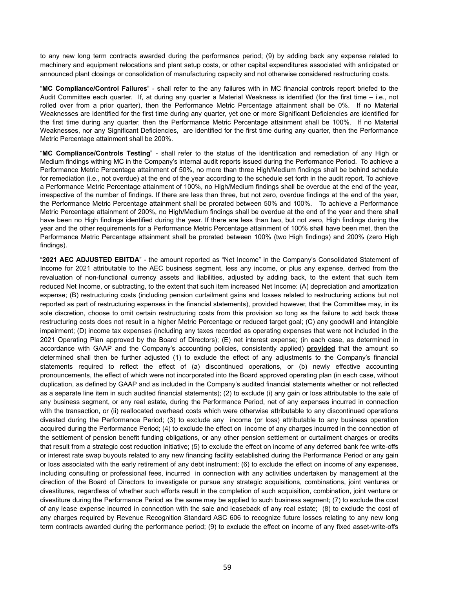to any new long term contracts awarded during the performance period; (9) by adding back any expense related to machinery and equipment relocations and plant setup costs, or other capital expenditures associated with anticipated or announced plant closings or consolidation of manufacturing capacity and not otherwise considered restructuring costs.

"**MC Compliance/Control Failures**" - shall refer to the any failures with in MC financial controls report briefed to the Audit Committee each quarter. If, at during any quarter a Material Weakness is identified (for the first time – i.e., not rolled over from a prior quarter), then the Performance Metric Percentage attainment shall be 0%. If no Material Weaknesses are identified for the first time during any quarter, yet one or more Significant Deficiencies are identified for the first time during any quarter, then the Performance Metric Percentage attainment shall be 100%. If no Material Weaknesses, nor any Significant Deficiencies, are identified for the first time during any quarter, then the Performance Metric Percentage attainment shall be 200%.

"**MC Compliance/Controls Testing**" - shall refer to the status of the identification and remediation of any High or Medium findings withing MC in the Company's internal audit reports issued during the Performance Period. To achieve a Performance Metric Percentage attainment of 50%, no more than three High/Medium findings shall be behind schedule for remediation (i.e., not overdue) at the end of the year according to the schedule set forth in the audit report. To achieve a Performance Metric Percentage attainment of 100%, no High/Medium findings shall be overdue at the end of the year, irrespective of the number of findings. If there are less than three, but not zero, overdue findings at the end of the year, the Performance Metric Percentage attainment shall be prorated between 50% and 100%. To achieve a Performance Metric Percentage attainment of 200%, no High/Medium findings shall be overdue at the end of the year and there shall have been no High findings identified during the year. If there are less than two, but not zero, High findings during the year and the other requirements for a Performance Metric Percentage attainment of 100% shall have been met, then the Performance Metric Percentage attainment shall be prorated between 100% (two High findings) and 200% (zero High findings).

"**2021 AEC ADJUSTED EBITDA**" - the amount reported as "Net Income" in the Company's Consolidated Statement of Income for 2021 attributable to the AEC business segment, less any income, or plus any expense, derived from the revaluation of non-functional currency assets and liabilities, adjusted by adding back, to the extent that such item reduced Net Income, or subtracting, to the extent that such item increased Net Income: (A) depreciation and amortization expense; (B) restructuring costs (including pension curtailment gains and losses related to restructuring actions but not reported as part of restructuring expenses in the financial statements), provided however, that the Committee may, in its sole discretion, choose to omit certain restructuring costs from this provision so long as the failure to add back those restructuring costs does not result in a higher Metric Percentage or reduced target goal; (C) any goodwill and intangible impairment; (D) income tax expenses (including any taxes recorded as operating expenses that were not included in the 2021 Operating Plan approved by the Board of Directors); (E) net interest expense; (in each case, as determined in accordance with GAAP and the Company's accounting policies, consistently applied) **provided** that the amount so determined shall then be further adjusted (1) to exclude the effect of any adjustments to the Company's financial statements required to reflect the effect of (a) discontinued operations, or (b) newly effective accounting pronouncements, the effect of which were not incorporated into the Board approved operating plan (in each case, without duplication, as defined by GAAP and as included in the Company's audited financial statements whether or not reflected as a separate line item in such audited financial statements); (2) to exclude (i) any gain or loss attributable to the sale of any business segment, or any real estate, during the Performance Period, net of any expenses incurred in connection with the transaction, or (ii) reallocated overhead costs which were otherwise attributable to any discontinued operations divested during the Performance Period; (3) to exclude any income (or loss) attributable to any business operation acquired during the Performance Period; (4) to exclude the effect on income of any charges incurred in the connection of the settlement of pension benefit funding obligations, or any other pension settlement or curtailment charges or credits that result from a strategic cost reduction initiative; (5) to exclude the effect on income of any deferred bank fee write-offs or interest rate swap buyouts related to any new financing facility established during the Performance Period or any gain or loss associated with the early retirement of any debt instrument; (6) to exclude the effect on income of any expenses, including consulting or professional fees, incurred in connection with any activities undertaken by management at the direction of the Board of Directors to investigate or pursue any strategic acquisitions, combinations, joint ventures or divestitures, regardless of whether such efforts result in the completion of such acquisition, combination, joint venture or divestiture during the Performance Period as the same may be applied to such business segment; (7) to exclude the cost of any lease expense incurred in connection with the sale and leaseback of any real estate; (8) to exclude the cost of any charges required by Revenue Recognition Standard ASC 606 to recognize future losses relating to any new long term contracts awarded during the performance period; (9) to exclude the effect on income of any fixed asset-write-offs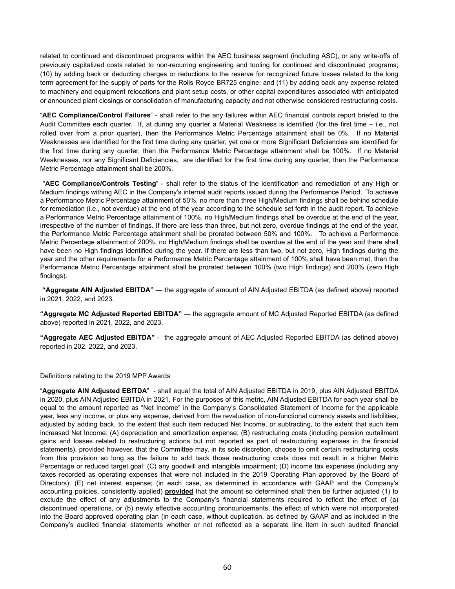related to continued and discontinued programs within the AEC business segment (including ASC), or any write-offs of previously capitalized costs related to non-recurring engineering and tooling for continued and discontinued programs; (10) by adding back or deducting charges or reductions to the reserve for recognized future losses related to the long term agreement for the supply of parts for the Rolls Royce BR725 engine; and (11) by adding back any expense related to machinery and equipment relocations and plant setup costs, or other capital expenditures associated with anticipated or announced plant closings or consolidation of manufacturing capacity and not otherwise considered restructuring costs.

"**AEC Compliance/Control Failures**" - shall refer to the any failures within AEC financial controls report briefed to the Audit Committee each quarter. If, at during any quarter a Material Weakness is identified (for the first time – i.e., not rolled over from a prior quarter), then the Performance Metric Percentage attainment shall be 0%. If no Material Weaknesses are identified for the first time during any quarter, yet one or more Significant Deficiencies are identified for the first time during any quarter, then the Performance Metric Percentage attainment shall be 100%. If no Material Weaknesses, nor any Significant Deficiencies, are identified for the first time during any quarter, then the Performance Metric Percentage attainment shall be 200%.

 "**AEC Compliance/Controls Testing**" - shall refer to the status of the identification and remediation of any High or Medium findings withing AEC in the Company's internal audit reports issued during the Performance Period. To achieve a Performance Metric Percentage attainment of 50%, no more than three High/Medium findings shall be behind schedule for remediation (i.e., not overdue) at the end of the year according to the schedule set forth in the audit report. To achieve a Performance Metric Percentage attainment of 100%, no High/Medium findings shall be overdue at the end of the year, irrespective of the number of findings. If there are less than three, but not zero, overdue findings at the end of the year, the Performance Metric Percentage attainment shall be prorated between 50% and 100%. To achieve a Performance Metric Percentage attainment of 200%, no High/Medium findings shall be overdue at the end of the year and there shall have been no High findings identified during the year. If there are less than two, but not zero, High findings during the year and the other requirements for a Performance Metric Percentage attainment of 100% shall have been met, then the Performance Metric Percentage attainment shall be prorated between 100% (two High findings) and 200% (zero High findings).

 **"Aggregate AIN Adjusted EBITDA"** — the aggregate of amount of AIN Adjusted EBITDA (as defined above) reported in 2021, 2022, and 2023.

**"Aggregate MC Adjusted Reported EBITDA"** — the aggregate amount of MC Adjusted Reported EBITDA (as defined above) reported in 2021, 2022, and 2023.

**"Aggregate AEC Adjusted EBITDA"** - the aggregate amount of AEC Adjusted Reported EBITDA (as defined above) reported in 202, 2022, and 2023.

#### Definitions relating to the 2019 MPP Awards

"**Aggregate AIN Adjusted EBITDA**" - shall equal the total of AIN Adjusted EBITDA in 2019, plus AIN Adjusted EBITDA in 2020, plus AIN Adjusted EBITDA in 2021. For the purposes of this metric, AIN Adjusted EBITDA for each year shall be equal to the amount reported as "Net Income" in the Company's Consolidated Statement of Income for the applicable year, less any income, or plus any expense, derived from the revaluation of non-functional currency assets and liabilities, adjusted by adding back, to the extent that such item reduced Net Income, or subtracting, to the extent that such item increased Net Income: (A) depreciation and amortization expense; (B) restructuring costs (including pension curtailment gains and losses related to restructuring actions but not reported as part of restructuring expenses in the financial statements), provided however, that the Committee may, in its sole discretion, choose to omit certain restructuring costs from this provision so long as the failure to add back those restructuring costs does not result in a higher Metric Percentage or reduced target goal; (C) any goodwill and intangible impairment; (D) income tax expenses (including any taxes recorded as operating expenses that were not included in the 2019 Operating Plan approved by the Board of Directors); (E) net interest expense; (in each case, as determined in accordance with GAAP and the Company's accounting policies, consistently applied) **provided** that the amount so determined shall then be further adjusted (1) to exclude the effect of any adjustments to the Company's financial statements required to reflect the effect of (a) discontinued operations, or (b) newly effective accounting pronouncements, the effect of which were not incorporated into the Board approved operating plan (in each case, without duplication, as defined by GAAP and as included in the Company's audited financial statements whether or not reflected as a separate line item in such audited financial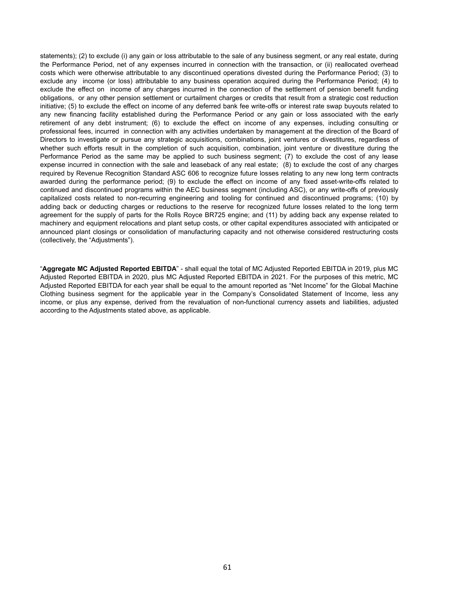statements); (2) to exclude (i) any gain or loss attributable to the sale of any business segment, or any real estate, during the Performance Period, net of any expenses incurred in connection with the transaction, or (ii) reallocated overhead costs which were otherwise attributable to any discontinued operations divested during the Performance Period; (3) to exclude any income (or loss) attributable to any business operation acquired during the Performance Period; (4) to exclude the effect on income of any charges incurred in the connection of the settlement of pension benefit funding obligations, or any other pension settlement or curtailment charges or credits that result from a strategic cost reduction initiative; (5) to exclude the effect on income of any deferred bank fee write-offs or interest rate swap buyouts related to any new financing facility established during the Performance Period or any gain or loss associated with the early retirement of any debt instrument; (6) to exclude the effect on income of any expenses, including consulting or professional fees, incurred in connection with any activities undertaken by management at the direction of the Board of Directors to investigate or pursue any strategic acquisitions, combinations, joint ventures or divestitures, regardless of whether such efforts result in the completion of such acquisition, combination, joint venture or divestiture during the Performance Period as the same may be applied to such business segment; (7) to exclude the cost of any lease expense incurred in connection with the sale and leaseback of any real estate; (8) to exclude the cost of any charges required by Revenue Recognition Standard ASC 606 to recognize future losses relating to any new long term contracts awarded during the performance period; (9) to exclude the effect on income of any fixed asset-write-offs related to continued and discontinued programs within the AEC business segment (including ASC), or any write-offs of previously capitalized costs related to non-recurring engineering and tooling for continued and discontinued programs; (10) by adding back or deducting charges or reductions to the reserve for recognized future losses related to the long term agreement for the supply of parts for the Rolls Royce BR725 engine; and (11) by adding back any expense related to machinery and equipment relocations and plant setup costs, or other capital expenditures associated with anticipated or announced plant closings or consolidation of manufacturing capacity and not otherwise considered restructuring costs (collectively, the "Adjustments").

"**Aggregate MC Adjusted Reported EBITDA**" - shall equal the total of MC Adjusted Reported EBITDA in 2019, plus MC Adjusted Reported EBITDA in 2020, plus MC Adjusted Reported EBITDA in 2021. For the purposes of this metric, MC Adjusted Reported EBITDA for each year shall be equal to the amount reported as "Net Income" for the Global Machine Clothing business segment for the applicable year in the Company's Consolidated Statement of Income, less any income, or plus any expense, derived from the revaluation of non-functional currency assets and liabilities, adjusted according to the Adjustments stated above, as applicable.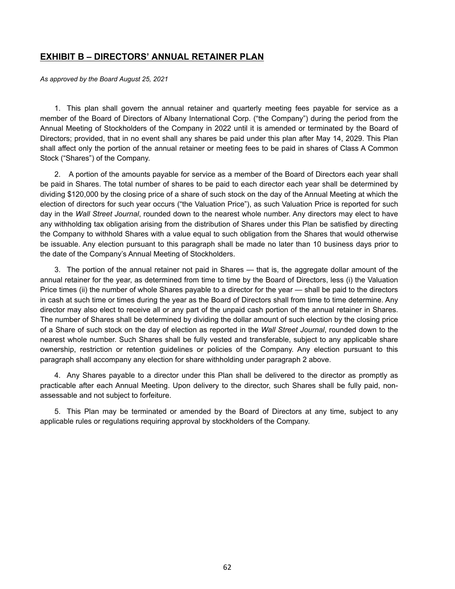# **EXHIBIT B – DIRECTORS' ANNUAL RETAINER PLAN**

*As approved by the Board August 25, 2021*

1. This plan shall govern the annual retainer and quarterly meeting fees payable for service as a member of the Board of Directors of Albany International Corp. ("the Company") during the period from the Annual Meeting of Stockholders of the Company in 2022 until it is amended or terminated by the Board of Directors; provided, that in no event shall any shares be paid under this plan after May 14, 2029. This Plan shall affect only the portion of the annual retainer or meeting fees to be paid in shares of Class A Common Stock ("Shares") of the Company.

2. A portion of the amounts payable for service as a member of the Board of Directors each year shall be paid in Shares. The total number of shares to be paid to each director each year shall be determined by dividing \$120,000 by the closing price of a share of such stock on the day of the Annual Meeting at which the election of directors for such year occurs ("the Valuation Price"), as such Valuation Price is reported for such day in the *Wall Street Journal*, rounded down to the nearest whole number. Any directors may elect to have any withholding tax obligation arising from the distribution of Shares under this Plan be satisfied by directing the Company to withhold Shares with a value equal to such obligation from the Shares that would otherwise be issuable. Any election pursuant to this paragraph shall be made no later than 10 business days prior to the date of the Company's Annual Meeting of Stockholders.

3. The portion of the annual retainer not paid in Shares — that is, the aggregate dollar amount of the annual retainer for the year, as determined from time to time by the Board of Directors, less (i) the Valuation Price times (ii) the number of whole Shares payable to a director for the year — shall be paid to the directors in cash at such time or times during the year as the Board of Directors shall from time to time determine. Any director may also elect to receive all or any part of the unpaid cash portion of the annual retainer in Shares. The number of Shares shall be determined by dividing the dollar amount of such election by the closing price of a Share of such stock on the day of election as reported in the *Wall Street Journal*, rounded down to the nearest whole number. Such Shares shall be fully vested and transferable, subject to any applicable share ownership, restriction or retention guidelines or policies of the Company. Any election pursuant to this paragraph shall accompany any election for share withholding under paragraph 2 above.

4. Any Shares payable to a director under this Plan shall be delivered to the director as promptly as practicable after each Annual Meeting. Upon delivery to the director, such Shares shall be fully paid, nonassessable and not subject to forfeiture.

5. This Plan may be terminated or amended by the Board of Directors at any time, subject to any applicable rules or regulations requiring approval by stockholders of the Company.